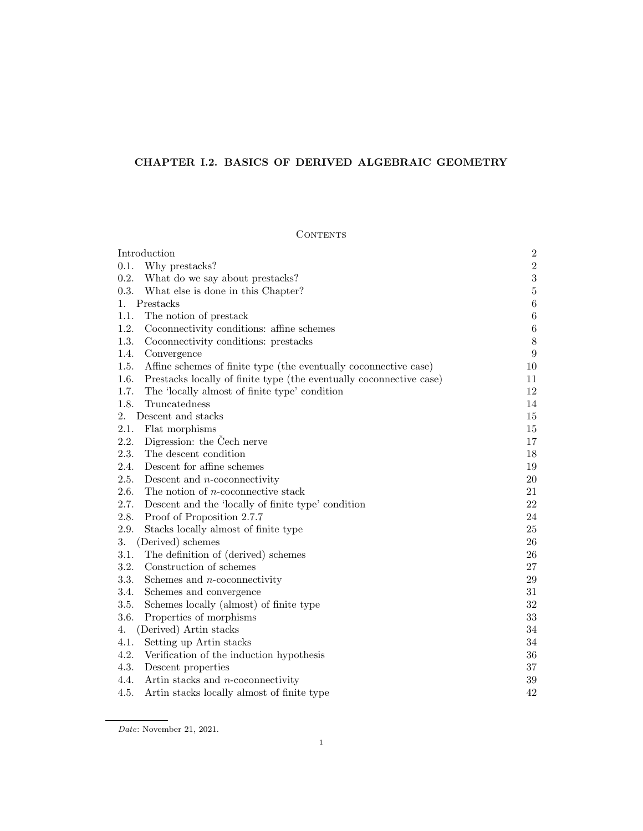# CHAPTER I.2. BASICS OF DERIVED ALGEBRAIC GEOMETRY

# **CONTENTS**

| Introduction                                                                | $\sqrt{2}$       |
|-----------------------------------------------------------------------------|------------------|
| 0.1.<br>Why prestacks?                                                      | $\sqrt{2}$       |
| 0.2. What do we say about prestacks?                                        | $\sqrt{3}$       |
| 0.3. What else is done in this Chapter?                                     | $\bf 5$          |
| Prestacks<br>1.                                                             | $\,6$            |
| 1.1.<br>The notion of prestack                                              | $\,6\,$          |
| 1.2.<br>Coconnectivity conditions: affine schemes                           | $\,6\,$          |
| 1.3.<br>Coconnectivity conditions: prestacks                                | $8\,$            |
| 1.4.<br>Convergence                                                         | $\boldsymbol{9}$ |
| 1.5.<br>Affine schemes of finite type (the eventually coconnective case)    | 10               |
| 1.6.<br>Prestacks locally of finite type (the eventually coconnective case) | 11               |
| 1.7.<br>The 'locally almost of finite type' condition                       | 12               |
| 1.8.<br>Truncatedness                                                       | 14               |
| 2.<br>Descent and stacks                                                    | 15               |
| 2.1.<br>Flat morphisms                                                      | 15               |
| Digression: the Čech nerve<br>2.2.                                          | 17               |
| The descent condition<br>2.3.                                               | 18               |
| 2.4.<br>Descent for affine schemes                                          | 19               |
| 2.5.<br>Descent and $n$ -coconnectivity                                     | 20               |
| 2.6.<br>The notion of $n$ -coconnective stack                               | 21               |
| 2.7.<br>Descent and the 'locally of finite type' condition                  | 22               |
| 2.8.<br>Proof of Proposition 2.7.7                                          | 24               |
| 2.9.<br>Stacks locally almost of finite type                                | $25\,$           |
| 3.<br>(Derived) schemes                                                     | 26               |
| 3.1.<br>The definition of (derived) schemes                                 | 26               |
| 3.2.<br>Construction of schemes                                             | 27               |
| 3.3.<br>Schemes and $n$ -coconnectivity                                     | $\,29$           |
| 3.4.<br>Schemes and convergence                                             | $31\,$           |
| 3.5.<br>Schemes locally (almost) of finite type                             | $32\,$           |
| 3.6.<br>Properties of morphisms                                             | 33               |
| (Derived) Artin stacks<br>4.                                                | 34               |
| 4.1.<br>Setting up Artin stacks                                             | 34               |
| 4.2.<br>Verification of the induction hypothesis                            | 36               |
| 4.3.<br>Descent properties                                                  | $37\,$           |
| Artin stacks and $n$ -coconnectivity<br>4.4.                                | 39               |
| 4.5.<br>Artin stacks locally almost of finite type                          | 42               |

Date: November 21, 2021.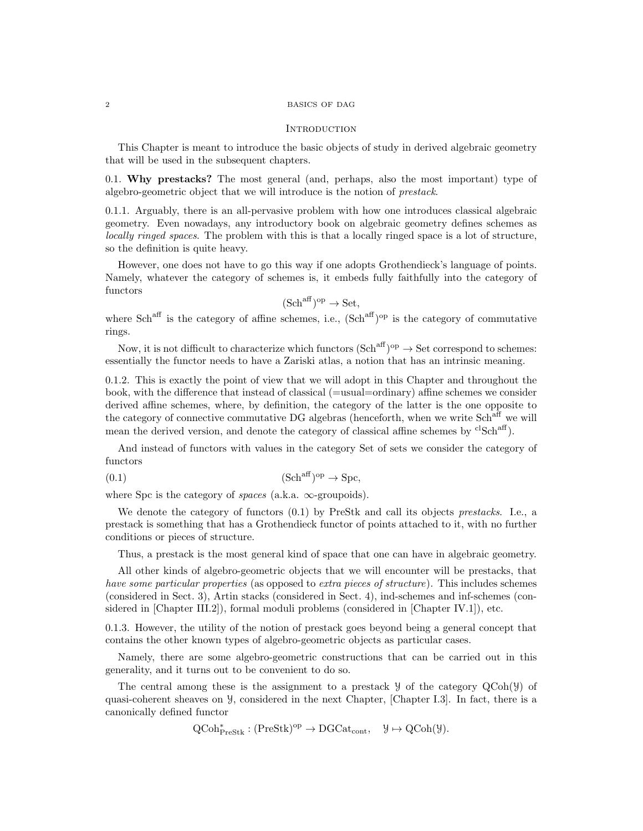#### 2 BASICS OF DAG

#### **INTRODUCTION**

This Chapter is meant to introduce the basic objects of study in derived algebraic geometry that will be used in the subsequent chapters.

0.1. Why prestacks? The most general (and, perhaps, also the most important) type of algebro-geometric object that we will introduce is the notion of prestack.

0.1.1. Arguably, there is an all-pervasive problem with how one introduces classical algebraic geometry. Even nowadays, any introductory book on algebraic geometry defines schemes as locally ringed spaces. The problem with this is that a locally ringed space is a lot of structure, so the definition is quite heavy.

However, one does not have to go this way if one adopts Grothendieck's language of points. Namely, whatever the category of schemes is, it embeds fully faithfully into the category of functors

$$
(\mathbf{Sch}^{\mathrm{aff}})^{\mathrm{op}} \to \mathbf{Set},
$$

where  $Sch<sup>aff</sup>$  is the category of affine schemes, i.e.,  $(Sch<sup>aff</sup>)<sup>op</sup>$  is the category of commutative rings.

Now, it is not difficult to characterize which functors  $(\text{Sch}^{\text{aff}})^{\text{op}} \to \text{Set}$  correspond to schemes: essentially the functor needs to have a Zariski atlas, a notion that has an intrinsic meaning.

0.1.2. This is exactly the point of view that we will adopt in this Chapter and throughout the book, with the difference that instead of classical (=usual=ordinary) affine schemes we consider derived affine schemes, where, by definition, the category of the latter is the one opposite to the category of connective commutative DG algebras (henceforth, when we write Sch<sup>aff</sup> we will mean the derived version, and denote the category of classical affine schemes by  ${}^{cl}Sch^{aff}$ ).

And instead of functors with values in the category Set of sets we consider the category of functors

(0.1) (Schaff) op → Spc,

where Spc is the category of *spaces* (a.k.a.  $\infty$ -groupoids).

We denote the category of functors  $(0.1)$  by PreStk and call its objects prestacks. I.e., a prestack is something that has a Grothendieck functor of points attached to it, with no further conditions or pieces of structure.

Thus, a prestack is the most general kind of space that one can have in algebraic geometry.

All other kinds of algebro-geometric objects that we will encounter will be prestacks, that have some particular properties (as opposed to extra pieces of structure). This includes schemes (considered in Sect. 3), Artin stacks (considered in Sect. 4), ind-schemes and inf-schemes (considered in [Chapter III.2]), formal moduli problems (considered in [Chapter IV.1]), etc.

0.1.3. However, the utility of the notion of prestack goes beyond being a general concept that contains the other known types of algebro-geometric objects as particular cases.

Namely, there are some algebro-geometric constructions that can be carried out in this generality, and it turns out to be convenient to do so.

The central among these is the assignment to a prestack  $\mathcal Y$  of the category  $QCoh(\mathcal Y)$  of quasi-coherent sheaves on  $\mathcal{Y}$ , considered in the next Chapter, [Chapter I.3]. In fact, there is a canonically defined functor

 $QCoh_{\text{PreStk}}^* : (\text{PreStk})^{\text{op}} \to \text{DGCat}_{\text{cont}}, \quad \mathcal{Y} \mapsto \text{QCoh}(\mathcal{Y}).$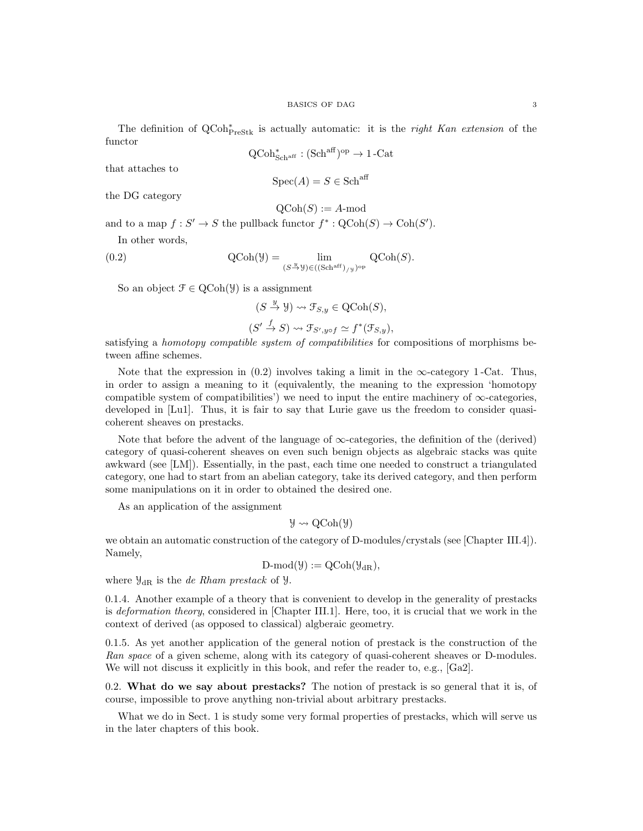The definition of  $QCoh_{\text{PreStk}}^*$  is actually automatic: it is the *right Kan extension* of the functor

$$
\operatorname{QCoh}^*_{\operatorname{Sch}^{\operatorname{aff}}}: (\operatorname{Sch}^{\operatorname{aff}})^{\operatorname{op}} \to 1\operatorname{-Cat}
$$

that attaches to

$$
\text{Spec}(A) = S \in \text{Sch}^{\text{aff}}
$$

the DG category

$$
\mathrm{QCoh}(S) := A\text{-mod}
$$

and to a map  $f: S' \to S$  the pullback functor  $f^* : \text{QCoh}(S) \to \text{Coh}(S')$ .

In other words,

(0.2) 
$$
\operatorname{QCoh}(\mathcal{Y}) = \lim_{(S \stackrel{y}{\to} \mathcal{Y}) \in ((\operatorname{Sch}^{\operatorname{aff}})_{/\mathcal{Y}})^{\operatorname{op}}} \operatorname{QCoh}(S).
$$

So an object  $\mathcal{F} \in \mathrm{QCoh}(\mathcal{Y})$  is a assignment

$$
(S \xrightarrow{y} \mathcal{Y}) \rightsquigarrow \mathcal{F}_{S,y} \in \text{QCoh}(S),
$$
  

$$
(S' \xrightarrow{f} S) \rightsquigarrow \mathcal{F}_{S',y \circ f} \simeq f^*(\mathcal{F}_{S,y}),
$$

satisfying a homotopy compatible system of compatibilities for compositions of morphisms between affine schemes.

Note that the expression in  $(0.2)$  involves taking a limit in the  $\infty$ -category 1-Cat. Thus, in order to assign a meaning to it (equivalently, the meaning to the expression 'homotopy compatible system of compatibilities') we need to input the entire machinery of  $\infty$ -categories, developed in [Lu1]. Thus, it is fair to say that Lurie gave us the freedom to consider quasicoherent sheaves on prestacks.

Note that before the advent of the language of  $\infty$ -categories, the definition of the (derived) category of quasi-coherent sheaves on even such benign objects as algebraic stacks was quite awkward (see [LM]). Essentially, in the past, each time one needed to construct a triangulated category, one had to start from an abelian category, take its derived category, and then perform some manipulations on it in order to obtained the desired one.

As an application of the assignment

$$
\mathcal{Y} \rightsquigarrow \mathrm{QCoh}(\mathcal{Y})
$$

we obtain an automatic construction of the category of D-modules/crystals (see [Chapter III.4]). Namely,

 $D\text{-mod}(\mathcal{Y}) := Q\text{Coh}(\mathcal{Y}_{dR}),$ 

where  $\mathcal{Y}_{\text{dR}}$  is the *de Rham prestack* of  $\mathcal{Y}$ .

0.1.4. Another example of a theory that is convenient to develop in the generality of prestacks is deformation theory, considered in [Chapter III.1]. Here, too, it is crucial that we work in the context of derived (as opposed to classical) algberaic geometry.

0.1.5. As yet another application of the general notion of prestack is the construction of the Ran space of a given scheme, along with its category of quasi-coherent sheaves or D-modules. We will not discuss it explicitly in this book, and refer the reader to, e.g., [Ga2].

0.2. What do we say about prestacks? The notion of prestack is so general that it is, of course, impossible to prove anything non-trivial about arbitrary prestacks.

What we do in Sect. 1 is study some very formal properties of prestacks, which will serve us in the later chapters of this book.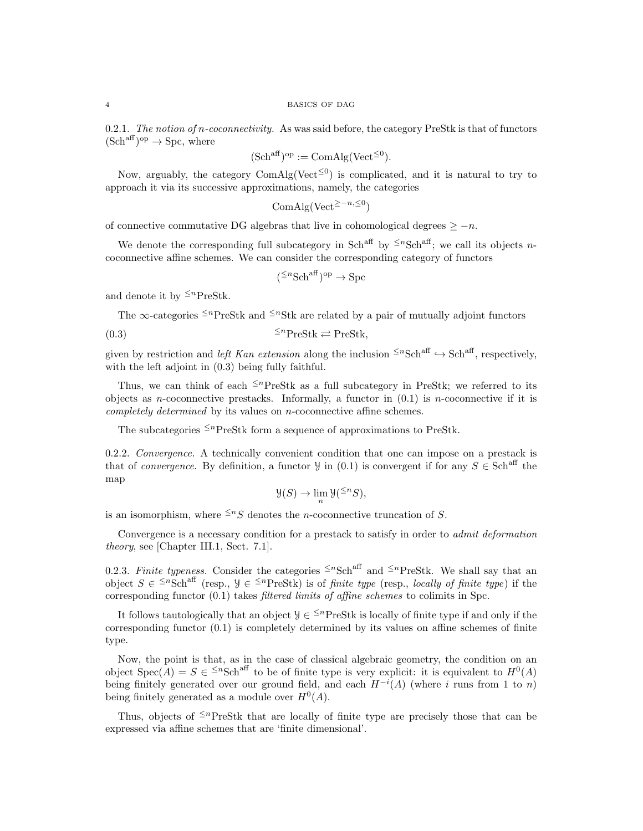0.2.1. The notion of n-coconnectivity. As was said before, the category PreStk is that of functors  $(Sch^{aff})^{op} \to Spc$ , where

$$
(\mathrm{Sch}^{\mathrm{aff}})^{\mathrm{op}} := \mathrm{ComAlg}(\mathrm{Vect}^{\leq 0}).
$$

Now, arguably, the category  $ComAlg(Vect^{\leq 0})$  is complicated, and it is natural to try to approach it via its successive approximations, namely, the categories

$$
ComAlg(Vect^{\geq -n, \leq 0})
$$

of connective commutative DG algebras that live in cohomological degrees  $\geq -n$ .

We denote the corresponding full subcategory in Sch<sup>aff</sup> by <sup> $\leq n$ </sup>Sch<sup>aff</sup>; we call its objects *n*coconnective affine schemes. We can consider the corresponding category of functors

$$
(\leq^n \text{Sch}^{\text{aff}})^{\text{op}} \to \text{Spc}
$$

and denote it by  $\leq^n$ PreStk.

The  $\infty$ -categories <sup>≤n</sup>PreStk and <sup>≤n</sup>Stk are related by a pair of mutually adjoint functors

$$
(0.3) \t\t\t\t^{\leq n} \text{PreStk} \rightleftarrows \text{PreStk},
$$

given by restriction and left Kan extension along the inclusion  $\leq^n \text{Sch}^{\text{aff}} \to \text{Sch}^{\text{aff}}$ , respectively, with the left adjoint in (0.3) being fully faithful.

Thus, we can think of each  $\leq^n$ PreStk as a full subcategory in PreStk; we referred to its objects as *n*-coconnective prestacks. Informally, a functor in  $(0.1)$  is *n*-coconnective if it is completely determined by its values on n-coconnective affine schemes.

The subcategories  $\leq^n$ PreStk form a sequence of approximations to PreStk.

0.2.2. Convergence. A technically convenient condition that one can impose on a prestack is that of *convergence*. By definition, a functor  $\mathcal{Y}$  in (0.1) is convergent if for any  $S \in \text{Sch}^{\text{aff}}$  the map

$$
\mathcal{Y}(S) \to \lim_{n} \mathcal{Y}({}^{\leq n}S),
$$

is an isomorphism, where  $\leq^n S$  denotes the *n*-coconnective truncation of S.

Convergence is a necessary condition for a prestack to satisfy in order to *admit deformation* theory, see [Chapter III.1, Sect. 7.1].

0.2.3. Finite typeness. Consider the categories  $\leq^n \text{Sch}^{\text{aff}}$  and  $\leq^n \text{PreStk}$ . We shall say that an object  $S \in \leq^{n} \text{Sch}^{\text{aff}}$  (resp.,  $\mathcal{Y} \in \leq^{n} \text{PreStk}$ ) is of *finite type* (resp., *locally of finite type*) if the corresponding functor  $(0.1)$  takes *filtered limits of affine schemes* to colimits in Spc.

It follows tautologically that an object  $\mathcal{Y} \in \leq^{n}$ PreStk is locally of finite type if and only if the corresponding functor (0.1) is completely determined by its values on affine schemes of finite type.

Now, the point is that, as in the case of classical algebraic geometry, the condition on an object  $Spec(A) = S \in \leq^n Sch^{aff}$  to be of finite type is very explicit: it is equivalent to  $H^0(A)$ being finitely generated over our ground field, and each  $H^{-i}(A)$  (where i runs from 1 to n) being finitely generated as a module over  $H^0(A)$ .

Thus, objects of  $\leq^n$ PreStk that are locally of finite type are precisely those that can be expressed via affine schemes that are 'finite dimensional'.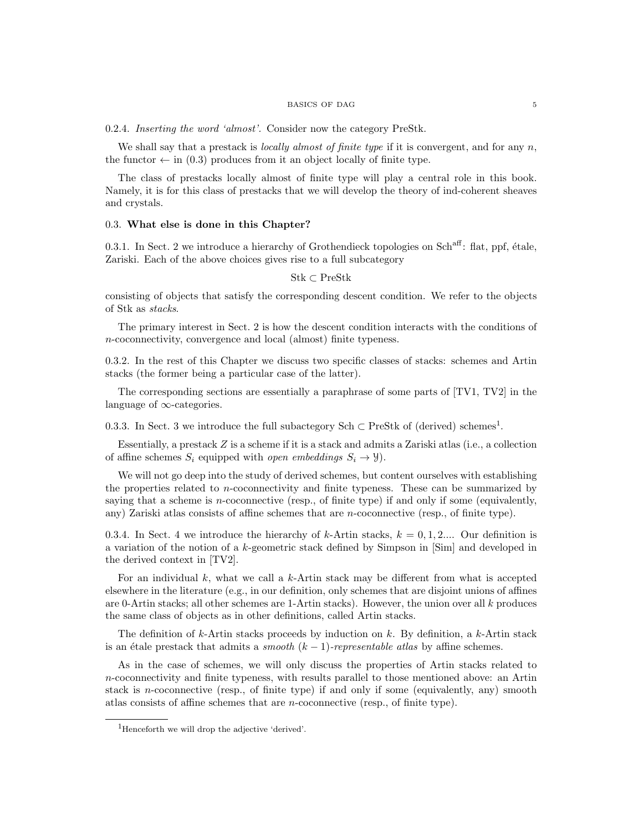### $\,$  BASICS OF DAG  $\,$   $\,$  5  $\,$

0.2.4. Inserting the word 'almost'. Consider now the category PreStk.

We shall say that a prestack is *locally almost of finite type* if it is convergent, and for any  $n$ , the functor  $\leftarrow$  in (0.3) produces from it an object locally of finite type.

The class of prestacks locally almost of finite type will play a central role in this book. Namely, it is for this class of prestacks that we will develop the theory of ind-coherent sheaves and crystals.

# 0.3. What else is done in this Chapter?

0.3.1. In Sect. 2 we introduce a hierarchy of Grothendieck topologies on Sch<sup>aff</sup>: flat, ppf, étale, Zariski. Each of the above choices gives rise to a full subcategory

# Stk ⊂ PreStk

consisting of objects that satisfy the corresponding descent condition. We refer to the objects of Stk as stacks.

The primary interest in Sect. 2 is how the descent condition interacts with the conditions of n-coconnectivity, convergence and local (almost) finite typeness.

0.3.2. In the rest of this Chapter we discuss two specific classes of stacks: schemes and Artin stacks (the former being a particular case of the latter).

The corresponding sections are essentially a paraphrase of some parts of [TV1, TV2] in the language of ∞-categories.

0.3.3. In Sect. 3 we introduce the full subactegory Sch  $\subset$  PreStk of (derived) schemes<sup>1</sup>.

Essentially, a prestack  $Z$  is a scheme if it is a stack and admits a Zariski atlas (i.e., a collection of affine schemes  $S_i$  equipped with *open embeddings*  $S_i \rightarrow \mathcal{Y}$ ).

We will not go deep into the study of derived schemes, but content ourselves with establishing the properties related to  $n$ -coconnectivity and finite typeness. These can be summarized by saying that a scheme is  $n$ -coconnective (resp., of finite type) if and only if some (equivalently, any) Zariski atlas consists of affine schemes that are n-coconnective (resp., of finite type).

0.3.4. In Sect. 4 we introduce the hierarchy of k-Artin stacks,  $k = 0, 1, 2...$  Our definition is a variation of the notion of a k-geometric stack defined by Simpson in [Sim] and developed in the derived context in [TV2].

For an individual  $k$ , what we call a  $k$ -Artin stack may be different from what is accepted elsewhere in the literature (e.g., in our definition, only schemes that are disjoint unions of affines are 0-Artin stacks; all other schemes are 1-Artin stacks). However, the union over all  $k$  produces the same class of objects as in other definitions, called Artin stacks.

The definition of k-Artin stacks proceeds by induction on k. By definition, a k-Artin stack is an étale prestack that admits a *smooth*  $(k - 1)$ -representable atlas by affine schemes.

As in the case of schemes, we will only discuss the properties of Artin stacks related to  $n$ -coconnectivity and finite typeness, with results parallel to those mentioned above: an Artin stack is n-coconnective (resp., of finite type) if and only if some (equivalently, any) smooth atlas consists of affine schemes that are n-coconnective (resp., of finite type).

<sup>1</sup>Henceforth we will drop the adjective 'derived'.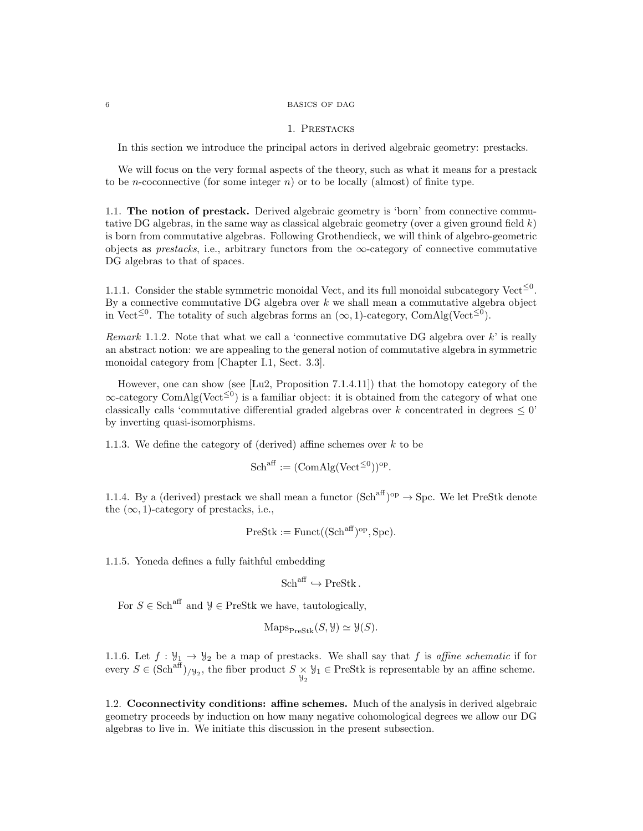#### 6 BASICS OF DAG

#### 1. Prestacks

In this section we introduce the principal actors in derived algebraic geometry: prestacks.

We will focus on the very formal aspects of the theory, such as what it means for a prestack to be *n*-coconnective (for some integer *n*) or to be locally (almost) of finite type.

1.1. The notion of prestack. Derived algebraic geometry is 'born' from connective commutative DG algebras, in the same way as classical algebraic geometry (over a given ground field  $k$ ) is born from commutative algebras. Following Grothendieck, we will think of algebro-geometric objects as *prestacks*, i.e., arbitrary functors from the  $\infty$ -category of connective commutative DG algebras to that of spaces.

1.1.1. Consider the stable symmetric monoidal Vect, and its full monoidal subcategory Vect<sup> $\leq 0$ </sup>. By a connective commutative DG algebra over  $k$  we shall mean a commutative algebra object in Vect<sup>≤0</sup>. The totality of such algebras forms an  $(\infty, 1)$ -category, ComAlg(Vect<sup>≤0</sup>).

Remark 1.1.2. Note that what we call a 'connective commutative DG algebra over  $k$ ' is really an abstract notion: we are appealing to the general notion of commutative algebra in symmetric monoidal category from [Chapter I.1, Sect. 3.3].

However, one can show (see [Lu2, Proposition 7.1.4.11]) that the homotopy category of the  $\infty$ -category ComAlg(Vect<sup> $\leq 0$ </sup>) is a familiar object: it is obtained from the category of what one classically calls 'commutative differential graded algebras over k concentrated in degrees  $\leq 0$ ' by inverting quasi-isomorphisms.

1.1.3. We define the category of (derived) affine schemes over  $k$  to be

$$
Sch^{\text{aff}} := (\text{ComAlg}(\text{Vect}^{\leq 0}))^{\text{op}}.
$$

1.1.4. By a (derived) prestack we shall mean a functor  $(Sch^{aff})^{op} \to Spc$ . We let PreStk denote the  $(\infty, 1)$ -category of prestacks, i.e.,

$$
PreStk := Funct((Sch^{aff})^{op}, Spc).
$$

1.1.5. Yoneda defines a fully faithful embedding

 $Sch<sup>aff</sup> \hookrightarrow PreStk$ .

For  $S \in \text{Sch}^{\text{aff}}$  and  $\mathcal{Y} \in \text{PreStk}$  we have, tautologically,

$$
\operatorname{Maps}_{\operatorname{PreStk}}(S, \mathcal{Y}) \simeq \mathcal{Y}(S).
$$

1.1.6. Let  $f : \mathcal{Y}_1 \to \mathcal{Y}_2$  be a map of prestacks. We shall say that f is affine schematic if for every  $S \in (\text{Sch}^{\text{aff}})_{/\mathcal{Y}_2}$ , the fiber product  $S \times \mathcal{Y}_1 \in \text{PreStk}$  is representable by an affine scheme.

1.2. Coconnectivity conditions: affine schemes. Much of the analysis in derived algebraic geometry proceeds by induction on how many negative cohomological degrees we allow our DG algebras to live in. We initiate this discussion in the present subsection.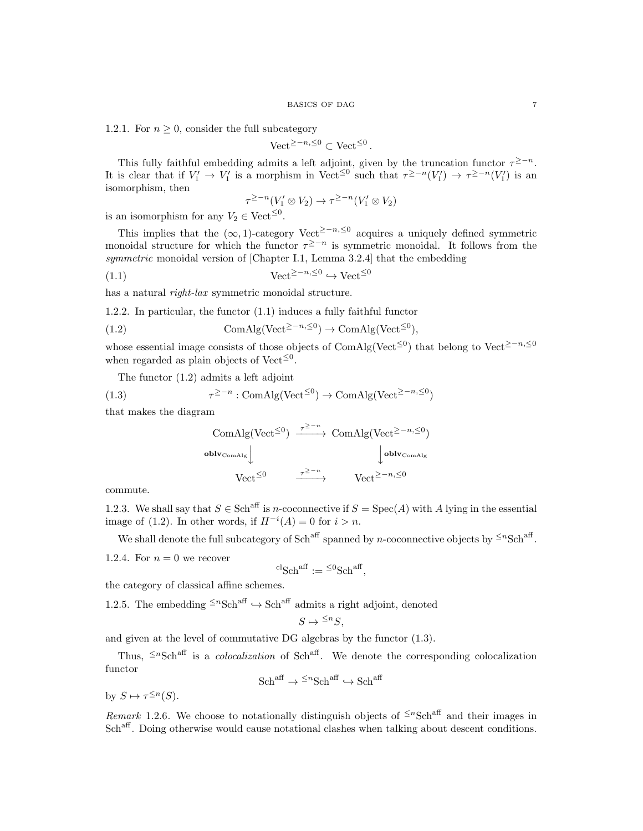1.2.1. For  $n \geq 0$ , consider the full subcategory

$$
Vect^{\geq -n, \leq 0} \subset Vect^{\leq 0}.
$$

This fully faithful embedding admits a left adjoint, given by the truncation functor  $\tau^{\geq -n}$ . It is clear that if  $V'_1 \to V'_1$  is a morphism in Vect<sup>≤0</sup> such that  $\tau^{\geq -n}(V'_1) \to \tau^{\geq -n}(V'_1)$  is an isomorphism, then

$$
\tau^{\geq -n}(V'_1 \otimes V_2) \to \tau^{\geq -n}(V'_1 \otimes V_2)
$$

is an isomorphism for any  $V_2 \in \text{Vect}^{\leq 0}$ .

This implies that the  $(\infty, 1)$ -category Vect<sup>2-n, ≤0</sup> acquires a uniquely defined symmetric monoidal structure for which the functor  $\tau^{\geq -n}$  is symmetric monoidal. It follows from the symmetric monoidal version of [Chapter I.1, Lemma 3.2.4] that the embedding

$$
(1.1)\qquad \qquad \text{Vect}^{\geq -n, \leq 0} \hookrightarrow \text{Vect}^{\leq 0}
$$

has a natural right-lax symmetric monoidal structure.

1.2.2. In particular, the functor (1.1) induces a fully faithful functor

(1.2) 
$$
\text{ComAlg}(\text{Vect}^{\geq -n, \leq 0}) \to \text{ComAlg}(\text{Vect}^{\leq 0}),
$$

whose essential image consists of those objects of ComAlg(Vect<sup>≤0</sup>) that belong to Vect<sup>≥−n,≤0</sup> when regarded as plain objects of Vect<sup> $\leq 0$ </sup>.

The functor (1.2) admits a left adjoint

(1.3) 
$$
\tau^{\geq -n} : \text{ComAlg}(\text{Vect}^{\leq 0}) \to \text{ComAlg}(\text{Vect}^{\geq -n, \leq 0})
$$

that makes the diagram

ComAlg(Vect<sup>$$
\leq 0
$$</sup>)  $\xrightarrow{\tau \geq -n}$  ComAlg(Vect <sup>$\geq -n, \leq 0$</sup> )  
\noblv<sub>ComAlg</sub>  
\n
$$
\downarrow
$$
 oblv<sub>ComAlg</sub>  
\nVect <sup>$\leq 0$</sup>   
\n $\xrightarrow{\tau \geq -n}$  Vect <sup>$\geq -n, \leq 0$</sup> 

commute.

1.2.3. We shall say that  $S \in Sch^{aff}$  is *n*-coconnective if  $S = \text{Spec}(A)$  with A lying in the essential image of (1.2). In other words, if  $H^{-i}(A) = 0$  for  $i > n$ .

We shall denote the full subcategory of Sch<sup>aff</sup> spanned by *n*-coconnective objects by  $\leq n\text{Sch}^{\text{aff}}$ .

1.2.4. For  $n = 0$  we recover

$$
{}^{\mathrm{cl}}\mathrm{Sch}^{\mathrm{aff}}:= {}^{\leq 0}\mathrm{Sch}^{\mathrm{aff}},
$$

the category of classical affine schemes.

1.2.5. The embedding  $\leq^n \text{Sch}^{\text{aff}} \to \text{Sch}^{\text{aff}}$  admits a right adjoint, denoted

$$
S \mapsto {}^{\leq n}S,
$$

and given at the level of commutative DG algebras by the functor (1.3).

Thus,  $\leq n$ Sch<sup>aff</sup> is a *colocalization* of Sch<sup>aff</sup>. We denote the corresponding colocalization functor

$$
Sch^{\text{aff}} \to {}^{\leq n}\text{Sch}^{\text{aff}} \hookrightarrow \text{Sch}^{\text{aff}}
$$

by  $S \mapsto \tau^{\leq n}(S)$ .

Remark 1.2.6. We choose to notationally distinguish objects of  $\leq n\text{Sch}^{\text{aff}}$  and their images in Sch<sup>aff</sup>. Doing otherwise would cause notational clashes when talking about descent conditions.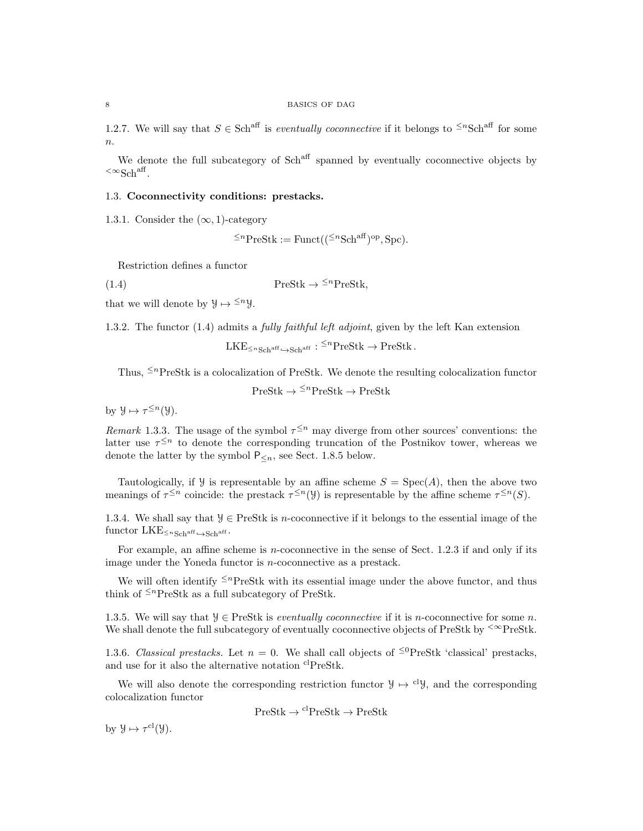1.2.7. We will say that  $S \in Sch^{aff}$  is *eventually coconnective* if it belongs to <sup> $\leq n$ </sup>Sch<sup>aff</sup> for some n.

We denote the full subcategory of Sch<sup>aff</sup> spanned by eventually coconnective objects by  ${}^{<\infty}{\rm Sch}^{\rm aff}.$ 

# 1.3. Coconnectivity conditions: prestacks.

1.3.1. Consider the  $(\infty, 1)$ -category

$$
\leq^n \text{PreStk} := \text{Funct}((\leq^n \text{Sch}^{\text{aff}})^{\text{op}}, \text{Spc}).
$$

Restriction defines a functor

(1.4)  $\text{PreStk} \to {}^{\leq n}\text{PreStk},$ 

that we will denote by  $\mathcal{Y} \mapsto \leq^n \mathcal{Y}$ .

1.3.2. The functor (1.4) admits a *fully faithful left adjoint*, given by the left Kan extension

$$
LKE_{\leq n_{\text{Sch}}^{\text{aff}} \hookrightarrow \text{Sch}^{\text{aff}}} : {}^{\leq n}\text{PreStk} \to \text{PreStk}.
$$

Thus,  $\leq^{n}$ PreStk is a colocalization of PreStk. We denote the resulting colocalization functor

$$
PreStk \to \leq^n PreStk \to PreStk
$$

by  $\mathcal{Y} \mapsto \tau^{\leq n}(\mathcal{Y}).$ 

Remark 1.3.3. The usage of the symbol  $\tau^{\leq n}$  may diverge from other sources' conventions: the latter use  $\tau^{\leq n}$  to denote the corresponding truncation of the Postnikov tower, whereas we denote the latter by the symbol  $P_{\le n}$ , see Sect. 1.8.5 below.

Tautologically, if  $Y$  is representable by an affine scheme  $S = Spec(A)$ , then the above two meanings of  $\tau^{\leq n}$  coincide: the prestack  $\tau^{\leq n}(y)$  is representable by the affine scheme  $\tau^{\leq n}(S)$ .

1.3.4. We shall say that  $\mathcal{Y} \in \text{PreStk}$  is *n*-coconnective if it belongs to the essential image of the functor  $LKE_{\leq n_{\text{Sch}}^{\text{aff}} \hookrightarrow \text{Sch}^{\text{aff}}}.$ 

For example, an affine scheme is *n*-coconnective in the sense of Sect. 1.2.3 if and only if its image under the Yoneda functor is n-coconnective as a prestack.

We will often identify  $\leq^n$ PreStk with its essential image under the above functor, and thus think of  $\leq^n$ PreStk as a full subcategory of PreStk.

1.3.5. We will say that  $\mathcal{Y} \in \text{PreStk}$  is *eventually coconnective* if it is *n*-coconnective for some *n*. We shall denote the full subcategory of eventually coconnective objects of PreStk by  $\leq \infty$ PreStk.

1.3.6. Classical prestacks. Let  $n = 0$ . We shall call objects of <sup>≤0</sup>PreStk 'classical' prestacks, and use for it also the alternative notation <sup>cl</sup>PreStk.

We will also denote the corresponding restriction functor  $\mathcal{Y} \mapsto \text{cly}$ , and the corresponding colocalization functor

$$
PreStk \to {}^{cl}PreStk \to PreStk
$$

by  $\mathcal{Y} \mapsto \tau^{\text{cl}}(\mathcal{Y}).$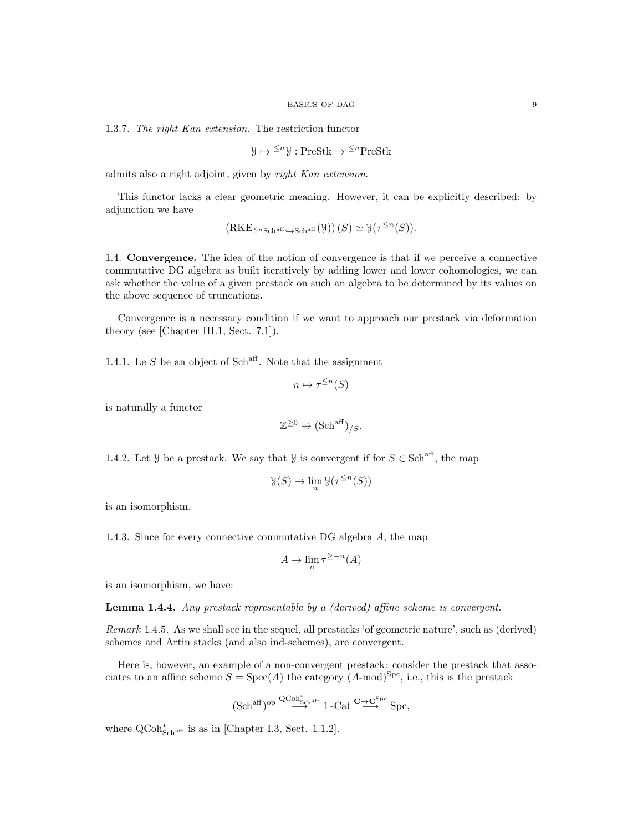1.3.7. The right Kan extension. The restriction functor

$$
\mathcal{Y} \mapsto {}^{\leq n} \mathcal{Y} : \text{PreStk} \to {}^{\leq n} \text{PreStk}
$$

admits also a right adjoint, given by right Kan extension.

This functor lacks a clear geometric meaning. However, it can be explicitly described: by adjunction we have

$$
(\mathrm{RKE}_{\leq n\mathrm{Sch}^{\mathrm{aff}}}{\hookrightarrow}\mathrm{Sch}^{\mathrm{aff}}(\mathcal{Y}))(S)\simeq \mathcal{Y}(\tau^{\leq n}(S)).
$$

1.4. Convergence. The idea of the notion of convergence is that if we perceive a connective commutative DG algebra as built iteratively by adding lower and lower cohomologies, we can ask whether the value of a given prestack on such an algebra to be determined by its values on the above sequence of truncations.

Convergence is a necessary condition if we want to approach our prestack via deformation theory (see [Chapter III.1, Sect. 7.1]).

1.4.1. Le  $S$  be an object of Sch<sup>aff</sup>. Note that the assignment

$$
n \mapsto \tau^{\leq n}(S)
$$

is naturally a functor

$$
\mathbb{Z}^{\geq 0} \to (\mathbf{Sch}^{\mathrm{aff}})_{/S}.
$$

1.4.2. Let *Y* be a prestack. We say that *Y* is convergent if for  $S \in \text{Sch}^{\text{aff}}$ , the map

$$
\mathcal{Y}(S) \to \lim_{n} \mathcal{Y}(\tau^{\leq n}(S))
$$

is an isomorphism.

1.4.3. Since for every connective commutative DG algebra A, the map

$$
A \to \lim_{n} \tau^{\geq -n}(A)
$$

is an isomorphism, we have:

Lemma 1.4.4. Any prestack representable by a (derived) affine scheme is convergent.

Remark 1.4.5. As we shall see in the sequel, all prestacks 'of geometric nature', such as (derived) schemes and Artin stacks (and also ind-schemes), are convergent.

Here is, however, an example of a non-convergent prestack: consider the prestack that associates to an affine scheme  $S = \text{Spec}(A)$  the category  $(A\text{-mod})^{\text{Spc}}$ , i.e., this is the prestack

$$
(\mathrm{Sch}^{\mathrm{aff}})^{\mathrm{op}} \overset{\mathrm{QCoh}^*_{\mathrm{Sch}^{\mathrm{aff}}}}{\longrightarrow} 1\text{-}\mathrm{Cat} \overset{\mathbf{C}\mapsto \mathbf{C}^{\mathrm{Spc}}}{\longrightarrow} \mathrm{Spc},
$$

where  $Q\text{Coh}^*_{\text{Sch}^{\text{aff}}}$  is as in [Chapter I.3, Sect. 1.1.2].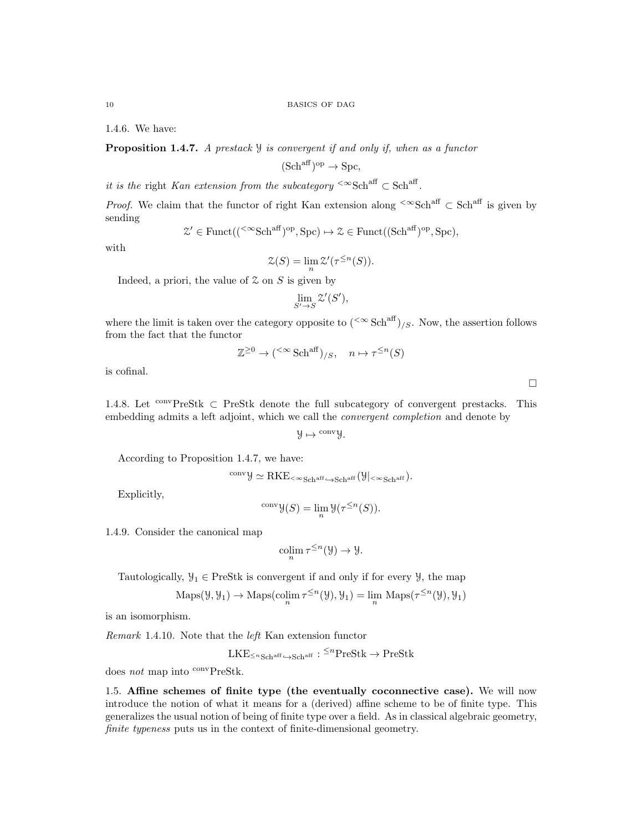1.4.6. We have:

**Proposition 1.4.7.** A prestack  $\mathcal{Y}$  is convergent if and only if, when as a functor

$$
(\mathrm{Sch}^{\mathrm{aff}})^{\mathrm{op}} \to \mathrm{Spc},
$$

it is the right Kan extension from the subcategory  $\leq \infty$ Sch<sup>aff</sup>  $\subset$  Sch<sup>aff</sup>.

*Proof.* We claim that the functor of right Kan extension along  $\leq \infty$ Sch<sup>aff</sup>  $\subset$  Sch<sup>aff</sup> is given by sending

$$
\mathcal{Z}' \in \text{Funct}(({}^{<\infty}\text{Sch}^{\text{aff}})^{\text{op}}, \text{Spc}) \mapsto \mathcal{Z} \in \text{Funct}((\text{Sch}^{\text{aff}})^{\text{op}}, \text{Spc}),
$$

with

$$
\mathcal{Z}(S) = \lim_{n} \mathcal{Z}'(\tau^{\leq n}(S)).
$$

Indeed, a priori, the value of  $\mathcal Z$  on  $S$  is given by

$$
\lim_{S'\to S}\mathcal{Z}'(S'),
$$

where the limit is taken over the category opposite to  $({<\infty}$  Sch<sup>aff</sup>)<sub>/S</sub>. Now, the assertion follows from the fact that the functor

$$
\mathbb{Z}^{\geq 0} \to (\leq^{\infty} \text{Sch}^{\text{aff}})_{/S}, \quad n \mapsto \tau^{\leq n}(S)
$$

is cofinal.

1.4.8. Let  $\text{convPreStk } \subset \text{PreStk}$  denote the full subcategory of convergent prestacks. This embedding admits a left adjoint, which we call the convergent completion and denote by

$$
\mathcal{Y}\mapsto {}^{\mathrm{conv}}\mathcal{Y}.
$$

According to Proposition 1.4.7, we have:

$$
^{\operatorname{conv}} {\mathcal Y} \simeq \operatorname{RKE}_{{}^< \infty}{}_{\operatorname{Sch}^{\operatorname{aff}} \hookrightarrow \operatorname{Sch}^{\operatorname{aff}}}({\mathcal Y}|_{{}^< \infty}{}_{\operatorname{Sch}^{\operatorname{aff}}}).
$$

Explicitly,

$$
{}^{\text{conv}}\mathcal{Y}(S)=\lim_n \mathcal{Y}(\tau^{\leq n}(S)).
$$

1.4.9. Consider the canonical map

$$
\operatorname{colim}_{n} \tau^{\leq n}(\mathcal{Y}) \to \mathcal{Y}.
$$

Tautologically,  $\mathcal{Y}_1 \in \text{PreStk}$  is convergent if and only if for every  $\mathcal{Y}$ , the map

$$
Maps(\mathcal{Y}, \mathcal{Y}_1) \to Maps(\operatorname{colim}_{n} \tau^{\leq n}(\mathcal{Y}), \mathcal{Y}_1) = \lim_{n} Maps(\tau^{\leq n}(\mathcal{Y}), \mathcal{Y}_1)
$$

is an isomorphism.

Remark 1.4.10. Note that the left Kan extension functor

$$
LKE_{\leq n\text{Sch}^{\text{aff}} \hookrightarrow \text{Sch}^{\text{aff}}} : {}^{\leq n}\text{PreStk} \to \text{PreStk}
$$

does not map into convPreStk.

1.5. Affine schemes of finite type (the eventually coconnective case). We will now introduce the notion of what it means for a (derived) affine scheme to be of finite type. This generalizes the usual notion of being of finite type over a field. As in classical algebraic geometry, finite typeness puts us in the context of finite-dimensional geometry.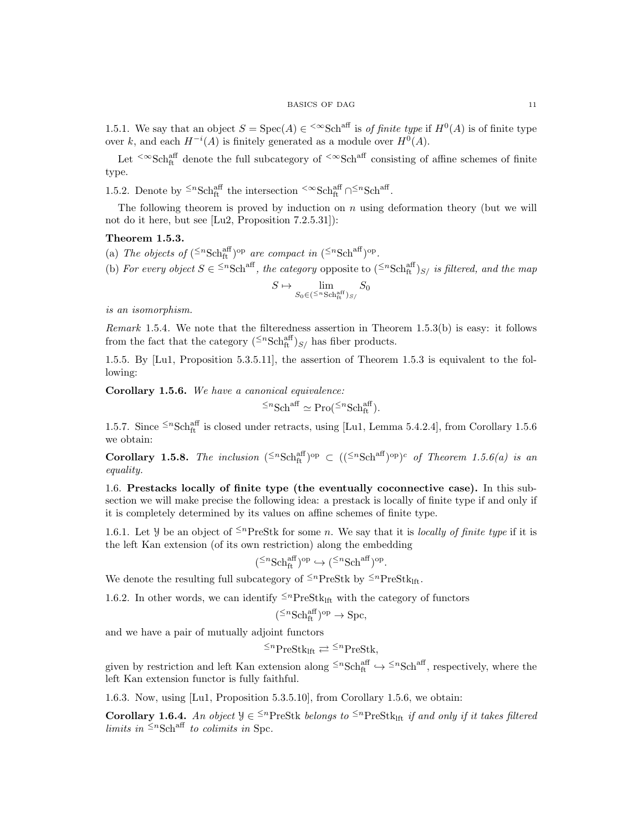#### $\begin{tabular}{c} \bf BASICS \textit{OF DAG} \\ \bf 11 \\ \end{tabular}$

1.5.1. We say that an object  $S = \text{Spec}(A) \in \text{SSE}^{\text{aff}}$  is of finite type if  $H^0(A)$  is of finite type over k, and each  $H^{-i}(A)$  is finitely generated as a module over  $H^0(A)$ .

Let  $\leq \infty$ Sch<sup>aff</sup> denote the full subcategory of  $\leq \infty$ Sch<sup>aff</sup> consisting of affine schemes of finite type.

1.5.2. Denote by  $\leq^n \text{Sch}^{\text{aff}}_{\text{ft}}$  the intersection  $\leq \infty \text{Sch}^{\text{aff}}_{\text{ft}} \cap \leq^n \text{Sch}^{\text{aff}}$ .

The following theorem is proved by induction on  $n$  using deformation theory (but we will not do it here, but see [Lu2, Proposition 7.2.5.31]):

### Theorem 1.5.3.

- (a) The objects of  $({}^{\leq n} {\rm Sch}^{\rm aff}_{\rm ft})^{\rm op}$  are compact in  $({}^{\leq n} {\rm Sch}^{\rm aff})^{\rm op}$ .
- (b) For every object  $S \in \{S^n\text{Sch}^{\text{aff}}\}$ , the category opposite to  $({S^n\text{Sch}^{\text{aff}}_{\text{ft}}})_{S/2}$  is filtered, and the map

$$
S \mapsto \lim_{S_0 \in (\leq^n \text{Sch}_{\text{ft}}^{\text{aff}})_{S/}} S_0
$$

is an isomorphism.

Remark 1.5.4. We note that the filteredness assertion in Theorem 1.5.3(b) is easy: it follows from the fact that the category  $({}^{\leq n} {\rm Sch}^{\rm aff}_{\rm ft})_{S/}$  has fiber products.

1.5.5. By [Lu1, Proposition 5.3.5.11], the assertion of Theorem 1.5.3 is equivalent to the following:

Corollary 1.5.6. We have a canonical equivalence:

$$
\leq^n \text{Sch}^{\text{aff}} \simeq \text{Pro}(\leq^n \text{Sch}^{\text{aff}}_{\text{ft}}).
$$

1.5.7. Since  $\leq^n \text{Sch}_{\text{ft}}^{\text{aff}}$  is closed under retracts, using [Lu1, Lemma 5.4.2.4], from Corollary 1.5.6 we obtain:

**Corollary 1.5.8.** The inclusion  $({}^{\leq n} {\rm Sch}_{\rm ft}^{\rm aff})^{\rm op} \subset (({}^{\leq n} {\rm Sch}^{\rm aff})^{\rm op})^c$  of Theorem 1.5.6(a) is an equality.

1.6. Prestacks locally of finite type (the eventually coconnective case). In this subsection we will make precise the following idea: a prestack is locally of finite type if and only if it is completely determined by its values on affine schemes of finite type.

1.6.1. Let Y be an object of  $\leq^n$ PreStk for some n. We say that it is *locally of finite type* if it isthe left Kan extension (of its own restriction) along the embedding

$$
({}^{\leq n}\mathrm{Sch}^{\mathrm{aff}}_{\mathrm{ft}})^\mathrm{op}\hookrightarrow ({}^{\leq n}\mathrm{Sch}^{\mathrm{aff}})^\mathrm{op}
$$

.

We denote the resulting full subcategory of  $\leq^n$ PreStk by  $\leq^n$ PreStk<sub>lft</sub>.

1.6.2. In other words, we can identify  $\leq^{n}$ PreStk<sub>lft</sub> with the category of functors

$$
({}^{\leq n}\text{Sch}^{\text{aff}}_{\text{ft}})^{\text{op}} \to \text{Spc},
$$

and we have a pair of mutually adjoint functors

 $\leq^n$ PreStk<sub>lft</sub>  $\rightleftarrows \leq^n$ PreStk,

given by restriction and left Kan extension along  $\leq^n Sch_{ft}^{\text{aff}} \hookrightarrow \leq^n Sch^{aff}$ , respectively, where the left Kan extension functor is fully faithful.

1.6.3. Now, using [Lu1, Proposition 5.3.5.10], from Corollary 1.5.6, we obtain:

**Corollary 1.6.4.** An object  $\mathcal{Y} \in \{1, 2\}^n$  PreStk belongs to  $\{1, 2\}^n$  PreStk<sub>lft</sub> if and only if it takes filtered limits in  $\leq^n \text{Sch}^{\text{aff}}$  to colimits in Spc.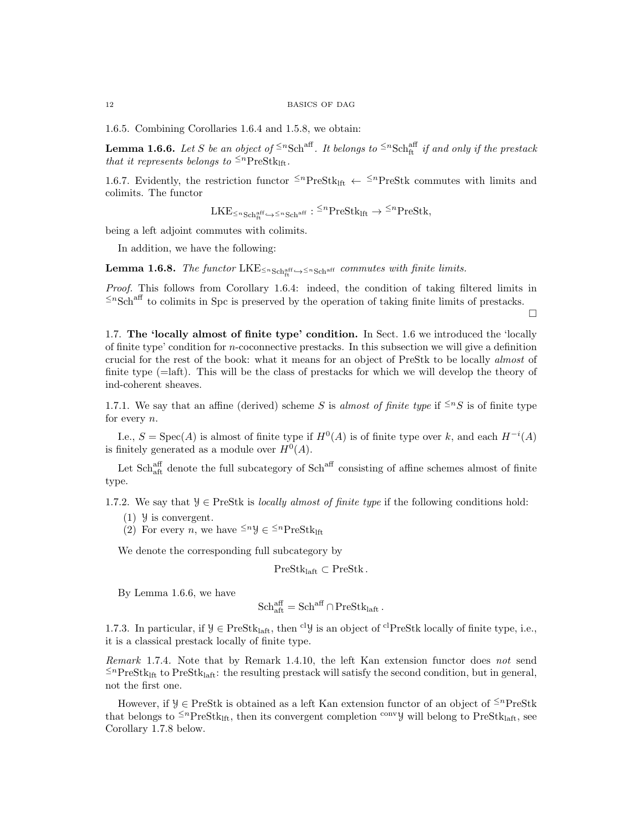1.6.5. Combining Corollaries 1.6.4 and 1.5.8, we obtain:

**Lemma 1.6.6.** Let S be an object of  $\leq^n \text{Sch}^{\text{aff}}$ . It belongs to  $\leq^n \text{Sch}^{\text{aff}}_{\text{ft}}$  if and only if the prestack that it represents belongs to  $\leq^{n}$ PreStk<sub>Ift</sub>.

1.6.7. Evidently, the restriction functor  $\leq^n$ PreStk<sub>lft</sub>  $\leftarrow$   $\leq^n$ PreStk commutes with limits andcolimits. The functor

 $\text{LKE}_{\leq n\text{Sch}^{\text{aff}}_{\text{ft}}}\hookrightarrow\leq n\text{Schr}$  :  $\leq^n\text{PreStk}_{\text{lft}}\to\leq^n\text{PreStk},$ 

being a left adjoint commutes with colimits.

In addition, we have the following:

**Lemma 1.6.8.** The functor  $LKE_{\leq n_{Sch_{tt}}^{aff}\rightarrow\leq n_{Sch}^{aff}}$  commutes with finite limits.

Proof. This follows from Corollary 1.6.4: indeed, the condition of taking filtered limits in  $\leq n$ Sch<sup>aff</sup> to colimits in Spc is preserved by the operation of taking finite limits of prestacks.

 $\Box$ 

1.7. The 'locally almost of finite type' condition. In Sect. 1.6 we introduced the 'locally of finite type' condition for n-coconnective prestacks. In this subsection we will give a definition crucial for the rest of the book: what it means for an object of PreStk to be locally almost of finite type (=laft). This will be the class of prestacks for which we will develop the theory of ind-coherent sheaves.

1.7.1. We say that an affine (derived) scheme S is almost of finite type if  $\leq n$ S is of finite type for every n.

I.e.,  $S = \text{Spec}(A)$  is almost of finite type if  $H^0(A)$  is of finite type over k, and each  $H^{-i}(A)$ is finitely generated as a module over  $H^0(A)$ .

Let  $Sch_{\text{aff}}^{\text{aff}}$  denote the full subcategory of  $Sch^{\text{aff}}$  consisting of affine schemes almost of finite type.

1.7.2. We say that  $\mathcal{Y} \in \text{PreStk}$  is *locally almost of finite type* if the following conditions hold:

- $(1)$  y is convergent.
- (2) For every *n*, we have  $\leq^n y \in \leq^n \text{PreStk}_{\text{lft}}$

We denote the corresponding full subcategory by

 $PreStk<sub>laff</sub> \subset PreStk.$ 

By Lemma 1.6.6, we have

$$
Sch_{\text{aff}}^{\text{aff}} = Sch^{\text{aff}} \cap PreStk_{\text{laff}}.
$$

1.7.3. In particular, if  $\mathcal{Y} \in \text{PreStk}_{\text{laff}}$ , then <sup>cl</sup> $\mathcal{Y}$  is an object of <sup>cl</sup>PreStk locally of finite type, i.e., it is a classical prestack locally of finite type.

Remark 1.7.4. Note that by Remark 1.4.10, the left Kan extension functor does not send  $\leq$ <sup>n</sup>PreStk<sub>lft</sub> to PreStk<sub>laft</sub>: the resulting prestack will satisfy the second condition, but in general, not the first one.

However, if  $\mathcal{Y} \in \text{PreStk}$  is obtained as a left Kan extension functor of an object of <sup> $\leq n$ </sup>PreStk that belongs to  $\leq^p \text{PreStk}_{\text{lift}}$ , then its convergent completion  $\leq^p \text{V}_{\text{W}}$  will belong to PreStklaft, see Corollary 1.7.8 below.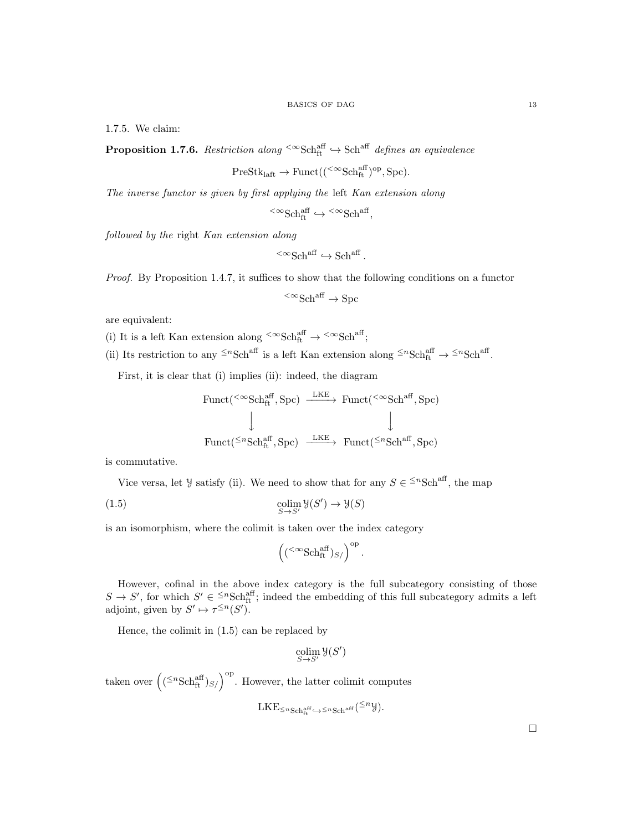1.7.5. We claim:

**Proposition 1.7.6.** Restriction along  $\leq \infty$ Schaff  $\leftrightarrow$  Schaff defines an equivalence

$$
\operatorname{PreStk}_{\operatorname{laft}}\to\operatorname{Funct}(({}^{<\infty}\operatorname{Sch}^{\operatorname{aff}}_{\operatorname{ft}})^{\operatorname{op}},\operatorname{Spc}).
$$

The inverse functor is given by first applying the left Kan extension along

$$
{}^{<\infty}{\rm Sch}^{{\mathop{\rm aff}}}_{\rm ft} \hookrightarrow {}^{<\infty}{\rm Sch}^{{\mathop{\rm aff}}},
$$

followed by the right Kan extension along

$$
{}^{<\infty}{\rm Sch}^{\operatorname{aff}}\hookrightarrow {\rm Sch}^{\operatorname{aff}}\,.
$$

Proof. By Proposition 1.4.7, it suffices to show that the following conditions on a functor

$$
{}^{<\infty}{\rm Sch}^{\rm aff} \to {\rm Spc}
$$

are equivalent:

- (i) It is a left Kan extension along  ${}^{<\infty}\mathrm{Sch}^{\mathrm{aff}}_{\mathrm{ft}} \to {}^{<\infty}\mathrm{Sch}^{\mathrm{aff}}_{\mathrm{f}}$
- (ii) Its restriction to any <sup> $\leq n$ </sup>Sch<sup>aff</sup> is a left Kan extension along  $\leq n$ Sch<sub>ft</sub><sup>aff</sup>  $\rightarrow \leq n$ Sch<sup>aff</sup>.

First, it is clear that (i) implies (ii): indeed, the diagram

$$
\begin{array}{ccc}\n\text{Funct}(\leq\infty\text{Sch}_{\text{ft}}^{\text{aff}}, \text{Spc}) & \xrightarrow{\text{LKE}} & \text{Funct}(\leq\infty\text{Sch}^{\text{aff}}, \text{Spc}) \\
\downarrow & & \downarrow \\
\text{Funct}(\leq\infty\text{Sch}_{\text{ft}}^{\text{aff}}, \text{Spc}) & \xrightarrow{\text{LKE}} & \text{Funct}(\leq\infty\text{Sch}^{\text{aff}}, \text{Spc})\n\end{array}
$$

is commutative.

Vice versa, let *y* satisfy (ii). We need to show that for any  $S \in \leq^n \text{Sch}^{\text{aff}}$ , the map

(1.5) 
$$
\underset{S \to S'}{\text{colim}} \mathcal{Y}(S') \to \mathcal{Y}(S)
$$

is an isomorphism, where the colimit is taken over the index category

$$
\left(({}^{<\infty}\mathrm{Sch}^{\mathrm{aff}}_{\mathrm{ft}})_{S/}\right)^{\mathrm{op}}.
$$

However, cofinal in the above index category is the full subcategory consisting of those  $S \to S'$ , for which  $S' \in {}^{\leq n}Sch_{ft}^{aff}$ ; indeed the embedding of this full subcategory admits a left adjoint, given by  $S' \mapsto \tau^{\leq n}(S')$ .

Hence, the colimit in (1.5) can be replaced by

$$
\operatornamewithlimits{colim}_{S \to S'} \mathcal{Y}(S')
$$

taken over  $((\leq^n \text{Sch}^{\text{aff}}_{\text{ft}})_{S/})^{\text{op}}$ . However, the latter colimit computes

$$
\mathrm{LKE}_{\leq n\,\mathrm{Sch}^{\mathrm{aff}}_{\mathrm{ft}}}\hookrightarrow\leq n\,\mathrm{Sch}^{\mathrm{aff}}\left( ^{\leq n}\mathcal{Y}\right) .
$$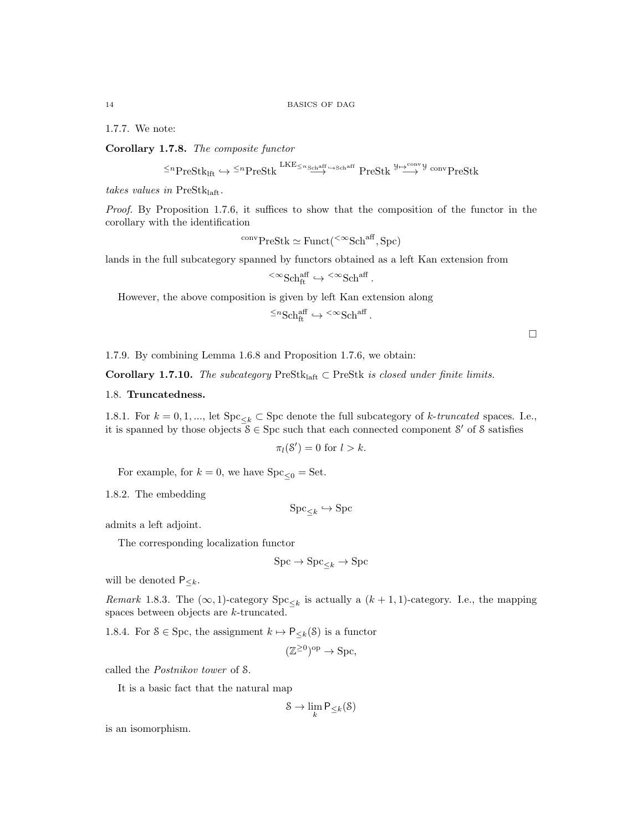1.7.7. We note:

Corollary 1.7.8. The composite functor

$$
\leq^n \operatorname{PreStk}_{\operatorname{lf}} \hookrightarrow \leq^n \operatorname{PreStk} \xrightarrow{\operatorname{LKE}_{\leq n_{\operatorname{Sch}^{\operatorname{aff}}}} \hookrightarrow_{\operatorname{Sch}^{\operatorname{aff}}}} \operatorname{PreStk} \xrightarrow{\mathcal{Y} \mapsto_{\operatorname{conv}} \mathcal{Y}} \operatorname{conv}\operatorname{PreStk}
$$

takes values in  $PreStk<sub>laff</sub>$ .

Proof. By Proposition 1.7.6, it suffices to show that the composition of the functor in the corollary with the identification

$$
^{conv}PreStk \simeq Funct({}^{<\infty}Sch^{aff}, Spc)
$$

lands in the full subcategory spanned by functors obtained as a left Kan extension from

$$
{}^{<\infty}{\rm Sch}^{\rm aff}_{\rm ft} \hookrightarrow {}^{<\infty}{\rm Sch}^{\rm aff}.
$$

However, the above composition is given by left Kan extension along

 $\leq^n \text{Sch}^{\text{aff}}_{\text{ft}} \hookrightarrow \leq^\infty \text{Sch}^{\text{aff}}$ .

 $\Box$ 

1.7.9. By combining Lemma 1.6.8 and Proposition 1.7.6, we obtain:

Corollary 1.7.10. The subcategory PreSt $k_{\text{laff}} \subset \text{PreStk}$  is closed under finite limits.

#### 1.8. Truncatedness.

1.8.1. For  $k = 0, 1, \dots$ , let  $\text{Spc}_{\leq k} \subset \text{Spc}$  denote the full subcategory of k-truncated spaces. I.e., it is spanned by those objects  $\mathcal{S} \in \text{Spc}$  such that each connected component  $\mathcal{S}'$  of  $\mathcal{S}$  satisfies

$$
\pi_l(\mathcal{S}') = 0 \text{ for } l > k.
$$

For example, for  $k = 0$ , we have  $\text{Spc}_{\leq 0} = \text{Set}$ .

1.8.2. The embedding

$$
\mathrm{Spc}_{\leq k} \hookrightarrow \mathrm{Spc}
$$

admits a left adjoint.

The corresponding localization functor

$$
\text{Spc} \to \text{Spc}_{\leq k} \to \text{Spc}
$$

will be denoted  $P_{\leq k}$ .

Remark 1.8.3. The  $(\infty, 1)$ -category  $\text{Spc}_{\leq k}$  is actually a  $(k + 1, 1)$ -category. I.e., the mapping spaces between objects are k-truncated.

1.8.4. For  $S \in \text{Spc}$ , the assignment  $k \mapsto \mathsf{P}_{\leq k}(S)$  is a functor

$$
(\mathbb{Z}^{\geq 0})^{\rm op} \to \text{Spc},
$$

called the Postnikov tower of S.

It is a basic fact that the natural map

$$
\mathcal{S} \to \lim_{k} \mathsf{P}_{\leq k}(\mathcal{S})
$$

is an isomorphism.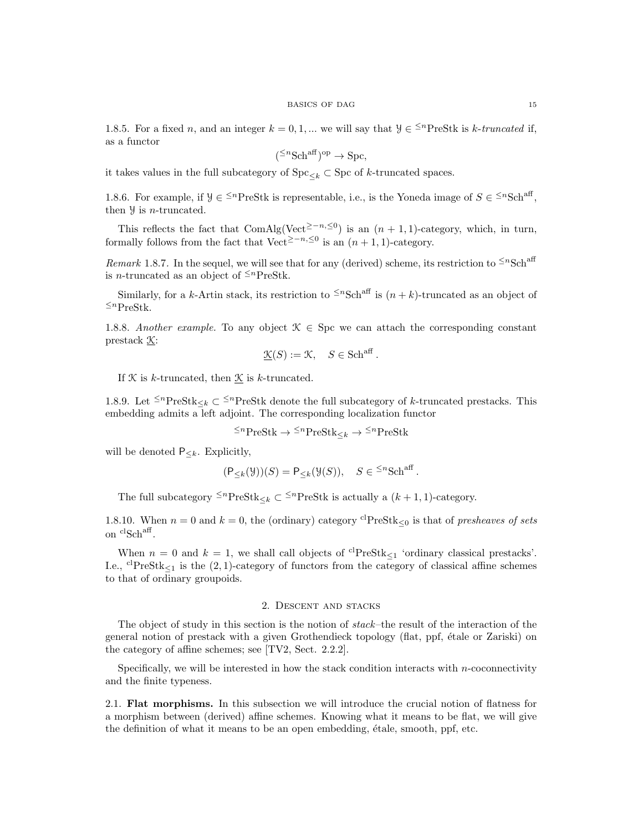1.8.5. For a fixed n, and an integer  $k = 0, 1, ...$  we will say that  $\mathcal{Y} \in \leq^{n}$ PreStk is k-truncated if, as a functor

$$
(\leq^n \text{Sch}^{\text{aff}})^{\text{op}} \to \text{Spc},
$$

it takes values in the full subcategory of  $\text{Spc}_{\leq k} \subset \text{Spc}$  of k-truncated spaces.

1.8.6. For example, if  $\mathcal{Y} \in \leq^{n} \text{PreStk}$  is representable, i.e., is the Yoneda image of  $S \in \leq^{n} \text{Sch}^{\text{aff}}$ , then  $\frac{y}{x}$  is *n*-truncated.

This reflects the fact that ComAlg(Vect<sup>2-n, ≤0</sup>) is an  $(n + 1, 1)$ -category, which, in turn, formally follows from the fact that Vect<sup>≥−n,≤0</sup> is an  $(n + 1, 1)$ -category.

Remark 1.8.7. In the sequel, we will see that for any (derived) scheme, its restriction to  $\leq n\text{Sch}^{\text{aff}}$ is *n*-truncated as an object of  $\leq^{n}$ PreStk.

Similarly, for a k-Artin stack, its restriction to  $\leq^n$ Sch<sup>aff</sup> is  $(n + k)$ -truncated as an object of  $≤<sup>n</sup>PreStk.$ 

1.8.8. Another example. To any object  $\mathcal{K} \in \text{Spc}$  we can attach the corresponding constant prestack K:

$$
\underline{\mathcal{K}}(S) := \mathcal{K}, \quad S \in \mathrm{Sch}^{\mathrm{aff}}.
$$

If  $K$  is k-truncated, then  $K$  is k-truncated.

1.8.9. Let  $\leq^n$ PreStk  $\lt k \leq \leq^n$ PreStk denote the full subcategory of k-truncated prestacks. Thisembedding admits a left adjoint. The corresponding localization functor

 ${^{\leq n}\mathrm{PreStk} \to {^{\leq n}\mathrm{PreStk}}}_<\to {^{\leq n}\mathrm{PreStk}}$ 

will be denoted  $P_{\leq k}$ . Explicitly,

$$
(\mathsf{P}_{\leq k}(\mathcal{Y}))(S) = \mathsf{P}_{\leq k}(\mathcal{Y}(S)), \quad S \in \leq^n \text{Sch}^{\text{aff}}.
$$

The full subcategory  $\leq^n$ PreStk  $\lt k \subset \leq^n$ PreStk is actually a  $(k + 1, 1)$ -category.

1.8.10. When  $n = 0$  and  $k = 0$ , the (ordinary) category <sup>cl</sup>PreStk<sub><0</sub> is that of presheaves of sets on clSch<sup>aff</sup>.

When  $n = 0$  and  $k = 1$ , we shall call objects of <sup>cl</sup>PreStk<sub><1</sub> 'ordinary classical prestacks'. I.e.,  ${}^{c}P_{P}$ estk<sub> $\leq 1$ </sub> is the (2, 1)-category of functors from the category of classical affine schemes to that of ordinary groupoids.

# 2. Descent and stacks

The object of study in this section is the notion of stack–the result of the interaction of the general notion of prestack with a given Grothendieck topology (flat, ppf, étale or Zariski) on the category of affine schemes; see [TV2, Sect. 2.2.2].

Specifically, we will be interested in how the stack condition interacts with  $n$ -coconnectivity and the finite typeness.

2.1. Flat morphisms. In this subsection we will introduce the crucial notion of flatness for a morphism between (derived) affine schemes. Knowing what it means to be flat, we will give the definition of what it means to be an open embedding, étale, smooth, ppf, etc.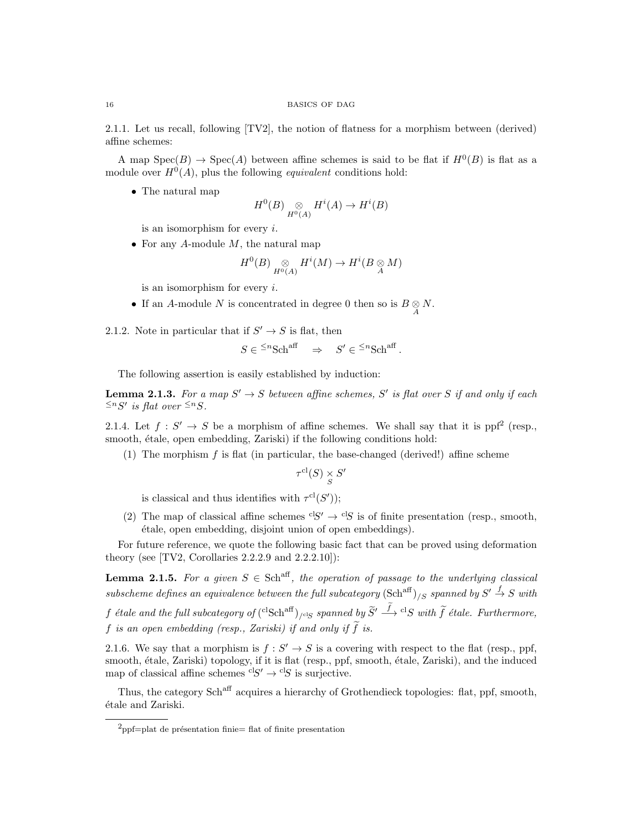2.1.1. Let us recall, following [TV2], the notion of flatness for a morphism between (derived) affine schemes:

A map  $Spec(B) \to Spec(A)$  between affine schemes is said to be flat if  $H^0(B)$  is flat as a module over  $H^0(A)$ , plus the following *equivalent* conditions hold:

• The natural map

$$
H^0(B) \underset{H^0(A)}{\otimes} H^i(A) \to H^i(B)
$$

is an isomorphism for every i.

• For any A-module  $M$ , the natural map

$$
H^0(B) \underset{H^0(A)}{\otimes} H^i(M) \to H^i(B \underset{A}{\otimes} M)
$$

is an isomorphism for every  $i$ .

• If an A-module N is concentrated in degree 0 then so is  $B \underset{A}{\otimes} N$ .

2.1.2. Note in particular that if  $S' \to S$  is flat, then

$$
S \in {}^{\leq n} {\rm Sch}^{\text{aff}} \quad \Rightarrow \quad S' \in {}^{\leq n} {\rm Sch}^{\text{aff}} \, .
$$

The following assertion is easily established by induction:

**Lemma 2.1.3.** For a map  $S' \to S$  between affine schemes, S' is flat over S if and only if each  $\leq^n S'$  is flat over  $\leq^n S$ .

2.1.4. Let  $f: S' \to S$  be a morphism of affine schemes. We shall say that it is ppf<sup>2</sup> (resp., smooth, étale, open embedding, Zariski) if the following conditions hold:

(1) The morphism  $f$  is flat (in particular, the base-changed (derived!) affine scheme

$$
\tau^{\mathrm{cl}}(S) \underset{S}{\times} S'
$$

is classical and thus identifies with  $\tau^{cl}(S')$ ;

(2) The map of classical affine schemes  ${}^{c}S' \rightarrow {}^{c}S$  is of finite presentation (resp., smooth, ´etale, open embedding, disjoint union of open embeddings).

For future reference, we quote the following basic fact that can be proved using deformation theory (see  $[TV2, Corollaries 2.2.2.9 and 2.2.2.10]$ ):

**Lemma 2.1.5.** For a given  $S \in \text{Sch}^{\text{aff}}$ , the operation of passage to the underlying classical subscheme defines an equivalence between the full subcategory  $(\text{Sch}^{\text{aff}})_{/S}$  spanned by  $S' \stackrel{f}{\rightarrow} S$  with  $f$  étale and the full subcategory of  $({}^{\rm cl}{\rm Sch}^{\rm aff})_{/\rm clS}$  spanned by  $\widetilde S' \stackrel{f}{\longrightarrow} {}^{\rm cl}S$  with  $\widetilde f$  étale. Furthermore, f is an open embedding (resp., Zariski) if and only if  $\tilde{f}$  is.

2.1.6. We say that a morphism is  $f: S' \to S$  is a covering with respect to the flat (resp., ppf, smooth, étale, Zariski) topology, if it is flat (resp., ppf, smooth, étale, Zariski), and the induced map of classical affine schemes  ${}^{c}S' \rightarrow {}^{c}S$  is surjective.

Thus, the category Sch<sup>aff</sup> acquires a hierarchy of Grothendieck topologies: flat, ppf, smooth, ´etale and Zariski.

 $^{2}$ ppf=plat de présentation finie= flat of finite presentation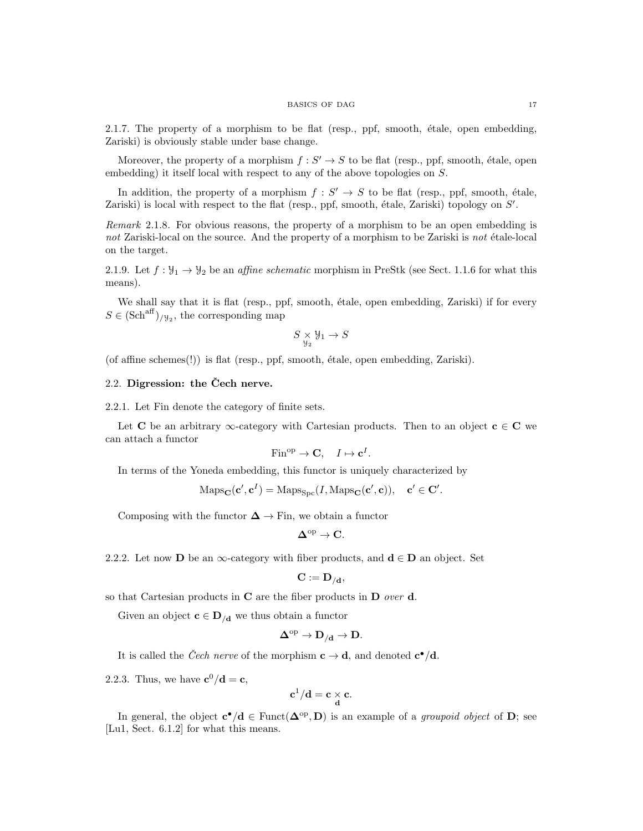#### BASICS OF DAG 17

 $2.1.7.$  The property of a morphism to be flat (resp., ppf, smooth, étale, open embedding, Zariski) is obviously stable under base change.

Moreover, the property of a morphism  $f : S' \to S$  to be flat (resp., ppf, smooth, étale, open embedding) it itself local with respect to any of the above topologies on S.

In addition, the property of a morphism  $f: S' \to S$  to be flat (resp., ppf, smooth, étale, Zariski) is local with respect to the flat (resp., ppf, smooth, étale, Zariski) topology on  $S'$ .

Remark 2.1.8. For obvious reasons, the property of a morphism to be an open embedding is not Zariski-local on the source. And the property of a morphism to be Zariski is not étale-local on the target.

2.1.9. Let  $f: \mathcal{Y}_1 \to \mathcal{Y}_2$  be an affine schematic morphism in PreStk (see Sect. 1.1.6 for what this means).

We shall say that it is flat (resp., ppf, smooth, étale, open embedding, Zariski) if for every  $S \in (\text{Sch}^{\text{aff}})_{/\mathcal{Y}_2}$ , the corresponding map

$$
S\underset{\mathcal{Y}_2}{\times}\mathcal{Y}_1\rightarrow S
$$

(of affine schemes $(!)$ ) is flat (resp., ppf, smooth, étale, open embedding, Zariski).

# $2.2.$  Digression: the Cech nerve.

2.2.1. Let Fin denote the category of finite sets.

Let C be an arbitrary  $\infty$ -category with Cartesian products. Then to an object  $c \in C$  we can attach a functor

$$
Fin^{op} \to \mathbf{C}, \quad I \mapsto \mathbf{c}^I.
$$

In terms of the Yoneda embedding, this functor is uniquely characterized by

$$
\mathrm{Maps}_{\mathbf{C}}(\mathbf{c}', \mathbf{c}^I) = \mathrm{Maps}_{\mathrm{Spc}}(I, \mathrm{Maps}_{\mathbf{C}}(\mathbf{c}', \mathbf{c})), \quad \mathbf{c}' \in \mathbf{C}'.
$$

Composing with the functor  $\Delta \to \text{Fin}$ , we obtain a functor

$$
\Delta^{\mathrm{op}} \to \mathbf{C}.
$$

2.2.2. Let now D be an  $\infty$ -category with fiber products, and  $\mathbf{d} \in \mathbf{D}$  an object. Set

$$
\mathbf{C} := \mathbf{D}_{/\mathbf{d}},
$$

so that Cartesian products in  $C$  are the fiber products in  $D$  over  $d$ .

Given an object  $\mathbf{c} \in \mathbf{D}_{\mathcal{A}}$  we thus obtain a functor

$$
\Delta^{\mathrm{op}} \to \mathbf{D}_{/\mathbf{d}} \to \mathbf{D}.
$$

It is called the *Čech nerve* of the morphism  $c \to d$ , and denoted  $c^{\bullet}/d$ .

2.2.3. Thus, we have  $\mathbf{c}^0/\mathbf{d} = \mathbf{c}$ ,

$$
\mathbf{c}^1/\mathbf{d} = \mathbf{c} \underset{\mathbf{d}}{\times} \mathbf{c}.
$$

In general, the object  $\mathbf{c}^{\bullet}/\mathbf{d} \in \text{Funct}(\mathbf{\Delta}^{\text{op}}, \mathbf{D})$  is an example of a *groupoid object* of **D**; see [Lu1, Sect. 6.1.2] for what this means.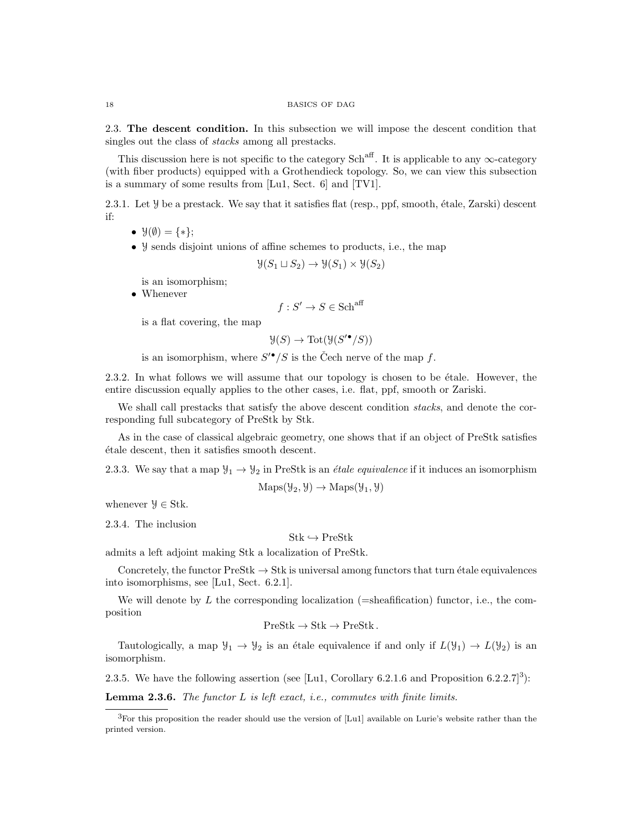2.3. The descent condition. In this subsection we will impose the descent condition that singles out the class of stacks among all prestacks.

This discussion here is not specific to the category Sch<sup>aff</sup>. It is applicable to any  $\infty$ -category (with fiber products) equipped with a Grothendieck topology. So, we can view this subsection is a summary of some results from [Lu1, Sect. 6] and [TV1].

2.3.1. Let  $\mathcal Y$  be a prestack. We say that it satisfies flat (resp., ppf, smooth, étale, Zarski) descent if:

- $\mathcal{Y}(\emptyset) = \{*\};$
- Y sends disjoint unions of affine schemes to products, i.e., the map

$$
\mathcal{Y}(S_1 \sqcup S_2) \to \mathcal{Y}(S_1) \times \mathcal{Y}(S_2)
$$

is an isomorphism;

• Whenever

$$
f: S' \to S \in \mathbf{Sch}^{\mathrm{aff}}
$$

is a flat covering, the map

$$
\mathcal{Y}(S) \to \text{Tot}(\mathcal{Y}(S^{\prime \bullet}/S))
$$

is an isomorphism, where  $S^{\prime \bullet}/S$  is the Čech nerve of the map f.

2.3.2. In what follows we will assume that our topology is chosen to be étale. However, the entire discussion equally applies to the other cases, i.e. flat, ppf, smooth or Zariski.

We shall call prestacks that satisfy the above descent condition *stacks*, and denote the corresponding full subcategory of PreStk by Stk.

As in the case of classical algebraic geometry, one shows that if an object of PreStk satisfies ´etale descent, then it satisfies smooth descent.

2.3.3. We say that a map  $\mathcal{Y}_1 \to \mathcal{Y}_2$  in PreStk is an *étale equivalence* if it induces an isomorphism

 $\text{Maps}(\mathcal{Y}_2, \mathcal{Y}) \to \text{Maps}(\mathcal{Y}_1, \mathcal{Y})$ 

whenever  $\mathcal{Y} \in \text{Stk}$ .

2.3.4. The inclusion

# $Stk \hookrightarrow PreStk$

admits a left adjoint making Stk a localization of PreStk.

Concretely, the functor  $\text{PreStk} \to \text{Stk}$  is universal among functors that turn étale equivalences into isomorphisms, see [Lu1, Sect. 6.2.1].

We will denote by  $L$  the corresponding localization (=sheafification) functor, i.e., the composition

$$
PreStk \to Stk \to PreStk .
$$

Tautologically, a map  $\mathcal{Y}_1 \to \mathcal{Y}_2$  is an étale equivalence if and only if  $L(\mathcal{Y}_1) \to L(\mathcal{Y}_2)$  is an isomorphism.

2.3.5. We have the following assertion (see [Lu1, Corollary 6.2.1.6 and Proposition 6.2.2.7]<sup>3</sup>):

**Lemma 2.3.6.** The functor  $L$  is left exact, i.e., commutes with finite limits.

<sup>3</sup>For this proposition the reader should use the version of [Lu1] available on Lurie's website rather than the printed version.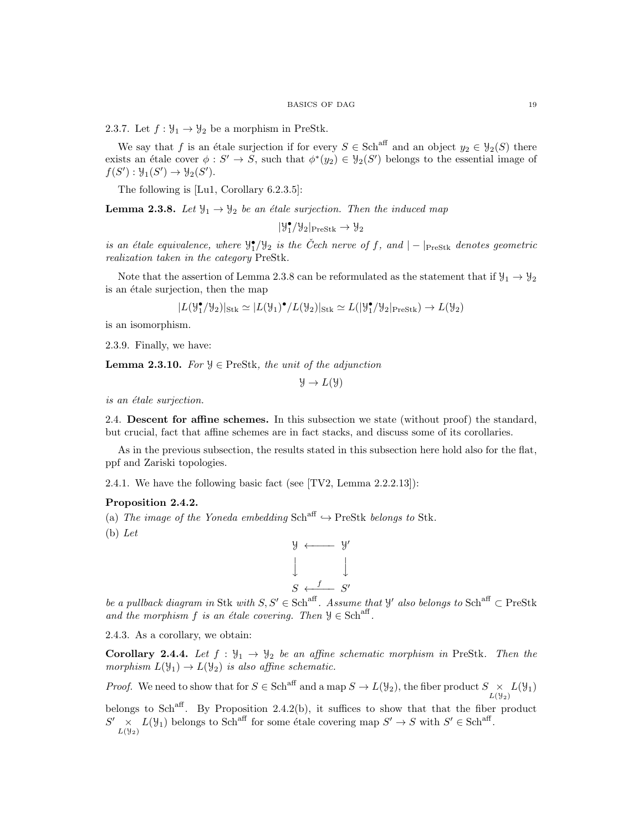2.3.7. Let  $f : \mathcal{Y}_1 \to \mathcal{Y}_2$  be a morphism in PreStk.

We say that f is an étale surjection if for every  $S \in \text{Sch}^{\text{aff}}$  and an object  $y_2 \in \mathcal{Y}_2(S)$  there exists an étale cover  $\phi : S' \to S$ , such that  $\phi^*(y_2) \in \mathcal{Y}_2(S')$  belongs to the essential image of  $f(S') : \mathcal{Y}_1(S') \to \mathcal{Y}_2(S')$ .

The following is [Lu1, Corollary 6.2.3.5]:

**Lemma 2.3.8.** Let  $\mathcal{Y}_1 \rightarrow \mathcal{Y}_2$  be an étale surjection. Then the induced map

 $|\mathcal{Y}_1^\bullet/\mathcal{Y}_2|_{\mathrm{PreStk}} \to \mathcal{Y}_2$ 

is an étale equivalence, where  $\mathcal{Y}_1^{\bullet}/\mathcal{Y}_2$  is the Čech nerve of f, and  $|-|_{\text{PreStk}}$  denotes geometric realization taken in the category PreStk.

Note that the assertion of Lemma 2.3.8 can be reformulated as the statement that if  $\mathcal{Y}_1 \to \mathcal{Y}_2$ is an étale surjection, then the map

$$
|L(\mathcal{Y}_1^\bullet/\mathcal{Y}_2)|_{\rm Stk} \simeq |L(\mathcal{Y}_1)^\bullet/L(\mathcal{Y}_2)|_{\rm Stk} \simeq L(|\mathcal{Y}_1^\bullet/\mathcal{Y}_2|_{\rm PreStk}) \to L(\mathcal{Y}_2)
$$

is an isomorphism.

2.3.9. Finally, we have:

**Lemma 2.3.10.** For  $y \in \text{PreStk}$ , the unit of the adjunction

 $\mathcal{Y} \to L(\mathcal{Y})$ 

is an étale surjection.

2.4. Descent for affine schemes. In this subsection we state (without proof) the standard, but crucial, fact that affine schemes are in fact stacks, and discuss some of its corollaries.

As in the previous subsection, the results stated in this subsection here hold also for the flat, ppf and Zariski topologies.

2.4.1. We have the following basic fact (see [TV2, Lemma 2.2.2.13]):

# Proposition 2.4.2.

(a) The image of the Yoneda embedding  $Sch^{aff} \rightarrow \text{PreStk}$  belongs to Stk.

(b) Let



be a pullback diagram in Stk with  $S, S' \in Sch^{aff}$ . Assume that  $\mathcal{Y}'$  also belongs to  $Sch^{aff} \subset PreStk$ and the morphism f is an étale covering. Then  $\mathcal{Y} \in \text{Sch}^{\text{aff}}$ .

2.4.3. As a corollary, we obtain:

**Corollary 2.4.4.** Let  $f : \mathcal{Y}_1 \to \mathcal{Y}_2$  be an affine schematic morphism in PreStk. Then the morphism  $L(\mathcal{Y}_1) \to L(\mathcal{Y}_2)$  is also affine schematic.

*Proof.* We need to show that for  $S \in Sch^{aff}$  and a map  $S \to L(\mathcal{Y}_2)$ , the fiber product  $S \underset{L(\mathcal{Y}_2)}{\times} L(\mathcal{Y}_1)$ 

belongs to Sch<sup>aff</sup>. By Proposition 2.4.2(b), it suffices to show that that the fiber product  $S' \underset{L(\mathcal{Y}_2)}{\times} L(\mathcal{Y}_1)$  belongs to Sch<sup>aff</sup> for some étale covering map  $S' \to S$  with  $S' \in Sch$ <sup>aff</sup>.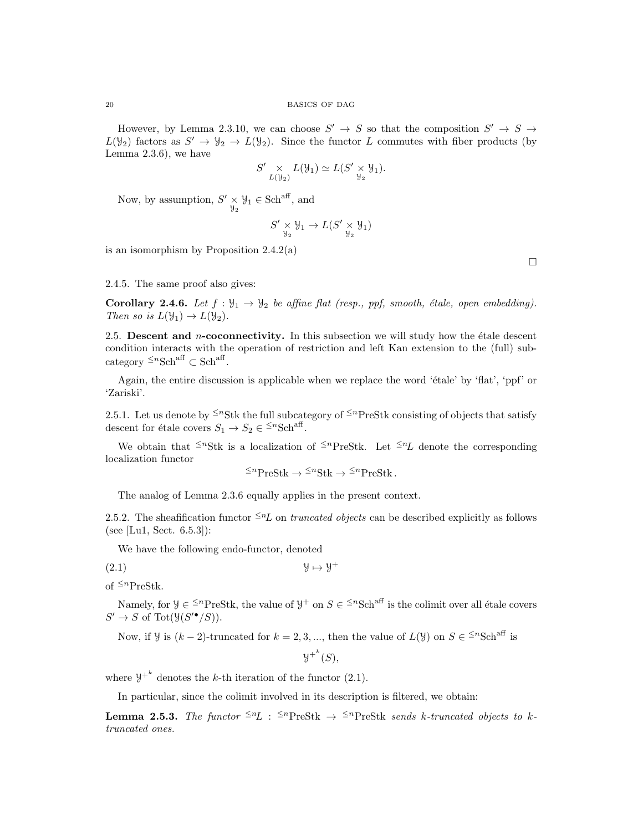However, by Lemma 2.3.10, we can choose  $S' \to S$  so that the composition  $S' \to S \to$  $L(\mathcal{Y}_2)$  factors as  $S' \to \mathcal{Y}_2 \to L(\mathcal{Y}_2)$ . Since the functor L commutes with fiber products (by Lemma 2.3.6), we have

$$
S' \underset{L(\mathcal{Y}_2)}{\times} L(\mathcal{Y}_1) \simeq L(S' \underset{\mathcal{Y}_2}{\times} \mathcal{Y}_1).
$$

Now, by assumption,  $S' \times \mathcal{Y}_1 \in \text{Sch}^{\text{aff}}$ , and

$$
S' \underset{\mathcal{Y}_2}{\times} \mathcal{Y}_1 \to L(S' \underset{\mathcal{Y}_2}{\times} \mathcal{Y}_1)
$$

is an isomorphism by Proposition 2.4.2(a)

2.4.5. The same proof also gives:

**Corollary 2.4.6.** Let  $f : \mathcal{Y}_1 \to \mathcal{Y}_2$  be affine flat (resp., ppf, smooth, étale, open embedding). Then so is  $L(\mathcal{Y}_1) \to L(\mathcal{Y}_2)$ .

2.5. Descent and *n*-coconnectivity. In this subsection we will study how the étale descent condition interacts with the operation of restriction and left Kan extension to the (full) subcategory  $\leq^n \text{Sch}^{\text{aff}} \subset \text{Sch}^{\text{aff}}$ .

Again, the entire discussion is applicable when we replace the word 'étale' by 'flat', 'ppf' or 'Zariski'.

2.5.1. Let us denote by  $\leq^n$ Stk the full subcategory of  $\leq^n$ PreStk consisting of objects that satisfy descent for étale covers  $S_1 \to S_2 \in {}^{\leq n}Sch^{aff}$ .

We obtain that  $\leq^n$ Stk is a localization of  $\leq^n$ PreStk. Let  $\leq^n L$  denote the corresponding localization functor

$$
\leq^n \text{PreStk} \to \leq^n \text{Stk} \to \leq^n \text{PreStk}.
$$

The analog of Lemma 2.3.6 equally applies in the present context.

2.5.2. The sheafification functor  $\leq n\text{L}$  on truncated objects can be described explicitly as follows (see [Lu1, Sect. 6.5.3]):

We have the following endo-functor, denoted

 $(2.1)$   $\mathcal{Y} \mapsto \mathcal{Y}^+$ 

of  $\leq^n$ PreStk.

Namely, for  $\mathcal{Y} \in \{k\}^n$  PreStk, the value of  $\mathcal{Y}^+$  on  $S \in \{k\}^n$  is the colimit over all étale covers  $S' \to S$  of Tot( $\mathfrak{Y}(S'^{\bullet}/S)$ ).

Now, if *y* is  $(k-2)$ -truncated for  $k = 2, 3, ...$ , then the value of  $L(y)$  on  $S \in \leq^n \text{Sch}^{\text{aff}}$  is

$$
{\mathcal Y^+}^k(S),
$$

where  $y^{+k}$  denotes the k-th iteration of the functor (2.1).

In particular, since the colimit involved in its description is filtered, we obtain:

**Lemma 2.5.3.** The functor  $\leq^n L$  :  $\leq^n \text{PreStk } \rightarrow \leq^n \text{PreStk }$  sends k-truncated objects to ktruncated ones.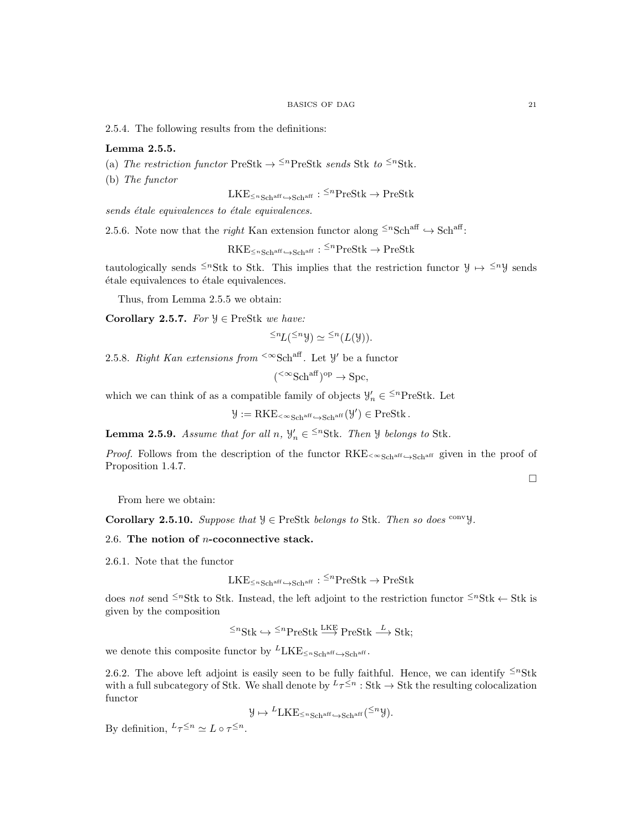2.5.4. The following results from the definitions:

## Lemma 2.5.5.

- (a) The restriction functor PreStk  $\rightarrow$  <sup> $\leq$ n</sup>PreStk sends Stk to <sup> $\leq$ n</sup>Stk.
- (b) The functor

$$
\mathrm{LKE}_{\leq n\mathrm{Sch}^{\mathrm{aff}}}{\hookrightarrow}\mathrm{Sch}^{\mathrm{aff}}:\,^{\leq n}\mathrm{PreStk}\rightarrow\mathrm{PreStk}
$$

 $sends\$ étale equivalences to étale equivalences.

2.5.6. Note now that the *right* Kan extension functor along  $\leq^n \text{Sch}^{\text{aff}} \hookrightarrow \text{Sch}^{\text{aff}}$ :

 $\mathrm{RKE}_{\le n\mathrm{Sch}^{\mathrm{aff}}}\xspace \to \mathrm{Schar} \mathrm{f}:\,^{\le n}\mathrm{PreStk}\xspace \to \mathrm{PreStk}$ 

tautologically sends <sup>≤n</sup>Stk to Stk. This implies that the restriction functor  $y \mapsto$  <sup>≤n</sup>y sends étale equivalences to étale equivalences.

Thus, from Lemma 2.5.5 we obtain:

Corollary 2.5.7. For  $\mathcal{Y} \in \text{PreStk}$  we have:

$$
\leq^n L(\leq^n \mathcal{Y}) \simeq \leq^n (L(\mathcal{Y})).
$$

2.5.8. Right Kan extensions from <sup><∞</sup>Sch<sup>aff</sup>. Let  $\mathcal{Y}'$  be a functor

$$
(\leq \infty \text{Sch}^{\text{aff}})^{\text{op}} \to \text{Spc},
$$

which we can think of as a compatible family of objects  $\mathcal{Y}'_n \in \leq^n \text{PreStk}$ . Let

$$
\mathcal{Y}:=\operatorname{RKE}_{\leq \infty\operatorname{Sch}^{\operatorname{aff}} \hookrightarrow \operatorname{Sch}^{\operatorname{aff}}}(\mathcal{Y}') \in \operatorname{PreStk}.
$$

**Lemma 2.5.9.** Assume that for all  $n, \forall n \in \{1, 3, 6\}$  belongs to Stk.

*Proof.* Follows from the description of the functor  $RKE_{< \infty Sch^{aff}}$  given in the proof of Proposition 1.4.7.

 $\Box$ 

From here we obtain:

Corollary 2.5.10. Suppose that  $\mathcal{Y} \in \text{PreStk}$  belongs to Stk. Then so does convy.

# 2.6. The notion of n-coconnective stack.

2.6.1. Note that the functor

$$
\mathrm{LKE}_{\leq n\mathrm{Sch}^{\mathrm{aff}}}{\hookrightarrow}\mathrm{Sch}^{\mathrm{aff}}:\,^{\leq n}\mathrm{PreStk}\rightarrow\mathrm{PreStk}
$$

does not send  $\leq^n$ Stk to Stk. Instead, the left adjoint to the restriction functor  $\leq^n$ Stk  $\leftarrow$  Stk is given by the composition

$$
\leq^n \text{Stk} \hookrightarrow \leq^n \text{PreStk} \xrightarrow{\text{LKE}} \text{PreStk} \xrightarrow{L} \text{Stk};
$$

we denote this composite functor by  $LLE_{\leq nSchr}$   $\rightarrow$   $Schr}$ .

2.6.2. The above left adjoint is easily seen to be fully faithful. Hence, we can identify  $\leq^n$ Stk with a full subcategory of Stk. We shall denote by  $L_{\tau} \leq n : \text{Stk} \to \text{Stk}$  the resulting colocalization functor

$$
\mathcal{Y} \mapsto {}^{L}\text{LKE}_{\leq n\text{Sch}^{\text{aff}} \hookrightarrow \text{Sch}^{\text{aff}}}({}^{\leq n}\mathcal{Y}).
$$

By definition,  ${}^L\tau^{\leq n} \simeq L \circ \tau^{\leq n}$ .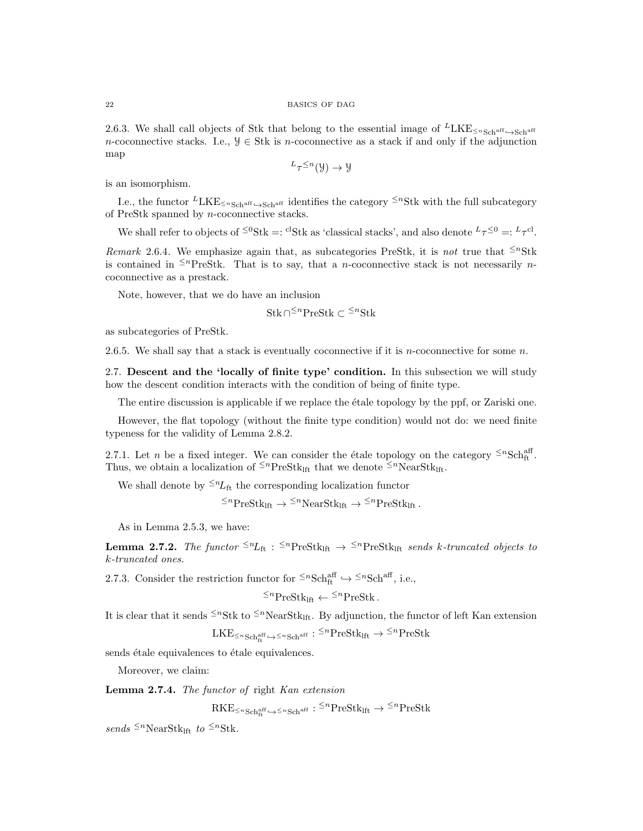2.6.3. We shall call objects of Stk that belong to the essential image of  $L_{LKE \leq nSch^{aff}} \sim_{Sch^{aff}}$ n-coconnective stacks. I.e.,  $\mathcal{Y} \in \text{Stk}$  is n-coconnective as a stack if and only if the adjunction map

$$
L_{\tau}^{\leq n}(\mathcal{Y}) \to \mathcal{Y}
$$

is an isomorphism.

I.e., the functor  $LKE_{\leq nSchr}$  identifies the category  $\leq nSK$  with the full subcategory of PreStk spanned by n-coconnective stacks.

We shall refer to objects of <sup> $\leq 0$ </sup>Stk =: <sup>cl</sup>Stk as 'classical stacks', and also denote  $L_{\tau} \leq 0 =: L_{\tau}$ <sup>cl</sup>.

Remark 2.6.4. We emphasize again that, as subcategories PreStk, it is not true that  $\leq^n \text{Stk}$ is contained in <sup> $\leq n$ </sup>PreStk. That is to say, that a *n*-coconnective stack is not necessarily *n*coconnective as a prestack.

Note, however, that we do have an inclusion

Stk∩<sup>≤n</sup>PreStk ⊂ <sup>≤n</sup>Stk

as subcategories of PreStk.

2.6.5. We shall say that a stack is eventually coconnective if it is *n*-coconnective for some  $n$ .

2.7. Descent and the 'locally of finite type' condition. In this subsection we will study how the descent condition interacts with the condition of being of finite type.

The entire discussion is applicable if we replace the étale topology by the ppf, or Zariski one.

However, the flat topology (without the finite type condition) would not do: we need finite typeness for the validity of Lemma 2.8.2.

2.7.1. Let *n* be a fixed integer. We can consider the étale topology on the category  $\leq n\text{Sch}^{\text{aff}}_{\text{ft}}$ . Thus, we obtain a localization of <sup> $\leq n$ </sup>PreStk<sub>lft</sub> that we denote  $\leq n$ NearStk<sub>lft</sub>.

We shall denote by  $\leq n_{\text{Lft}}$  the corresponding localization functor

 $\leq^n \text{PreStk}_{\text{left}} \rightarrow \leq^n \text{NearStk}_{\text{left}} \rightarrow \leq^n \text{PreStk}_{\text{left}}$ .

As in Lemma 2.5.3, we have:

**Lemma 2.7.2.** The functor  $\leq^{n}L_{ft}$  :  $\leq^{n}PreStk_{lft} \rightarrow \leq^{n}PreStk_{lft}$  sends k-truncated objects to k-truncated ones.

2.7.3. Consider the restriction functor for  $\leq^n \text{Sch}^{\text{aff}}_{\text{ft}} \hookrightarrow \leq^n \text{Sch}^{\text{aff}}_{\text{ft}}$ , i.e.,

 $\leq^n$ PreStk<sub>lft</sub>  $\leftarrow$   $\leq^n$ PreStk.

It is clear that it sends  $\leq^n$ Stk to  $\leq^n$ NearStk<sub>lft</sub>. By adjunction, the functor of left Kan extension

 $\text{LKE}_{\leq n\text{Sch}^{\text{aff}}_{\text{ft}}\hookrightarrow\leq n\text{Sch}^{\text{aff}}}:\overset{<}{\text{}}^n\text{PreStk}_{\text{lft}}\to\overset{<}{\text{}}^n\text{PreStk}$ 

sends étale equivalences to étale equivalences.

Moreover, we claim:

Lemma 2.7.4. The functor of right Kan extension

 $\mathrm{RKE}_{\le n\,\mathrm{Sch}^{\mathrm{aff}}_{{\mathrm{ft}}}\hookrightarrow\le n\mathrm{Sch}^{\mathrm{aff}}}:{}^{\le n}\mathrm{PreStk}_{\mathrm{lft}}\to{}^{\le n}\mathrm{PreStk}$ 

sends  $\leq^n$ NearStk<sub>lft</sub> to  $\leq^n$ Stk.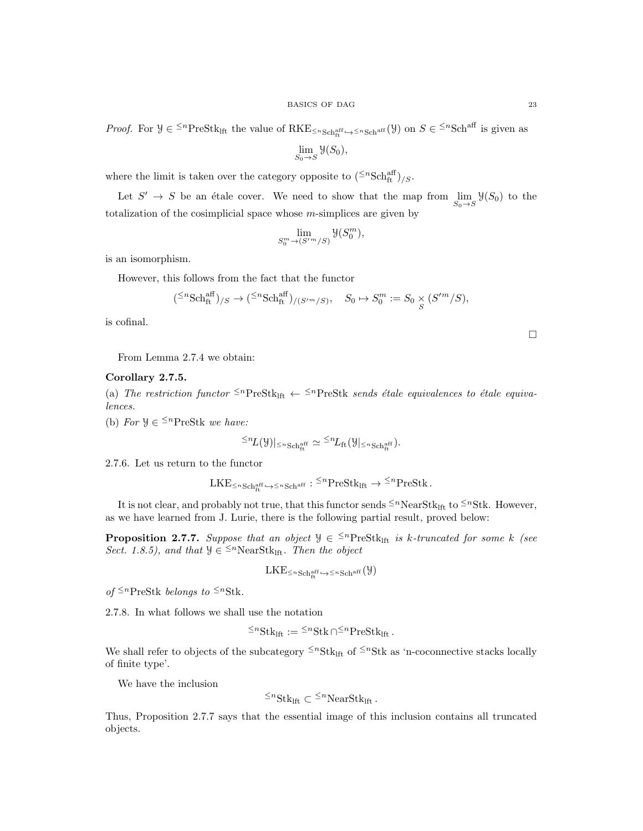*Proof.* For  $\mathcal{Y} \in \{^{\text{sp}}\text{PreStk}_{\text{lift}}\}$  the value of  $RKE_{\leq n\text{Sch}^{\text{aff}}_{\text{ft}} \hookrightarrow \{^{\text{sp}}\text{Sch}^{\text{aff}}(\mathcal{Y})\}$  on  $S \in \{^{\text{sp}}\text{Sch}^{\text{aff}}\}$  is given as

$$
\lim_{S_0 \to S} \mathcal{Y}(S_0),
$$

where the limit is taken over the category opposite to  $(\leq^{n} \text{Sch}^{\text{aff}}_{\text{ft}})_{/S}$ .

Let  $S' \to S$  be an étale cover. We need to show that the map from  $\lim_{S_0 \to S} \mathcal{Y}(S_0)$  to the totalization of the cosimplicial space whose  $m$ -simplices are given by

$$
\lim_{S_0^m \to (S'^m/S)} \mathcal{Y}(S_0^m),
$$

is an isomorphism.

However, this follows from the fact that the functor

$$
({}^{\leq n}\text{Sch}^{\text{aff}}_{\text{ft}})_{/S} \to ({}^{\leq n}\text{Sch}^{\text{aff}}_{\text{ft}})_{/(S'^m/S)}, \quad S_0 \mapsto S_0^m := S_0 \underset{S}{\times} (S'^m/S),
$$

is cofinal.

 $\Box$ 

From Lemma 2.7.4 we obtain:

# Corollary 2.7.5.

(a) The restriction functor  $\leq^n$ PreStk<sub>lft</sub>  $\leftarrow$   $\leq^n$ PreStk *sends étale equivalences to étale equiva*lences.

(b) For  $\mathcal{Y} \in \leq^n \text{PreStk}$  we have:

$$
\leq nL(\mathcal{Y})|_{\leq n\operatorname{Sch}^{\operatorname{aff}}_{\operatorname{ft}}}\simeq \leq nL_{\operatorname{ft}}(\mathcal{Y}|_{\leq n\operatorname{Sch}^{\operatorname{aff}}_{\operatorname{ft}}}).
$$

2.7.6. Let us return to the functor

$$
\mathrm{LKE}_{\leq n\mathrm{Sch}^{\mathrm{aff}}_{\mathrm{ft}}}\hookrightarrow\leq n\mathrm{Sch}^{\mathrm{aff}}_{\mathrm{}}:\leq^{n}\mathrm{PreStk}_{\mathrm{lft}}\rightarrow\leq^{n}\mathrm{PreStk}\,.
$$

It is not clear, and probably not true, that this functor sends  $\leq^n\text{NearStk}_{\text{lft}}$  to  $\leq^n\text{Stk}$ . However, as we have learned from J. Lurie, there is the following partial result, proved below:

**Proposition 2.7.7.** Suppose that an object  $\mathcal{Y} \in \{^{\text{S}} \in \mathcal{Y} \mid \text{S} \in \mathcal{Y} \}$  is k-truncated for some k (see Sect. 1.8.5), and that  $\mathcal{Y} \in \leq^{n} \text{NearStk}_{\text{lf}}$ . Then the object

$$
\mathrm{LKE}_{\leq n\,\mathrm{Sch}^{\mathrm{aff}}_{\mathrm{ft}}}\hookrightarrow \leq n\,\mathrm{Sch}^{\mathrm{aff}}\left(\mathcal{Y}\right)
$$

of  $\leq^n$ PreStk belongs to  $\leq^n$ Stk.

2.7.8. In what follows we shall use the notation

$$
\leq^n \text{Stk}_{\text{lft}} := \leq^n \text{Stk} \cap \leq^n \text{PreStk}_{\text{lft}}.
$$

We shall refer to objects of the subcategory  $\leq^n \text{Stk}_{\text{lift}}$  of  $\leq^n \text{Stk}$  as 'n-coconnective stacks locally of finite type'.

We have the inclusion

$$
\leq^n \text{Stk}_{\text{lft}} \subset \leq^n \text{NearStk}_{\text{lft}}.
$$

Thus, Proposition 2.7.7 says that the essential image of this inclusion contains all truncated objects.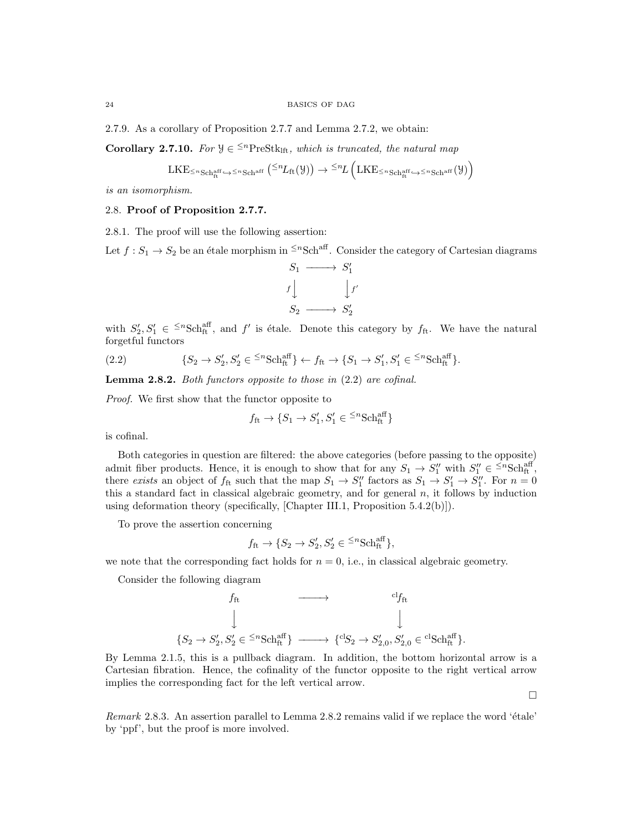2.7.9. As a corollary of Proposition 2.7.7 and Lemma 2.7.2, we obtain:

**Corollary 2.7.10.** For  $\mathcal{Y} \in \{^{\text{S}}_n\}$  which is truncated, the natural map

$$
\mathrm{LKE}_{\leq n\,\mathrm{Sch}^{\mathrm{aff}}_{\mathrm{ft}}\hookrightarrow\leq n\,\mathrm{Sch}^{\mathrm{aff}}}\left(^{\leq n}L_{\mathrm{ft}}(\mathcal{Y})\right)\rightarrow\leq^{n}L\left(\mathrm{LKE}_{\leq n\,\mathrm{Sch}^{\mathrm{aff}}_{\mathrm{ft}}}\hookrightarrow\leq n\,\mathrm{Sch}^{\mathrm{aff}}_{\mathrm{t}}(\mathcal{Y})\right)
$$

is an isomorphism.

# 2.8. Proof of Proposition 2.7.7.

2.8.1. The proof will use the following assertion:

Let  $f: S_1 \to S_2$  be an étale morphism in <sup> $\leq n$ </sup>Sch<sup>aff</sup>. Consider the category of Cartesian diagrams

$$
S_1 \longrightarrow S'_1
$$
  

$$
f \downarrow \qquad \qquad \downarrow f'
$$
  

$$
S_2 \longrightarrow S'_2
$$

with  $S'_2, S'_1 \in {}^{\leq n} {\rm Sch}^{\rm aff}_{\rm ft}$ , and f' is étale. Denote this category by  $f_{\rm ft}$ . We have the natural forgetful functors

(2.2) 
$$
\{S_2 \to S_2', S_2' \in {}^{\leq n}S\text{ch}_{\text{ft}}^{\text{aff}}\} \leftarrow f_{\text{ft}} \to \{S_1 \to S_1', S_1' \in {}^{\leq n}S\text{ch}_{\text{ft}}^{\text{aff}}\}.
$$

Lemma 2.8.2. Both functors opposite to those in  $(2.2)$  are cofinal.

Proof. We first show that the functor opposite to

$$
f_{\text{ft}} \to \{S_1 \to S_1', S_1' \in {}^{\leq n} {\text{Sch}}^{\text{aff}}_{\text{ft}}\}
$$

is cofinal.

Both categories in question are filtered: the above categories (before passing to the opposite) admit fiber products. Hence, it is enough to show that for any  $S_1 \to S_1''$  with  $S_1'' \in {}^{\leq n} {\rm Sch}^{\rm aff}_{\rm ft}$ , there exists an object of  $f_{\text{ft}}$  such that the map  $S_1 \to S_1''$  factors as  $S_1 \to S_1' \to S_1''$ . For  $n = 0$ this a standard fact in classical algebraic geometry, and for general  $n$ , it follows by induction using deformation theory (specifically, [Chapter III.1, Proposition 5.4.2(b)]).

To prove the assertion concerning

$$
f_{\text{ft}} \to \{S_2 \to S_2', S_2' \in {}^{\leq n} {\text{Sch}}^{\text{aff}}_{\text{ft}}\},\
$$

we note that the corresponding fact holds for  $n = 0$ , i.e., in classical algebraic geometry.

Consider the following diagram

$$
\begin{array}{ccc} & f_{\text{ft}} & \longrightarrow & ^{\text{cl}} f_{\text{ft}} \\ & \downarrow & & \downarrow \\ & \downarrow & & \downarrow \\ \{S_2 \to S_2', S_2' \in \,^{\text{cr}} \text{Sch}^{\text{aff}}_{\text{ft}} \} & \longrightarrow & \{^{\text{cl}} S_2 \to S_{2,0}', S_{2,0}' \in \,^{\text{cl}} \text{Sch}^{\text{aff}}_{\text{ft}} \}. \end{array}
$$

By Lemma 2.1.5, this is a pullback diagram. In addition, the bottom horizontal arrow is a Cartesian fibration. Hence, the cofinality of the functor opposite to the right vertical arrow implies the corresponding fact for the left vertical arrow.

Remark 2.8.3. An assertion parallel to Lemma 2.8.2 remains valid if we replace the word 'étale' by 'ppf', but the proof is more involved.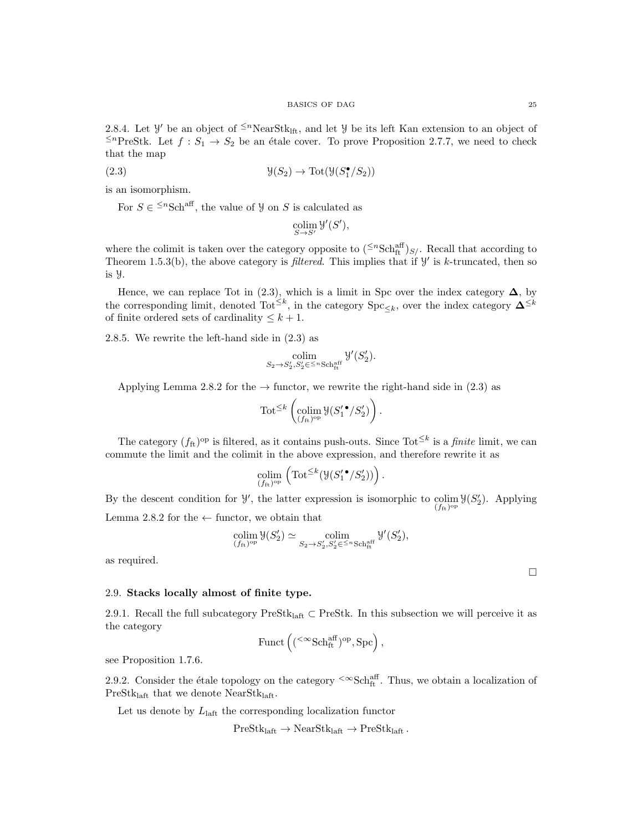2.8.4. Let  $\mathcal{Y}'$  be an object of <sup> $\leq n$ </sup>NearStk<sub>lft</sub>, and let  $\mathcal{Y}$  be its left Kan extension to an object of <sup>≤n</sup>PreStk. Let  $f : S_1 \to S_2$  be an étale cover. To prove Proposition 2.7.7, we need to check that the map

(2.3) 
$$
\mathcal{Y}(S_2) \to \text{Tot}(\mathcal{Y}(S_1^{\bullet}/S_2))
$$

is an isomorphism.

For  $S \in \leq^n \text{Sch}^{\text{aff}}$ , the value of  $\mathcal{Y}$  on  $S$  is calculated as

$$
\operatornamewithlimits{colim}_{S \to S'} \mathcal{Y}'(S'),
$$

where the colimit is taken over the category opposite to  $({}^{\leq n} {\rm Sch}^{\rm aff}_{\rm ft})_{S/-}$  Recall that according to Theorem 1.5.3(b), the above category is *filtered*. This implies that if  $\mathcal{Y}'$  is k-truncated, then so is Y.

Hence, we can replace Tot in (2.3), which is a limit in Spc over the index category  $\Delta$ , by the corresponding limit, denoted  $\text{Tot}^{\leq k}$ , in the category  $\text{Spc}_{\leq k}$ , over the index category  $\mathbf{\Delta}^{\leq k}$ of finite ordered sets of cardinality  $\leq k+1$ .

2.8.5. We rewrite the left-hand side in (2.3) as

$$
\operatornamewithlimits{colim}_{S_2\to S_2',S_2'\in~^{\leq n}\operatornamewithlimits{Sch}^{\operatorname{aff}}_{\operatorname{ft}}} \mathcal{Y}'(S_2').
$$

Applying Lemma 2.8.2 for the  $\rightarrow$  functor, we rewrite the right-hand side in (2.3) as

$$
\text{Tot}^{\leq k} \left( \underset{(f_{\text{ft}})^{\text{op}}}{\text{colim}} \mathcal{Y}(S_1' \cdot / S_2') \right).
$$

The category  $(f_{\text{ft}})^{\text{op}}$  is filtered, as it contains push-outs. Since Tot<sup> $\leq k$ </sup> is a *finite* limit, we can commute the limit and the colimit in the above expression, and therefore rewrite it as

$$
\operatorname*{colim}_{(f_{\operatorname{ft}})^{\operatorname{op}}}\left(\operatorname{Tot}^{\leq k}(\mathcal{Y}(S_{1}'\bullet/S_{2}'))\right).
$$

By the descent condition for  $\mathcal{Y}'$ , the latter expression is isomorphic to colim  $\mathcal{Y}(S'_2)$ . Applying  $(f_{\text{ft}})^{\text{op}}$ Lemma 2.8.2 for the  $\leftarrow$  functor, we obtain that

$$
\operatorname*{colim}_{(f_{\mathrm{ft}})^{\mathrm{op}}} \mathfrak{Y}(S'_2) \simeq \operatorname*{colim}_{S_2 \to S'_2, S'_2 \in \mathbb{S}^{\mathrm{op}}} \operatorname*{col}_{\mathrm{ft}}^{\mathrm{aff}} \mathfrak{Y}'(S'_2),
$$

as required.

### 2.9. Stacks locally almost of finite type.

2.9.1. Recall the full subcategory PreSt $k_{\text{last}}$   $\subset$  PreStk. In this subsection we will perceive it as the category

$$
\mathrm{Funct}\left(({}^{<\infty}\mathrm{Sch}^{\mathrm{aff}}_{\mathrm{ft}})^\mathrm{op}, \mathrm{Spc}\right),
$$

see Proposition 1.7.6.

2.9.2. Consider the étale topology on the category  $\leq \infty$ Sch<sub>ft</sub><sup>ff</sup>. Thus, we obtain a localization of PreSt $k_{\text{left}}$  that we denote NearSt $k_{\text{left}}$ .

Let us denote by  $L_{\text{left}}$  the corresponding localization functor

 $PreStk<sub>left</sub> \rightarrow NearStk<sub>left</sub> \rightarrow PreStk<sub>left</sub>$ .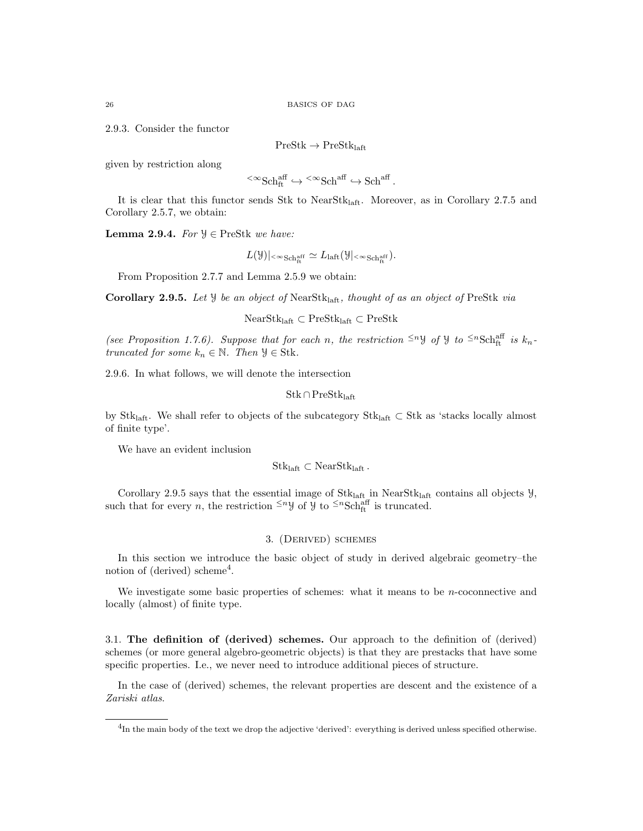2.9.3. Consider the functor

 $PreStk \rightarrow PreStk_{left}$ 

given by restriction along

$$
{}^{<\infty}{\rm Sch}^{{\rm aff}}_{\rm ft} \hookrightarrow {}^{<\infty}{\rm Sch}^{{\rm aff}} \hookrightarrow {\rm Sch}^{{\rm aff}}.
$$

It is clear that this functor sends Stk to NearStk<sub>laft</sub>. Moreover, as in Corollary 2.7.5 and Corollary 2.5.7, we obtain:

Lemma 2.9.4. For  $\mathcal{Y} \in \text{PreStk}$  we have:

$$
L(\mathcal{Y})|_{<\infty \text{Sch}_{\text{ft}}^{\text{aff}}}\simeq L_{\text{laft}}(\mathcal{Y}|_{<\infty \text{Sch}_{\text{ft}}^{\text{aff}}}).
$$

From Proposition 2.7.7 and Lemma 2.5.9 we obtain:

Corollary 2.9.5. Let  $\mathcal Y$  be an object of NearStk<sub>laft</sub>, thought of as an object of PreStk via

NearStklaft ⊂ PreStklaft ⊂ PreStk

(see Proposition 1.7.6). Suppose that for each n, the restriction  $\leq^n y$  of y to  $\leq^n \text{Sch}^{\text{aff}}_{\text{ft}}$  is  $k_n$ truncated for some  $k_n \in \mathbb{N}$ . Then  $\mathcal{Y} \in \text{Stk}$ .

2.9.6. In what follows, we will denote the intersection

 $\mathrm{Stk} \cap \mathrm{PreStk}_{\mathrm{left}}$ 

by Stklaft. We shall refer to objects of the subcategory Stklaft ⊂ Stk as 'stacks locally almost of finite type'.

We have an evident inclusion

 $Stk<sub>laff</sub> \subset NearStk<sub>laff</sub>$ .

Corollary 2.9.5 says that the essential image of  $Stk<sub>laff</sub>$  in NearStk<sub>laft</sub> contains all objects  $\mathcal{Y}$ , such that for every *n*, the restriction  $\leq^n y$  of  $y$  to  $\leq^n \text{Sch}^{\text{aff}}_{\text{ft}}$  is truncated.

# 3. (Derived) schemes

In this section we introduce the basic object of study in derived algebraic geometry–the notion of (derived) scheme<sup>4</sup>.

We investigate some basic properties of schemes: what it means to be  $n$ -coconnective and locally (almost) of finite type.

3.1. The definition of (derived) schemes. Our approach to the definition of (derived) schemes (or more general algebro-geometric objects) is that they are prestacks that have some specific properties. I.e., we never need to introduce additional pieces of structure.

In the case of (derived) schemes, the relevant properties are descent and the existence of a Zariski atlas.

<sup>&</sup>lt;sup>4</sup>In the main body of the text we drop the adjective 'derived': everything is derived unless specified otherwise.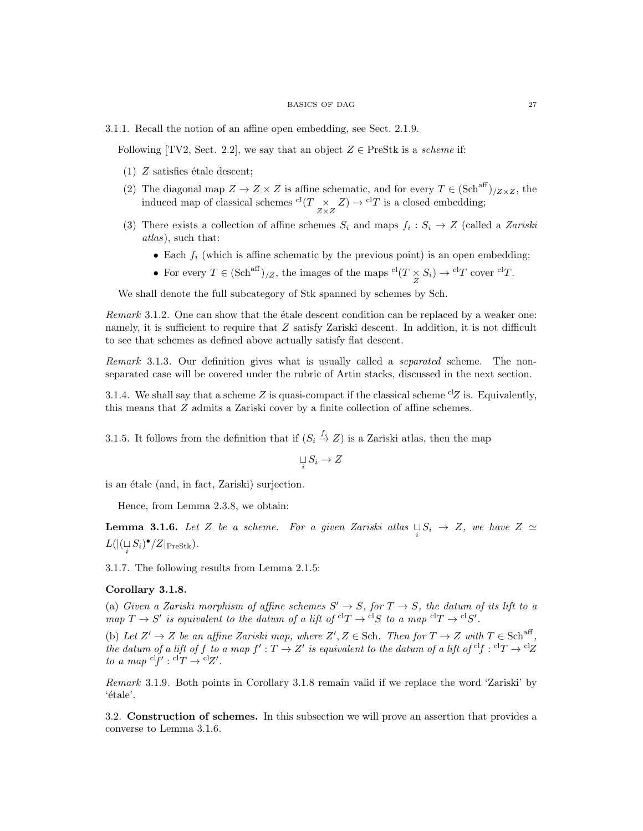#### BASICS OF DAG 27

3.1.1. Recall the notion of an affine open embedding, see Sect. 2.1.9.

Following [TV2, Sect. 2.2], we say that an object  $Z \in \text{PreStk}$  is a scheme if:

- (1)  $Z$  satisfies étale descent;
- (2) The diagonal map  $Z \to Z \times Z$  is affine schematic, and for every  $T \in (\text{Sch}^{\text{aff}})_{/Z \times Z}$ , the induced map of classical schemes  ${}^{cl}(T \underset{Z \times Z}{\times} Z) \rightarrow {}^{cl}T$  is a closed embedding;
- (3) There exists a collection of affine schemes  $S_i$  and maps  $f_i : S_i \to Z$  (called a Zariski atlas), such that:
	- Each  $f_i$  (which is affine schematic by the previous point) is an open embedding;
	- For every  $T \in (\text{Sch}^{\text{aff}})_{Z}$ , the images of the maps  ${}^{\text{cl}}(T \underset{Z}{\times} S_i) \to {}^{\text{cl}}T$  cover  ${}^{\text{cl}}T$ .

We shall denote the full subcategory of Stk spanned by schemes by Sch.

*Remark* 3.1.2. One can show that the  $\acute{e}$ tale descent condition can be replaced by a weaker one: namely, it is sufficient to require that Z satisfy Zariski descent. In addition, it is not difficult to see that schemes as defined above actually satisfy flat descent.

Remark 3.1.3. Our definition gives what is usually called a *separated* scheme. The nonseparated case will be covered under the rubric of Artin stacks, discussed in the next section.

3.1.4. We shall say that a scheme Z is quasi-compact if the classical scheme <sup>cl</sup>Z is. Equivalently, this means that Z admits a Zariski cover by a finite collection of affine schemes.

3.1.5. It follows from the definition that if  $(S_i \stackrel{f_i}{\to} Z)$  is a Zariski atlas, then the map

$$
\bigcup_i S_i \to Z
$$

is an étale (and, in fact, Zariski) surjection.

Hence, from Lemma 2.3.8, we obtain:

**Lemma 3.1.6.** Let Z be a scheme. For a given Zariski atlas  $\bigcup_{i} S_i \rightarrow Z$ , we have  $Z \simeq$  $L(|(\bigcup_i S_i)^\bullet/Z|_{\text{PreStk}}).$ 

3.1.7. The following results from Lemma 2.1.5:

# Corollary 3.1.8.

(a) Given a Zariski morphism of affine schemes  $S' \to S$ , for  $T \to S$ , the datum of its lift to a map  $T \to S'$  is equivalent to the datum of a lift of  ${}^{cl}T \to {}^{cl}S$  to a map  ${}^{cl}T \to {}^{cl}S'$ .

(b) Let  $Z' \to Z$  be an affine Zariski map, where  $Z', Z \in \mathcal{S}$ ch. Then for  $T \to Z$  with  $T \in \mathcal{S}$ ch<sup>aff</sup> , the datum of a lift of f to a map  $f': T \to Z'$  is equivalent to the datum of a lift of  ${}^{cl}f: {}^{cl}T \to {}^{cl}Z$ to a map  ${}^{\text{cl}}f' : {}^{\text{cl}}T \to {}^{\text{cl}}Z'.$ 

Remark 3.1.9. Both points in Corollary 3.1.8 remain valid if we replace the word 'Zariski' by 'étale'.

3.2. Construction of schemes. In this subsection we will prove an assertion that provides a converse to Lemma 3.1.6.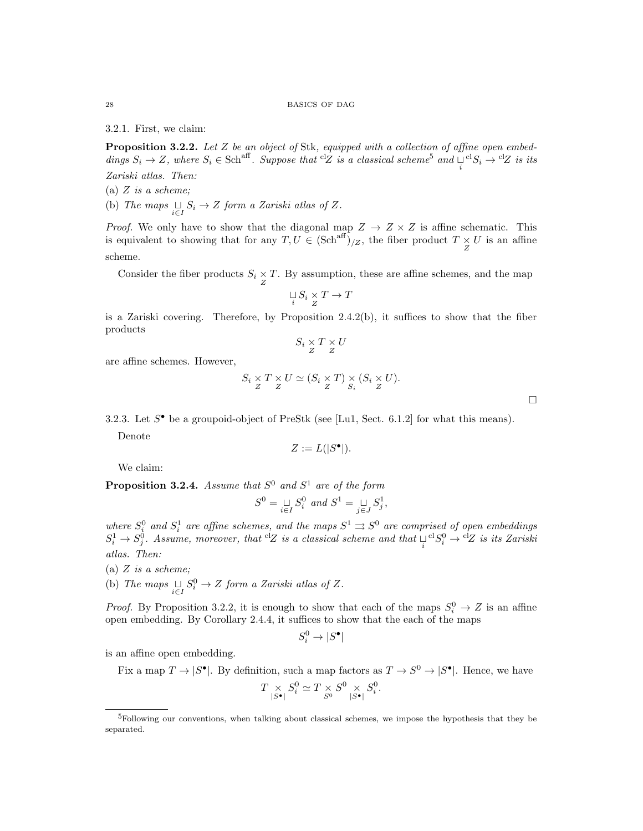28 BASICS OF DAG

3.2.1. First, we claim:

Proposition 3.2.2. Let Z be an object of Stk, equipped with a collection of affine open embeddings  $S_i \to Z$ , where  $S_i \in \text{Sch}^{\text{aff}}$ . Suppose that <sup>cl</sup>Z is a classical scheme<sup>5</sup> and  $\bigcup_i {}^{\text{cl}}S_i \to {}^{\text{cl}}Z$  is its Zariski atlas. Then:

(a)  $Z$  is a scheme;

(b) The maps  $\bigcup_{i \in I} S_i \to Z$  form a Zariski atlas of Z.

*Proof.* We only have to show that the diagonal map  $Z \rightarrow Z \times Z$  is affine schematic. This is equivalent to showing that for any  $T, U \in (\text{Sch}^{\text{aff}})_{Z}$ , the fiber product  $T \times U$  is an affine scheme.

Consider the fiber products  $S_i \times T$ . By assumption, these are affine schemes, and the map

$$
\mathop{\sqcup}\limits_i S_i \mathop{\times}\limits_Z T \to T
$$

is a Zariski covering. Therefore, by Proposition 2.4.2(b), it suffices to show that the fiber products

$$
S_i \underset{Z}{\times} T \underset{Z}{\times} U
$$

are affine schemes. However,

$$
S_i \underset{Z}{\times} T \underset{Z}{\times} U \simeq (S_i \underset{Z}{\times} T) \underset{S_i}{\times} (S_i \underset{Z}{\times} U).
$$

3.2.3. Let  $S^{\bullet}$  be a groupoid-object of PreStk (see [Lu1, Sect. 6.1.2] for what this means).

Denote

$$
Z := L(|S^{\bullet}|).
$$

We claim:

**Proposition 3.2.4.** Assume that  $S^0$  and  $S^1$  are of the form

$$
S^0 = \underset{i \in I}{\sqcup} S_i^0 \text{ and } S^1 = \underset{j \in J}{\sqcup} S_j^1,
$$

where  $S_i^0$  and  $S_i^1$  are affine schemes, and the maps  $S^1 \rightrightarrows S^0$  are comprised of open embeddings  $S_i^1 \to S_j^0$ . Assume, moreover, that <sup>cl</sup>Z is a classical scheme and that  $\bigcup_i^{\text{cl}} S_i^0 \to$  <sup>cl</sup>Z is its Zariski atlas. Then:

(a)  $Z$  is a scheme;

(b) The maps  $\bigcup_{i \in I} S_i^0 \to Z$  form a Zariski atlas of Z.

*Proof.* By Proposition 3.2.2, it is enough to show that each of the maps  $S_i^0 \to Z$  is an affine open embedding. By Corollary 2.4.4, it suffices to show that the each of the maps

$$
S^0_i \to |S^\bullet|
$$

is an affine open embedding.

Fix a map  $T \to |S^{\bullet}|$ . By definition, such a map factors as  $T \to S^0 \to |S^{\bullet}|$ . Hence, we have

$$
T \underset{|S^{\bullet}|}{\times} S_i^0 \simeq T \underset{S^0}{\times} S_i^0 \underset{|S^{\bullet}|}{\times} S_i^0.
$$

<sup>5</sup>Following our conventions, when talking about classical schemes, we impose the hypothesis that they be separated.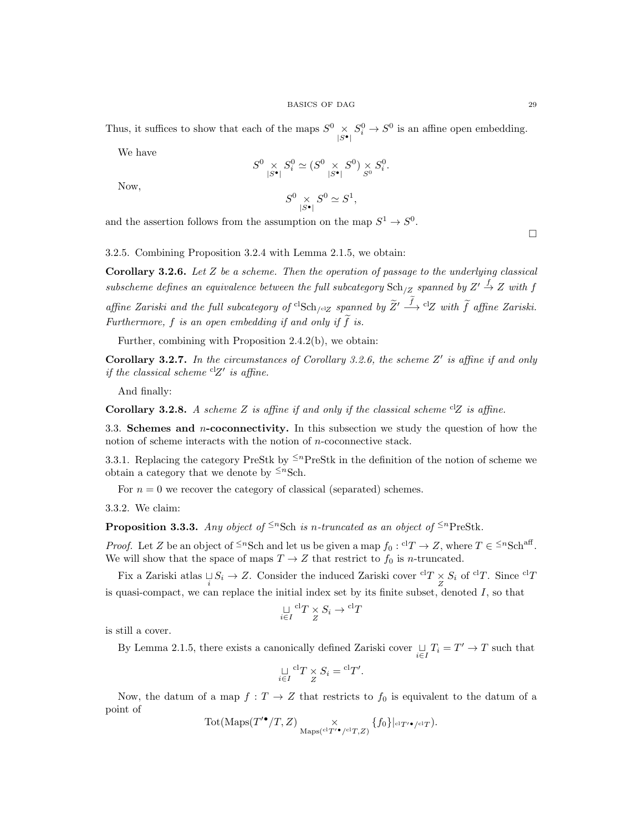Thus, it suffices to show that each of the maps  $S^0 \times S^0_i \to S^0$  is an affine open embedding.

We have

$$
S^0 \underset{|S^{\bullet}|}{\times} S_i^0 \simeq (S^0 \underset{|S^{\bullet}|}{\times} S^0) \underset{S^0}{\times} S_i^0.
$$

Now,

$$
S^0 \underset{|S^\bullet|}{\times} S^0 \simeq S^1,
$$

and the assertion follows from the assumption on the map  $S^1 \to S^0$ .

3.2.5. Combining Proposition 3.2.4 with Lemma 2.1.5, we obtain:

**Corollary 3.2.6.** Let  $Z$  be a scheme. Then the operation of passage to the underlying classical subscheme defines an equivalence between the full subcategory  $\text{Sch}_{/Z}$  spanned by  $Z' \stackrel{f}{\rightarrow} Z$  with f affine Zariski and the full subcategory of  ${}^{cl}$ Sch<sub>/clZ</sub> spanned by  $\widetilde{Z}' \stackrel{f}{\longrightarrow} {}^{cl}Z$  with  $\widetilde{f}$  affine Zariski. Furthermore,  $f$  is an open embedding if and only if  $f$  is.

Further, combining with Proposition 2.4.2(b), we obtain:

Corollary 3.2.7. In the circumstances of Corollary 3.2.6, the scheme  $Z'$  is affine if and only if the classical scheme  ${}^{cl}Z'$  is affine.

And finally:

Corollary 3.2.8. A scheme Z is affine if and only if the classical scheme  ${}^{cl}Z$  is affine.

3.3. Schemes and  $n$ -coconnectivity. In this subsection we study the question of how the notion of scheme interacts with the notion of n-coconnective stack.

3.3.1. Replacing the category PreStk by  $\leq^n$ PreStk in the definition of the notion of scheme we obtain a category that we denote by  $\leq^{n}$ Sch.

For  $n = 0$  we recover the category of classical (separated) schemes.

3.3.2. We claim:

**Proposition 3.3.3.** Any object of  $\leq^n$ Sch is n-truncated as an object of  $\leq^n$ PreStk.

*Proof.* Let Z be an object of  $\leq^n$ Sch and let us be given a map  $f_0: {}^{cl}T \to Z$ , where  $T \in \leq^n$ Sch<sup>aff</sup>. We will show that the space of maps  $T \to Z$  that restrict to  $f_0$  is n-truncated.

Fix a Zariski atlas  $\bigcup_i S_i \to Z$ . Consider the induced Zariski cover  ${}^{cl}T \times S_i$  of  ${}^{cl}T$ . Since  ${}^{cl}T$ is quasi-compact, we can replace the initial index set by its finite subset, denoted  $I$ , so that

$$
\mathop{\sqcup}\limits_{i\in I}\limits^{cl}T\times S_i\to {}^{cl}T
$$

is still a cover.

By Lemma 2.1.5, there exists a canonically defined Zariski cover  $\bigcup_{i \in I} T_i = T' \to T$  such that

$$
\bigcup_{i \in I} {}^{cl}T \times S_i = {}^{cl}T'.
$$

Now, the datum of a map  $f: T \to Z$  that restricts to  $f_0$  is equivalent to the datum of a point of

$$
\mathrm{Tot}(\mathrm{Maps}(T'^{\bullet}/T,Z) \underset{\mathrm{Maps}({}^{\mathrm{cl}}T'^{\bullet}/^{\mathrm{cl}}T,Z)}{\times} \{f_0\}|_{^{ \mathrm{cl}}T'^{\bullet}/^{\mathrm{cl}}T}).
$$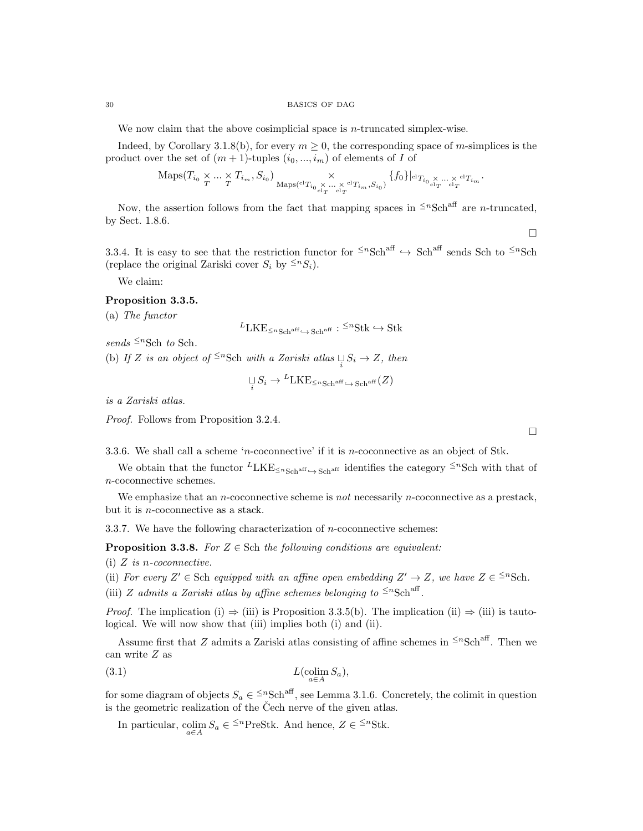We now claim that the above cosimplicial space is *n*-truncated simplex-wise.

Indeed, by Corollary 3.1.8(b), for every  $m \geq 0$ , the corresponding space of m-simplices is the product over the set of  $(m + 1)$ -tuples  $(i_0, ..., i_m)$  of elements of I of

$$
\operatorname{Maps}(T_{i_0} \underset{T}{\times} \dots \underset{T}{\times} T_{i_m}, S_{i_0}) \underset{\operatorname{Maps}^{c1}T_{i_0} \underset{c1_T}{\times} \dots \underset{c1_T}{\times} c1_{T_{i_m}}, S_{i_0})}{\times} \{f_0\}|_{c1_{T_{i_0} \underset{c1_T}{\times} \dots \underset{c1_T}{\times} c1_{T_{i_m}}}.
$$

Now, the assertion follows from the fact that mapping spaces in  $\leq^n\text{Sch}^{\text{aff}}$  are *n*-truncated, by Sect. 1.8.6.

3.3.4. It is easy to see that the restriction functor for  $\leq^n\text{Sch}^{\text{aff}} \to \text{Sch}^{\text{aff}}$  sends Sch to  $\leq^n\text{Sch}$ (replace the original Zariski cover  $S_i$  by  $\leq^n S_i$ ).

We claim:

# Proposition 3.3.5.

(a) The functor

$$
{}^{L}LKE_{\leq n\text{Sch}^{\text{aff}}}\xrightarrow{\sim}\text{Sch}^{\text{aff}}: {}^{\leq n}\text{Stk}\hookrightarrow \text{Stk}
$$

sends  $\leq^n$ Sch to Sch.

(b) If Z is an object of  $\leq^n$ Sch with a Zariski atlas  $\bigcup_i S_i \to Z$ , then

$$
\underset{i}{\sqcup} S_i \to {}^L \text{LKE}_{\leq n \text{Sch}^{\text{aff}} \hookrightarrow \text{Sch}^{\text{aff}}}(Z)
$$

is a Zariski atlas.

Proof. Follows from Proposition 3.2.4.

3.3.6. We shall call a scheme 'n-coconnective' if it is n-coconnective as an object of Stk.

We obtain that the functor  $LKE_{\leq nSchr}$  identifies the category  $\leq nSchr}$  with that of n-coconnective schemes.

We emphasize that an *n*-coconnective scheme is *not* necessarily *n*-coconnective as a prestack, but it is n-coconnective as a stack.

3.3.7. We have the following characterization of n-coconnective schemes:

**Proposition 3.3.8.** For  $Z \in$  Sch the following conditions are equivalent:

(i)  $Z$  is *n*-coconnective.

(ii) For every  $Z' \in$  Sch equipped with an affine open embedding  $Z' \to Z$ , we have  $Z \in \leq^n \text{Sch}$ .

(iii) Z admits a Zariski atlas by affine schemes belonging to  $\leq^n \text{Sch}^{\text{aff}}$ .

*Proof.* The implication (i)  $\Rightarrow$  (iii) is Proposition 3.3.5(b). The implication (ii)  $\Rightarrow$  (iii) is tautological. We will now show that (iii) implies both (i) and (ii).

Assume first that Z admits a Zariski atlas consisting of affine schemes in  $\leq n\text{Sch}^{\text{aff}}$ . Then we can write Z as

$$
(3.1)\qquad L(\underset{a\in A}{\text{colim}} S_a),
$$

for some diagram of objects  $S_a \in \leq^n \text{Sch}^{\text{aff}}$ , see Lemma 3.1.6. Concretely, the colimit in question is the geometric realization of the Čech nerve of the given atlas.

In particular,  $\operatorname{colim}_{a \in A} S_a \in \leq^n \text{PreStk}$ . And hence,  $Z \in \leq^n \text{Stk}$ .

 $\Box$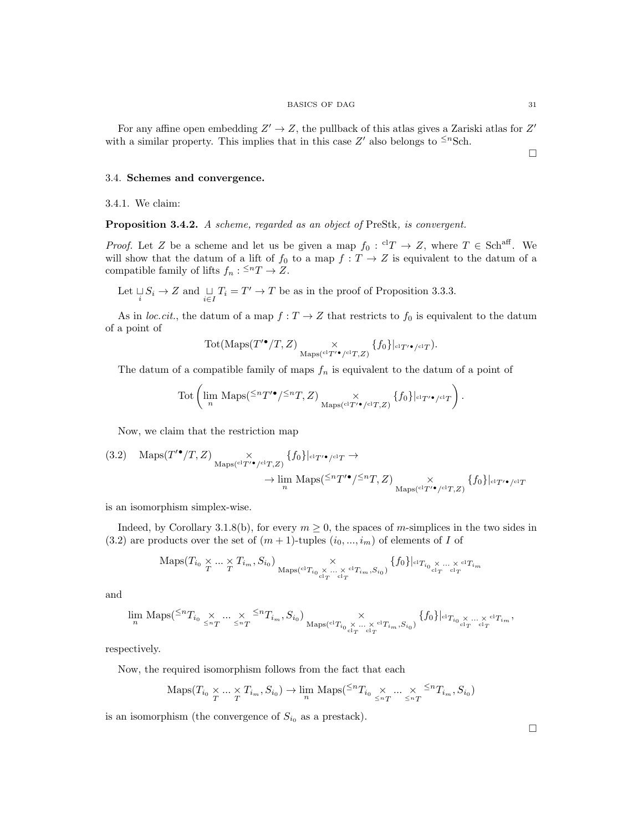#### $\begin{tabular}{c} \multicolumn{2}{c}{\textbf{BASICS OF DAG}}\\ \multicolumn{2}{c}{\textbf{31}}\\ \multicolumn{2}{c}{\textbf{32}}\\ \multicolumn{2}{c}{\textbf{34}}\\ \multicolumn{2}{c}{\textbf{36}}\\ \multicolumn{2}{c}{\textbf{38}}\\ \multicolumn{2}{c}{\textbf{39}}\\ \multicolumn{2}{c}{\textbf{30}}\\ \multicolumn{2}{c}{\textbf{31}}\\ \multicolumn{2}{c}{\textbf{32}}\\ \multicolumn{2}{c}{\textbf{34}}\\ \multicolumn{2}{c}{\textbf{36}}\\ \multicolumn{$

 $\Box$ 

For any affine open embedding  $Z' \to Z$ , the pullback of this atlas gives a Zariski atlas for  $Z'$ with a similar property. This implies that in this case  $Z'$  also belongs to  $\leq^n \text{Sch}$ .

### 3.4. Schemes and convergence.

3.4.1. We claim:

Proposition 3.4.2. A scheme, regarded as an object of PreStk, is convergent.

*Proof.* Let Z be a scheme and let us be given a map  $f_0: {}^{cl}T \to Z$ , where  $T \in Sch^{aff}$ . We will show that the datum of a lift of  $f_0$  to a map  $f: T \to Z$  is equivalent to the datum of a compatible family of lifts  $f_n: \leq^n T \to Z$ .

Let  $\bigcup_i S_i \to Z$  and  $\bigcup_{i \in I} T_i = T' \to T$  be as in the proof of Proposition 3.3.3.

As in *loc.cit.*, the datum of a map  $f: T \to Z$  that restricts to  $f_0$  is equivalent to the datum of a point of

$$
\text{Tot}(\text{Maps}(T'^{\bullet}/T, Z) \underset{\text{Maps}({}^{\text{cl}}T'^{\bullet}/^{\text{cl}}T, Z)}{\times} \{f_0\}|_{^{c1}T'^{\bullet}/^{\text{cl}}T}).
$$

The datum of a compatible family of maps  $f_n$  is equivalent to the datum of a point of

$$
\text{Tot}\left(\lim_n \text{ Maps}({}^{\leq n}T'^{\bullet}/{}^{\leq n}T,Z) \underset{\text{Maps}({}^{\text{cl}}T'^{\bullet}/{}^{\text{cl}}T,Z)}{\times} \{f_0\}|_{^{cl}T'^{\bullet}/{}^{\text{cl}}T}\right).
$$

Now, we claim that the restriction map

$$
(3.2) \quad \text{Maps}(T^{\prime \bullet}/T, Z) \underset{\text{Maps}({}^{\text{cl}}T^{\prime \bullet}/{}^{\text{cl}}T, Z)}{\times} \{f_0\}|_{\text{cl}T^{\prime \bullet}/{}^{\text{cl}}T} \rightarrow \longrightarrow \text{lim } \text{Maps}({}^{\leq n}T^{\prime \bullet}/{}^{\leq n}T, Z) \underset{\text{Maps}({}^{\text{cl}}T^{\prime \bullet}/{}^{\text{cl}}T, Z)}{\times} \{f_0\}|_{\text{cl}T^{\prime \bullet}/{}^{\text{cl}}T}
$$

is an isomorphism simplex-wise.

Indeed, by Corollary 3.1.8(b), for every  $m \geq 0$ , the spaces of m-simplices in the two sides in (3.2) are products over the set of  $(m + 1)$ -tuples  $(i_0, ..., i_m)$  of elements of I of

$$
\operatorname{Maps}(T_{i_0} \underset{T}{\times} \dots \underset{T}{\times} T_{i_m}, S_{i_0}) \underset{\operatorname{Maps}^{c1}T_{i_0} \underset{c1_T}{\times} \dots \underset{c1_T}{\times} c1_{T_{i_m}}, S_{i_0})}{\times} \{f_0\}|_{c1_{T_{i_0} \underset{c1_T}{\times} \dots \times} c1_{T_{i_m}}}
$$

and

$$
\lim_n \ {\rm Maps}({}^{\le n}T_{i_0} \underset{\le nT}{\times} \ldots \underset{\le nT}{\times} {}^{\le n}T_{i_m}, S_{i_0}) \underset{\underset {\rm cl}_T {\rm cl}_T}{\times} \underset {\overset {\rm cl}_T {\rm cl}_T}{\times} \ldots \underset {\overset {\rm cl}_T}{\times} {}^{\rm cl}T_{i_m}, S_{i_0})} \{f_0\}|_{{}^{\rm cl}T_{i_0}} {\underset {\scriptstyle \stackrel {\rm cl}_T}{\times} \ldots \underset {\scriptstyle \stackrel {\rm cl}_T}{\times} {}^{\rm cl}_T},
$$

respectively.

Now, the required isomorphism follows from the fact that each

$$
\mathrm{Maps}(T_{i_0}\underset{T}{\times}\cdots\underset{T}{\times}T_{i_m},S_{i_0})\to \lim_n\,\mathrm{Maps}({}^{\leq n}T_{i_0}\underset{\leq n}{\times}\cdots\underset{\leq n}{\times}S^{n}T_{i_m},S_{i_0})
$$

is an isomorphism (the convergence of  $S_{i_0}$  as a prestack).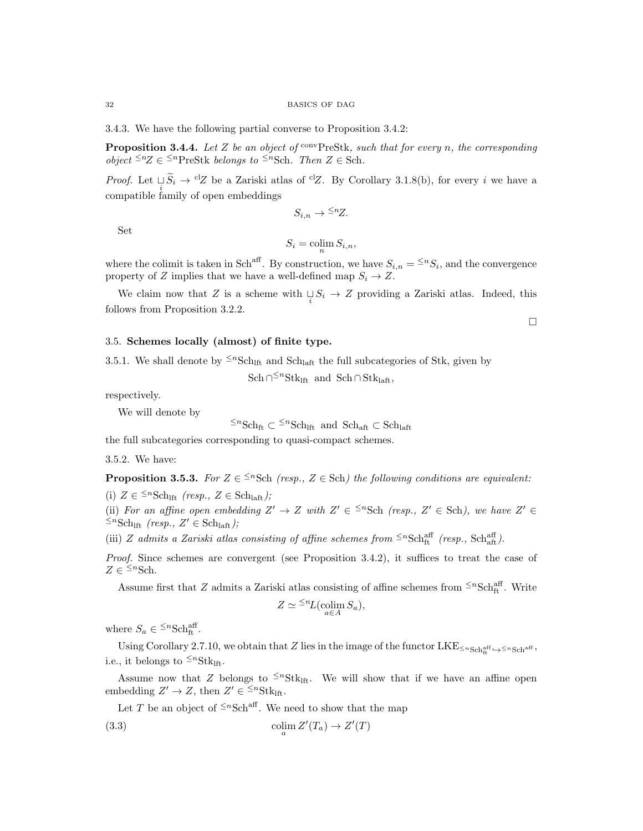#### 32 BASICS OF DAG

3.4.3. We have the following partial converse to Proposition 3.4.2:

**Proposition 3.4.4.** Let Z be an object of  $\text{conv} \text{PreStk}$ , such that for every n, the corresponding *object* ≤<sup>*n*</sup>Z ∈ ≤<sup>*n*</sup>PreStk *belongs to* ≤<sup>*n*</sup>Sch. Then Z ∈ Sch.

*Proof.* Let  $\cup_i \tilde{S}_i \to {}^{cl}Z$  be a Zariski atlas of <sup>cl</sup>Z. By Corollary 3.1.8(b), for every i we have a  $\sum_{i=1}^{i}$  compatible family of open embeddings

Set

$$
S_i = \operatorname{colim}_n S_{i,n},
$$

 $S_{i,n} \to \leq nZ$ .

where the colimit is taken in Sch<sup>aff</sup>. By construction, we have  $S_{i,n} = \leq S_i$ , and the convergence property of  $Z$  implies that we have a well-defined map  $S_i \to Z.$ 

We claim now that Z is a scheme with  $\bigcup_i S_i \to Z$  providing a Zariski atlas. Indeed, this follows from Proposition 3.2.2.

### 3.5. Schemes locally (almost) of finite type.

3.5.1. We shall denote by  $\leq^n \text{Sch}_{\text{lift}}$  and  $\text{Sch}_{\text{left}}$  the full subcategories of Stk, given by

 $\text{Sch}\cap^{\leq n}\text{Stk}_{\text{lift}}$  and  $\text{Sch}\cap\text{Stk}_{\text{lift}}$ ,

respectively.

We will denote by

 $\leq^n \text{Sch}_{\text{ft}}$  ⊂  $\leq^n \text{Sch}_{\text{lift}}$  and  $\text{Sch}_{\text{aff}}$  ⊂  $\text{Sch}_{\text{lift}}$ 

the full subcategories corresponding to quasi-compact schemes.

3.5.2. We have:

**Proposition 3.5.3.** For  $Z \in \frac{5n}{5ch}$  (resp.,  $Z \in Sch$ ) the following conditions are equivalent:

(i)  $Z \in {}^{\leq n}S\text{ch}_{\text{lift}}$  (resp.,  $Z \in S\text{ch}_{\text{lift}}$ );

(ii) For an affine open embedding  $Z' \to Z$  with  $Z' \in \{Sch}$  (resp.,  $Z' \in Sch$ ), we have  $Z' \in$  $\leq^n \text{Sch}_{\text{lft}}$  (resp.,  $Z' \in \text{Sch}_{\text{laff}}$ );

(iii) Z admits a Zariski atlas consisting of affine schemes from  $\leq^n \text{Sch}^{\text{aff}}_{\text{ft}}$  (resp.,  $\text{Sch}^{\text{aff}}_{\text{att}}$ ).

Proof. Since schemes are convergent (see Proposition 3.4.2), it suffices to treat the case of  $Z \in \leq^n \text{Sch}.$ 

Assume first that Z admits a Zariski atlas consisting of affine schemes from  $\leq n\text{Sch}^{\text{aff}}_{\text{ft}}$ . Write

$$
Z \simeq {}^{\leq n}L(\operatorname*{colim}_{a \in A} S_a),
$$

where  $S_a \in {}^{\leq n} {\rm Sch}^{\rm aff}_{\rm ft}$ .

Using Corollary 2.7.10, we obtain that Z lies in the image of the functor  $LKE_{\leq n_{\text{Sch}}^{\text{aff}} \leftrightarrow \leq n_{\text{Sch}}^{\text{aff}}},$ i.e., it belongs to  $\leq^n \text{Stk}_{\text{lf.}}$ 

Assume now that Z belongs to  $\leq^n \text{Stk}_{\text{lift}}$ . We will show that if we have an affine open embedding  $Z' \to Z$ , then  $Z' \in \leq^n \text{Stk}_{\text{lfit}}$ .

Let T be an object of  $\leq^n \text{Sch}^{\text{aff}}$ . We need to show that the map

(3.3) 
$$
\operatorname{colim}_{a} Z'(T_a) \to Z'(T)
$$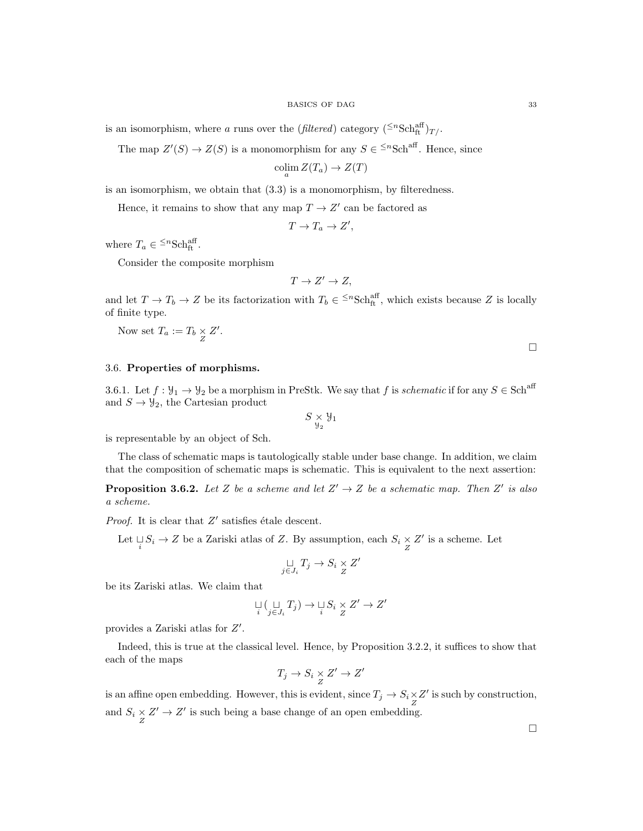is an isomorphism, where a runs over the (filtered) category  $({}^{\leq n} {\rm Sch}^{\rm aff}_{\rm ft})_{T/-}$ 

The map  $Z'(S) \to Z(S)$  is a monomorphism for any  $S \in \leq^n \text{Sch}^{\text{aff}}$ . Hence, since

$$
\operatorname{colim}_a Z(T_a) \to Z(T)
$$

is an isomorphism, we obtain that (3.3) is a monomorphism, by filteredness.

Hence, it remains to show that any map  $T \to Z'$  can be factored as

$$
T \to T_a \to Z',
$$

where  $T_a \in {}^{\leq n} {\rm Sch}^{\rm aff}_{\rm ft}$ .

Consider the composite morphism

$$
T \to Z' \to Z,
$$

and let  $T \to T_b \to Z$  be its factorization with  $T_b \in {}^{\leq n}Sch_{ft}^{aff}$ , which exists because Z is locally of finite type.

Now set  $T_a := T_b \underset{Z}{\times} Z'.$ 

3.6. Properties of morphisms.

3.6.1. Let  $f: \mathcal{Y}_1 \to \mathcal{Y}_2$  be a morphism in PreStk. We say that f is schematic if for any  $S \in Sch^{\text{aff}}$ and  $S \to \mathcal{Y}_2$ , the Cartesian product

$$
S\underset{\mathcal{Y}_2}{\times}\mathcal{Y}_1
$$

is representable by an object of Sch.

The class of schematic maps is tautologically stable under base change. In addition, we claim that the composition of schematic maps is schematic. This is equivalent to the next assertion:

**Proposition 3.6.2.** Let Z be a scheme and let  $Z' \rightarrow Z$  be a schematic map. Then Z' is also a scheme.

*Proof.* It is clear that  $Z'$  satisfies étale descent.

Let  $\bigcup_i S_i \to Z$  be a Zariski atlas of Z. By assumption, each  $S_i \times Z'$  is a scheme. Let

$$
\mathop{\sqcup}\limits_{j\in J_i}T_j\to S_i\mathop{\times}\limits_{Z}Z'
$$

be its Zariski atlas. We claim that

$$
\bigcup_i (\bigcup_{j \in J_i} T_j) \to \bigcup_i S_i \times Z' \to Z'
$$

provides a Zariski atlas for  $Z'$ .

Indeed, this is true at the classical level. Hence, by Proposition 3.2.2, it suffices to show that each of the maps

$$
T_j \to S_i \underset{Z}{\times} Z' \to Z'
$$

is an affine open embedding. However, this is evident, since  $T_j \to S_i \underset{Z}{\times} Z'$  is such by construction, and  $S_i \times Z' \to Z'$  is such being a base change of an open embedding.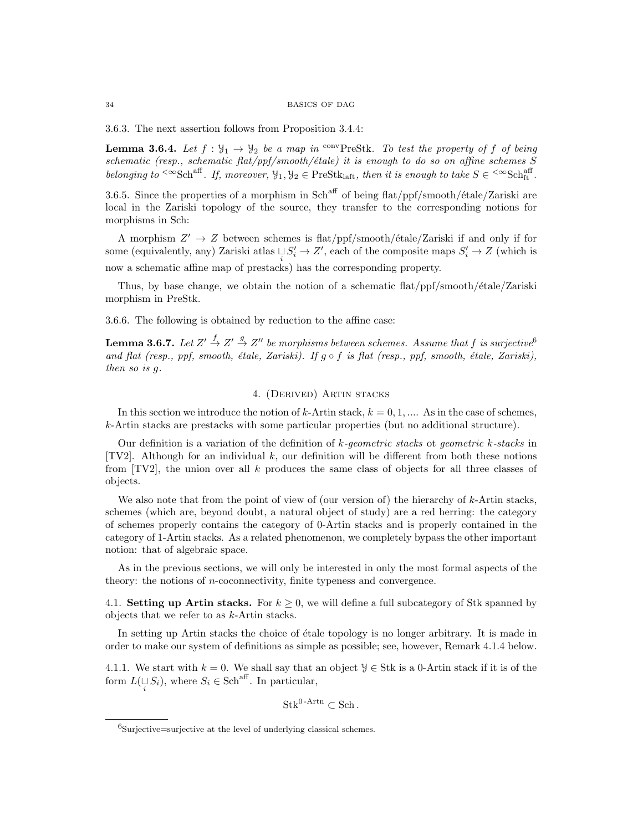3.6.3. The next assertion follows from Proposition 3.4.4:

**Lemma 3.6.4.** Let  $f : \mathcal{Y}_1 \to \mathcal{Y}_2$  be a map in <sup>conv</sup>PreStk. To test the property of f of being schematic (resp., schematic flat/ppf/smooth/étale) it is enough to do so on affine schemes  $S$ belonging to <sup> $\leq \infty$ </sup>Sch<sup>aff</sup>. If, moreover,  $\mathcal{Y}_1, \mathcal{Y}_2 \in \text{PreStk}_{\text{laff}}$ , then it is enough to take  $S \in \text{Stk}_{\text{ft}}^{\text{aff}}$ .

3.6.5. Since the properties of a morphism in Sch<sup>aff</sup> of being flat/ppf/smooth/ $\acute{e}$ tale/Zariski are local in the Zariski topology of the source, they transfer to the corresponding notions for morphisms in Sch:

A morphism  $Z' \to Z$  between schemes is flat/ppf/smooth/étale/Zariski if and only if for some (equivalently, any) Zariski atlas  $\cup S'_i \to Z'$ , each of the composite maps  $S'_i \to Z$  (which is now a schematic affine map of prestacks) has the corresponding property.

Thus, by base change, we obtain the notion of a schematic flat/ppf/smooth/étale/Zariski morphism in PreStk.

3.6.6. The following is obtained by reduction to the affine case:

**Lemma 3.6.7.** Let  $Z' \overset{f}{\rightarrow} Z' \overset{g}{\rightarrow} Z''$  be morphisms between schemes. Assume that  $f$  is surjective<sup>6</sup> and flat (resp., ppf, smooth, étale, Zariski). If  $q \circ f$  is flat (resp., ppf, smooth, étale, Zariski), then so is g.

### 4. (Derived) Artin stacks

In this section we introduce the notion of  $k$ -Artin stack,  $k = 0, 1, \dots$ . As in the case of schemes, k-Artin stacks are prestacks with some particular properties (but no additional structure).

Our definition is a variation of the definition of  $k$ -geometric stacks ot geometric k-stacks in [TV2]. Although for an individual k, our definition will be different from both these notions from  $[TV2]$ , the union over all k produces the same class of objects for all three classes of objects.

We also note that from the point of view of (our version of) the hierarchy of  $k$ -Artin stacks, schemes (which are, beyond doubt, a natural object of study) are a red herring: the category of schemes properly contains the category of 0-Artin stacks and is properly contained in the category of 1-Artin stacks. As a related phenomenon, we completely bypass the other important notion: that of algebraic space.

As in the previous sections, we will only be interested in only the most formal aspects of the theory: the notions of n-coconnectivity, finite typeness and convergence.

4.1. **Setting up Artin stacks.** For  $k \geq 0$ , we will define a full subcategory of Stk spanned by objects that we refer to as k-Artin stacks.

In setting up Artin stacks the choice of étale topology is no longer arbitrary. It is made in order to make our system of definitions as simple as possible; see, however, Remark 4.1.4 below.

4.1.1. We start with  $k = 0$ . We shall say that an object  $\mathcal{Y} \in \text{Stk}$  is a 0-Artin stack if it is of the form  $L(\mathcal{L}_i | S_i)$ , where  $S_i \in \text{Sch}^{\text{aff}}$ . In particular,

 $Stk^{0-Artn} \subset Sch$ .

 $6$ Surjective=surjective at the level of underlying classical schemes.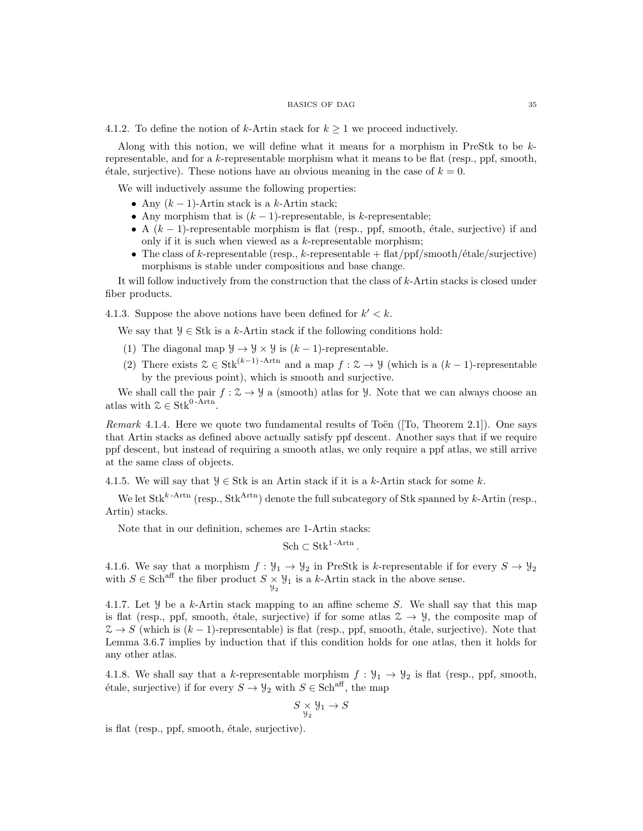#### BASICS OF DAG 35

4.1.2. To define the notion of k-Artin stack for  $k \geq 1$  we proceed inductively.

Along with this notion, we will define what it means for a morphism in PreStk to be  $k$ representable, and for a k-representable morphism what it means to be flat (resp., ppf, smooth,  $\alpha$  etale, surjective). These notions have an obvious meaning in the case of  $k = 0$ .

We will inductively assume the following properties:

- Any  $(k-1)$ -Artin stack is a k-Artin stack;
- Any morphism that is  $(k-1)$ -representable, is k-representable;
- A  $(k-1)$ -representable morphism is flat (resp., ppf, smooth, étale, surjective) if and only if it is such when viewed as a  $k$ -representable morphism;
- The class of k-representable (resp., k-representable  $+ \text{ flat}/\text{ppf}/\text{smooth}/\text{étale}/\text{surjective}$ ) morphisms is stable under compositions and base change.

It will follow inductively from the construction that the class of  $k$ -Artin stacks is closed under fiber products.

4.1.3. Suppose the above notions have been defined for  $k' < k$ .

We say that  $\mathcal{Y} \in \text{Stk}$  is a k-Artin stack if the following conditions hold:

- (1) The diagonal map  $\mathcal{Y} \to \mathcal{Y} \times \mathcal{Y}$  is  $(k-1)$ -representable.
- (2) There exists  $\mathcal{Z} \in \text{Stk}^{(k-1)}$ -Artn and a map  $f : \mathcal{Z} \to \mathcal{Y}$  (which is a  $(k-1)$ -representable by the previous point), which is smooth and surjective.

We shall call the pair  $f : \mathcal{Z} \to \mathcal{Y}$  a (smooth) atlas for  $\mathcal{Y}$ . Note that we can always choose an atlas with  $\mathcal{Z} \in \text{Stk}^{0-Artn}$ .

Remark 4.1.4. Here we quote two fundamental results of Toën ( $[To, Theorem 2.1]$ ). One says that Artin stacks as defined above actually satisfy ppf descent. Another says that if we require ppf descent, but instead of requiring a smooth atlas, we only require a ppf atlas, we still arrive at the same class of objects.

4.1.5. We will say that  $\mathcal{Y} \in \text{Stk}$  is an Artin stack if it is a k-Artin stack for some k.

We let  $Stk^{k-Artn}$  (resp.,  $Stk^{Artn}$ ) denote the full subcategory of Stk spanned by k-Artin (resp., Artin) stacks.

Note that in our definition, schemes are 1-Artin stacks:

 $\text{Sch} \subset \text{Stk}^{1-\text{Artn}}$ .

4.1.6. We say that a morphism  $f: \mathcal{Y}_1 \to \mathcal{Y}_2$  in PreStk is k-representable if for every  $S \to \mathcal{Y}_2$ with  $S \in \text{Sch}^{\text{aff}}$  the fiber product  $S \times \mathcal{Y}_1$  is a k-Artin stack in the above sense.

4.1.7. Let  $\mathcal Y$  be a k-Artin stack mapping to an affine scheme S. We shall say that this map is flat (resp., ppf, smooth, étale, surjective) if for some atlas  $\mathcal{Z} \to \mathcal{Y}$ , the composite map of  $\mathcal{Z} \to S$  (which is  $(k-1)$ -representable) is flat (resp., ppf, smooth, étale, surjective). Note that Lemma 3.6.7 implies by induction that if this condition holds for one atlas, then it holds for any other atlas.

4.1.8. We shall say that a k-representable morphism  $f: \mathcal{Y}_1 \to \mathcal{Y}_2$  is flat (resp., ppf, smooth, étale, surjective) if for every  $S \to \mathcal{Y}_2$  with  $S \in \text{Sch}^{\text{aff}}$ , the map

$$
S \underset{\mathcal{Y}_2}{\times} \mathcal{Y}_1 \to S
$$

is flat ( $resp.,$   $ppf,$  smooth,  $étele,$  surjective).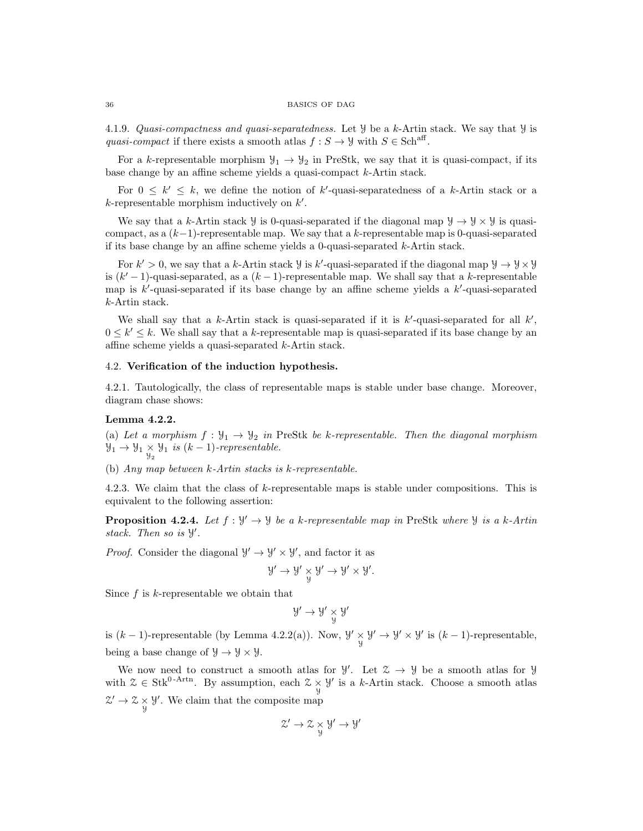4.1.9. Quasi-compactness and quasi-separatedness. Let Y be a k-Artin stack. We say that Y is quasi-compact if there exists a smooth atlas  $f : S \to Y$  with  $S \in \text{Sch}^{\text{aff}}$ .

For a k-representable morphism  $\mathcal{Y}_1 \to \mathcal{Y}_2$  in PreStk, we say that it is quasi-compact, if its base change by an affine scheme yields a quasi-compact k-Artin stack.

For  $0 \leq k' \leq k$ , we define the notion of k'-quasi-separatedness of a k-Artin stack or a  $k$ -representable morphism inductively on  $k'$ .

We say that a k-Artin stack  $\mathcal{Y}$  is 0-quasi-separated if the diagonal map  $\mathcal{Y} \to \mathcal{Y} \times \mathcal{Y}$  is quasicompact, as a  $(k-1)$ -representable map. We say that a k-representable map is 0-quasi-separated if its base change by an affine scheme yields a 0-quasi-separated  $k$ -Artin stack.

For  $k' > 0$ , we say that a k-Artin stack  $\mathcal{Y}$  is k'-quasi-separated if the diagonal map  $\mathcal{Y} \to \mathcal{Y} \times \mathcal{Y}$ is  $(k'-1)$ -quasi-separated, as a  $(k-1)$ -representable map. We shall say that a k-representable map is  $k'$ -quasi-separated if its base change by an affine scheme yields a  $k'$ -quasi-separated k-Artin stack.

We shall say that a k-Artin stack is quasi-separated if it is  $k'$ -quasi-separated for all  $k'$ ,  $0 \leq k' \leq k$ . We shall say that a k-representable map is quasi-separated if its base change by an affine scheme yields a quasi-separated k-Artin stack.

# 4.2. Verification of the induction hypothesis.

4.2.1. Tautologically, the class of representable maps is stable under base change. Moreover, diagram chase shows:

### Lemma 4.2.2.

(a) Let a morphism  $f : \mathcal{Y}_1 \to \mathcal{Y}_2$  in PreStk be k-representable. Then the diagonal morphism  $\mathcal{Y}_1 \rightarrow \mathcal{Y}_1 \underset{\mathcal{Y}_2}{\times} \mathcal{Y}_1$  is  $(k-1)$ -representable.

(b) Any map between k-Artin stacks is k-representable.

4.2.3. We claim that the class of k-representable maps is stable under compositions. This is equivalent to the following assertion:

**Proposition 4.2.4.** Let  $f: \mathcal{Y}' \to \mathcal{Y}$  be a k-representable map in PreStk where  $\mathcal{Y}$  is a k-Artin stack. Then so is  $\mathcal{Y}'$ .

*Proof.* Consider the diagonal  $\mathcal{Y}' \to \mathcal{Y}' \times \mathcal{Y}'$ , and factor it as

$$
y' \to y' \underset{y}{\times} y' \to y' \times y'.
$$

Since  $f$  is  $k$ -representable we obtain that

$$
\mathcal{Y}'\to\mathcal{Y}'\underset{\mathcal{Y}}{\times}\mathcal{Y}'
$$

is  $(k-1)$ -representable (by Lemma 4.2.2(a)). Now,  $\mathcal{Y}' \times \mathcal{Y}' \rightarrow \mathcal{Y}' \times \mathcal{Y}'$  is  $(k-1)$ -representable, being a base change of  $\mathcal{Y} \to \mathcal{Y} \times \mathcal{Y}$ .

We now need to construct a smooth atlas for  $\mathcal{Y}'$ . Let  $\mathcal{Z} \to \mathcal{Y}$  be a smooth atlas for  $\mathcal{Y}$ with  $\mathcal{Z} \in \text{Stk}^{0-Artn}$ . By assumption, each  $\mathcal{Z} \times \mathcal{Y}'$  is a k-Artin stack. Choose a smooth atlas  $\mathcal{Z}' \to \mathcal{Z} \times \mathcal{Y}'$ . We claim that the composite map

$$
\mathcal{Z}' \to \mathcal{Z} \underset{\mathcal{Y}}{\times} \mathcal{Y}' \to \mathcal{Y}'
$$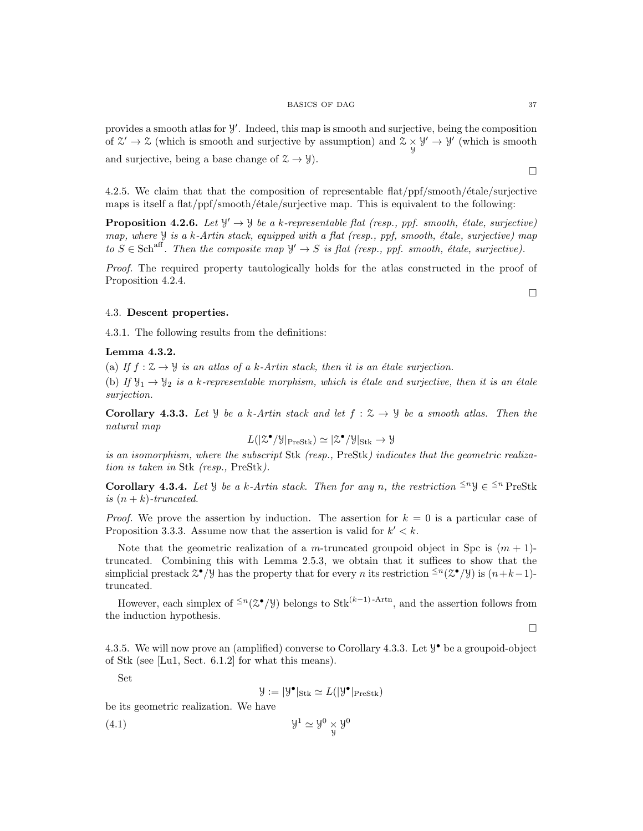$\Box$ 

provides a smooth atlas for  $\mathcal{Y}'$ . Indeed, this map is smooth and surjective, being the composition of  $\mathcal{Z}' \to \mathcal{Z}$  (which is smooth and surjective by assumption) and  $\mathcal{Z} \times \mathcal{Y}' \to \mathcal{Y}'$  (which is smooth and surjective, being a base change of  $\mathcal{Z} \to \mathcal{Y}$ ).

4.2.5. We claim that that the composition of representable flat/ppf/smooth/ $\acute{e}t$ de/surjective maps is itself a flat/ppf/smooth/ $\acute{e}$ tale/surjective map. This is equivalent to the following:

**Proposition 4.2.6.** Let  $\mathcal{Y}' \to \mathcal{Y}$  be a k-representable flat (resp., ppf. smooth, étale, surjective) map, where  $\mathcal Y$  is a k-Artin stack, equipped with a flat (resp., ppf, smooth, étale, surjective) map to  $S \in \text{Sch}^{\text{aff}}$ . Then the composite map  $\mathcal{Y} \to S$  is flat (resp., ppf. smooth, étale, surjective).

Proof. The required property tautologically holds for the atlas constructed in the proof of Proposition 4.2.4.

# 4.3. Descent properties.

4.3.1. The following results from the definitions:

# Lemma 4.3.2.

(a) If  $f: \mathcal{Z} \to \mathcal{Y}$  is an atlas of a k-Artin stack, then it is an étale surjection.

(b) If  $\mathcal{Y}_1 \rightarrow \mathcal{Y}_2$  is a k-representable morphism, which is étale and surjective, then it is an étale surjection.

Corollary 4.3.3. Let *Y* be a k-Artin stack and let  $f: \mathcal{Z} \to \mathcal{Y}$  be a smooth atlas. Then the natural map

$$
L(|\mathcal{Z}^{\bullet}/\mathcal{Y}|_{\mathrm{PreStk}}) \simeq |\mathcal{Z}^{\bullet}/\mathcal{Y}|_{\mathrm{Stk}} \to \mathcal{Y}
$$

is an isomorphism, where the subscript Stk (resp., PreStk) indicates that the geometric realization is taken in Stk (resp., PreStk).

**Corollary 4.3.4.** Let  $\mathcal{Y}$  be a k-Artin stack. Then for any n, the restriction  $\leq^n \mathcal{Y} \in \leq^n$  PreStk is  $(n + k)$ -truncated.

*Proof.* We prove the assertion by induction. The assertion for  $k = 0$  is a particular case of Proposition 3.3.3. Assume now that the assertion is valid for  $k' < k$ .

Note that the geometric realization of a m-truncated groupoid object in Spc is  $(m + 1)$ truncated. Combining this with Lemma 2.5.3, we obtain that it suffices to show that the simplicial prestack  $\mathcal{Z}^{\bullet}/\mathcal{Y}$  has the property that for every *n* its restriction  $\leq^{n}(\mathcal{Z}^{\bullet}/\mathcal{Y})$  is  $(n+k-1)$ truncated.

However, each simplex of  $\leq n(\mathcal{Z}^{\bullet}/\mathcal{Y})$  belongs to Stk<sup>(k-1)-Artn</sup>, and the assertion follows from the induction hypothesis.

 $\Box$ 

4.3.5. We will now prove an (amplified) converse to Corollary 4.3.3. Let  $\mathcal{Y}^{\bullet}$  be a groupoid-object of Stk (see [Lu1, Sect. 6.1.2] for what this means).

Set

$$
\mathcal{Y} := |\mathcal{Y}^{\bullet}|_{\mathrm{Stk}} \simeq L(|\mathcal{Y}^{\bullet}|_{\mathrm{PreStk}})
$$

be its geometric realization. We have

$$
(4.1) \t\t\t y1 \simeq y0 \underset{y}{\times} y0
$$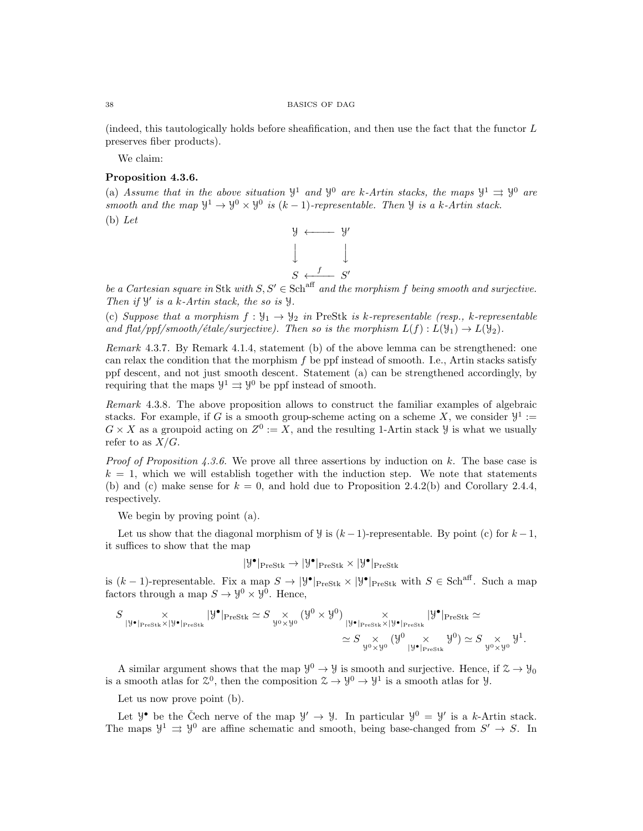(indeed, this tautologically holds before sheafification, and then use the fact that the functor L preserves fiber products).

We claim:

# Proposition 4.3.6.

(a) Assume that in the above situation  $\mathcal{Y}^1$  and  $\mathcal{Y}^0$  are k-Artin stacks, the maps  $\mathcal{Y}^1 \rightrightarrows \mathcal{Y}^0$  are smooth and the map  $\mathcal{Y}^1 \to \mathcal{Y}^0 \times \mathcal{Y}^0$  is  $(k-1)$ -representable. Then  $\mathcal{Y}$  is a k-Artin stack. (b) Let



be a Cartesian square in Stk with  $S, S' \in \text{Sch}^{\text{aff}}$  and the morphism f being smooth and surjective. Then if  $\mathcal{Y}'$  is a k-Artin stack, the so is  $\mathcal{Y}$ .

(c) Suppose that a morphism  $f: \mathcal{Y}_1 \to \mathcal{Y}_2$  in PreStk is k-representable (resp., k-representable and flat/ppf/smooth/étale/surjective). Then so is the morphism  $L(f) : L(\mathcal{Y}_1) \to L(\mathcal{Y}_2)$ .

Remark 4.3.7. By Remark 4.1.4, statement (b) of the above lemma can be strengthened: one can relax the condition that the morphism f be ppf instead of smooth. I.e., Artin stacks satisfy ppf descent, and not just smooth descent. Statement (a) can be strengthened accordingly, by requiring that the maps  $\mathcal{Y}^1 \rightrightarrows \mathcal{Y}^0$  be ppf instead of smooth.

Remark 4.3.8. The above proposition allows to construct the familiar examples of algebraic stacks. For example, if G is a smooth group-scheme acting on a scheme X, we consider  $\mathcal{Y}^1$  :=  $G \times X$  as a groupoid acting on  $Z^0 := X$ , and the resulting 1-Artin stack  $Y$  is what we usually refer to as  $X/G$ .

*Proof of Proposition 4.3.6.* We prove all three assertions by induction on  $k$ . The base case is  $k = 1$ , which we will establish together with the induction step. We note that statements (b) and (c) make sense for  $k = 0$ , and hold due to Proposition 2.4.2(b) and Corollary 2.4.4, respectively.

We begin by proving point (a).

Let us show that the diagonal morphism of  $\mathcal{Y}$  is  $(k-1)$ -representable. By point (c) for  $k-1$ , it suffices to show that the map

$$
|\mathcal{Y}^{\bullet}|_{\mathrm{PreStk}} \rightarrow |\mathcal{Y}^{\bullet}|_{\mathrm{PreStk}} \times |\mathcal{Y}^{\bullet}|_{\mathrm{PreStk}}
$$

is  $(k-1)$ -representable. Fix a map  $S \to |\mathcal{Y}^{\bullet}|_{\text{PreStk}} \times |\mathcal{Y}^{\bullet}|_{\text{PreStk}}$  with  $S \in \text{Sch}^{\text{aff}}$ . Such a map factors through a map  $S \to \mathcal{Y}^0 \times \mathcal{Y}^0$ . Hence,

$$
S \underset{|\mathcal{Y}^{\bullet}|_{\text{PreStk}} \times |\mathcal{Y}^{\bullet}|_{\text{PreStk}}} \times |\mathcal{Y}^{\bullet}|_{\text{PreStk}} \simeq S \underset{\mathcal{Y}^0 \times \mathcal{Y}^0}{\times} (\mathcal{Y}^0 \times \mathcal{Y}^0) \underset{|\mathcal{Y}^{\bullet}|_{\text{PreStk}} \times |\mathcal{Y}^{\bullet}|_{\text{PreStk}}} \times |\mathcal{Y}^{\bullet}|_{\text{PreStk}} \simeq
$$
  

$$
\simeq S \underset{\mathcal{Y}^0 \times \mathcal{Y}^0}{\times} (\mathcal{Y}^0 \times \mathcal{Y}^0) \simeq S \underset{\mathcal{Y}^0 \times \mathcal{Y}^0}{\times} \mathcal{Y}^1.
$$

A similar argument shows that the map  $\mathcal{Y}^0 \to \mathcal{Y}$  is smooth and surjective. Hence, if  $\mathcal{Z} \to \mathcal{Y}_0$ is a smooth atlas for  $\mathfrak{L}^0$ , then the composition  $\mathfrak{L} \to \mathcal{Y}^0 \to \mathcal{Y}^1$  is a smooth atlas for  $\mathcal{Y}$ .

Let us now prove point (b).

Let  $\mathcal{Y}^{\bullet}$  be the Čech nerve of the map  $\mathcal{Y}' \to \mathcal{Y}$ . In particular  $\mathcal{Y}^{0} = \mathcal{Y}'$  is a k-Artin stack. The maps  $\mathcal{Y}^1 \rightrightarrows \mathcal{Y}^0$  are affine schematic and smooth, being base-changed from  $S' \to S$ . In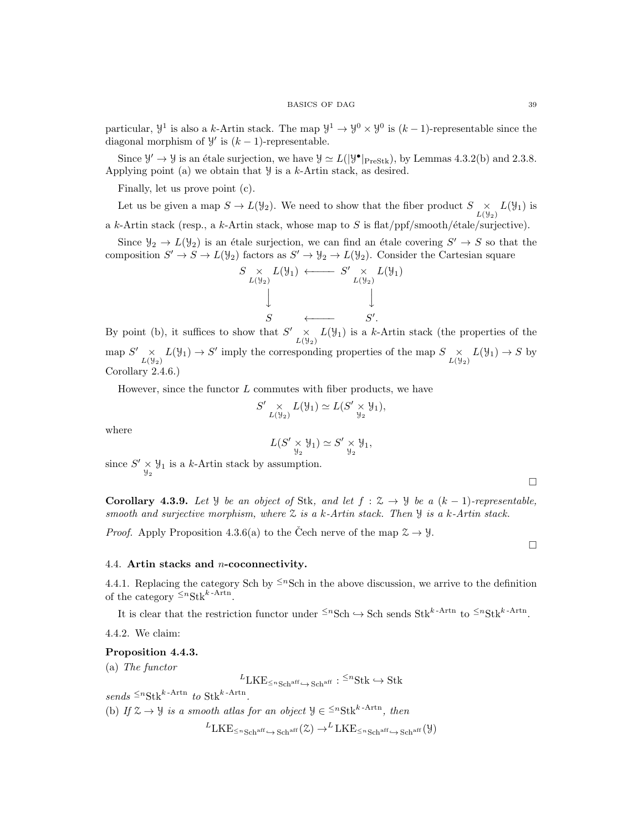particular,  $\mathcal{Y}^1$  is also a k-Artin stack. The map  $\mathcal{Y}^1 \to \mathcal{Y}^0 \times \mathcal{Y}^0$  is  $(k-1)$ -representable since the diagonal morphism of  $\mathcal{Y}'$  is  $(k-1)$ -representable.

Since  $\mathcal{Y}' \to \mathcal{Y}$  is an étale surjection, we have  $\mathcal{Y} \simeq L(|\mathcal{Y}^{\bullet}|_{\text{PreStk}})$ , by Lemmas 4.3.2(b) and 2.3.8. Applying point (a) we obtain that  $\mathcal Y$  is a k-Artin stack, as desired.

Finally, let us prove point (c).

Let us be given a map  $S \to L(\mathcal{Y}_2)$ . We need to show that the fiber product  $S \underset{L(\mathcal{Y}_2)}{\times} L(\mathcal{Y}_1)$  is a k-Artin stack (resp., a k-Artin stack, whose map to  $S$  is flat/ppf/smooth/étale/surjective).

Since  $\mathcal{Y}_2 \to L(\mathcal{Y}_2)$  is an étale surjection, we can find an étale covering  $S' \to S$  so that the composition  $S' \to S \to L(\mathcal{Y}_2)$  factors as  $S' \to \mathcal{Y}_2 \to L(\mathcal{Y}_2)$ . Consider the Cartesian square



By point (b), it suffices to show that  $S' \times L(\mathcal{Y}_1)$  is a k-Artin stack (the properties of the map  $S' \underset{L(\mathcal{Y}_2)}{\times} L(\mathcal{Y}_1) \to S'$  imply the corresponding properties of the map  $S \underset{L(\mathcal{Y}_2)}{\times} L(\mathcal{Y}_1) \to S$  by  $\prime$ Corollary 2.4.6.)

However, since the functor  $L$  commutes with fiber products, we have

$$
S' \underset{L(\mathcal{Y}_2)}{\times} L(\mathcal{Y}_1) \simeq L(S' \underset{\mathcal{Y}_2}{\times} \mathcal{Y}_1),
$$

where

$$
L(S' \underset{\mathcal{Y}_2}{\times} \mathcal{Y}_1) \simeq S' \underset{\mathcal{Y}_2}{\times} \mathcal{Y}_1,
$$

since  $S' \times \mathcal{Y}_1$  is a k-Artin stack by assumption.

Corollary 4.3.9. Let *Y* be an object of Stk, and let  $f : \mathcal{Z} \to \mathcal{Y}$  be a  $(k-1)$ -representable, smooth and surjective morphism, where  $\mathfrak X$  is a k-Artin stack. Then  $\mathcal Y$  is a k-Artin stack.

*Proof.* Apply Proposition 4.3.6(a) to the Čech nerve of the map  $2 \rightarrow 9$ .

### 4.4. Artin stacks and n-coconnectivity.

4.4.1. Replacing the category Sch by  $\leq n$ Sch in the above discussion, we arrive to the definition of the category  $\leq^n \text{Stk}^{k-\text{Artn}}$ .

It is clear that the restriction functor under  $\leq^n \text{Sch} \leftrightarrow \text{Sch}$  sends  $\text{Stk}^{k-\text{Artn}}$  to  $\leq^n \text{Stk}^{k-\text{Artn}}$ .

4.4.2. We claim:

### Proposition 4.4.3.

(a) The functor

 ${}^L \text{LKE}_{\leq n\text{Sch}^{\text{aff}}}\xrightarrow{} \text{Sch}^{\text{aff}}: {}^{\leq n}\text{Stk} \hookrightarrow \text{Stk}$ 

 $sends \leq^n \text{Stk}^{k-\text{Artn}}$  to  $\text{Stk}^{k-\text{Artn}}$ .

(b) If  $\mathcal{Z} \to \mathcal{Y}$  is a smooth atlas for an object  $\mathcal{Y} \in \leq^{n} \text{Stk}^{k-Artn}$ , then

 ${}^{L}LKE_{\leq n\text{Sch}^{\text{aff}}}\leftrightarrow \text{Sch}^{\text{aff}}(\mathcal{Z})\rightarrow {}^{L}LKE_{\leq n\text{Sch}^{\text{aff}}}\leftrightarrow \text{Sch}^{\text{aff}}(\mathcal{Y})$ 

 $\Box$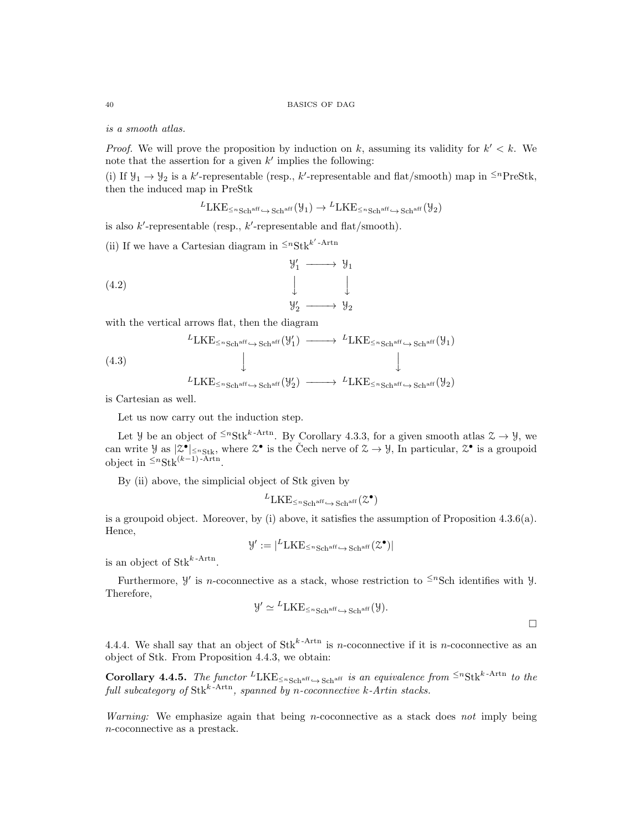is a smooth atlas.

*Proof.* We will prove the proposition by induction on k, assuming its validity for  $k' < k$ . We note that the assertion for a given  $k'$  implies the following:

(i) If  $\mathcal{Y}_1 \to \mathcal{Y}_2$  is a k'-representable (resp., k'-representable and flat/smooth) map in <sup> $\leq n$ </sup>PreStk, then the induced map in PreStk

$$
{}^{L}LKE_{\leq n\text{Sch}^{\text{aff}}}\xrightarrow{\text{Sch}^{\text{aff}}}\xrightarrow{\text{H}}{}^{L}LKE_{\leq n\text{Sch}^{\text{aff}}}\xrightarrow{\text{Sch}^{\text{aff}}}\xrightarrow{\text{Sch}^{\text{aff}}}\xrightarrow{\text{H}}\xrightarrow{\text{H}}\xrightarrow{\text{H}}\xrightarrow{\text{H}}\xrightarrow{\text{H}}\xrightarrow{\text{H}}\xrightarrow{\text{H}}\xrightarrow{\text{H}}\xrightarrow{\text{H}}\xrightarrow{\text{H}}\xrightarrow{\text{H}}\xrightarrow{\text{H}}\xrightarrow{\text{H}}\xrightarrow{\text{H}}\xrightarrow{\text{H}}\xrightarrow{\text{H}}\xrightarrow{\text{H}}\xrightarrow{\text{H}}\xrightarrow{\text{H}}\xrightarrow{\text{H}}\xrightarrow{\text{H}}\xrightarrow{\text{H}}\xrightarrow{\text{H}}\xrightarrow{\text{H}}\xrightarrow{\text{H}}\xrightarrow{\text{H}}\xrightarrow{\text{H}}\xrightarrow{\text{H}}\xrightarrow{\text{H}}\xrightarrow{\text{H}}\xrightarrow{\text{H}}\xrightarrow{\text{H}}\xrightarrow{\text{H}}\xrightarrow{\text{H}}\xrightarrow{\text{H}}\xrightarrow{\text{H}}\xrightarrow{\text{H}}\xrightarrow{\text{H}}\xrightarrow{\text{H}}\xrightarrow{\text{H}}\xrightarrow{\text{H}}\xrightarrow{\text{H}}\xrightarrow{\text{H}}\xrightarrow{\text{H}}\xrightarrow{\text{H}}\xrightarrow{\text{H}}\xrightarrow{\text{H}}\xrightarrow{\text{H}}\xrightarrow{\text{H}}\xrightarrow{\text{H}}\xrightarrow{\text{H}}\xrightarrow{\text{H}}\xrightarrow{\text{H}}\xrightarrow{\text{H}}\xrightarrow{\text{H}}\xrightarrow{\text{H}}\xrightarrow{\text{H}}\xrightarrow{\text{H}}\xrightarrow{\text{H}}\xrightarrow{\text{H}}\xrightarrow{\text{H}}\xrightarrow{\text{H}}\xrightarrow{\text{H}}\xrightarrow{\text{H}}\xrightarrow{\text{H}}\xrightarrow{\text{H}}\xrightarrow{\text{H}}\xrightarrow{\text{H}}\xrightarrow{\text{H}}\xrightarrow{\text{H}}\xrightarrow{\text{H}}\xrightarrow{\text{H}}\xrightarrow{\text{H}}\xrightarrow{\text{H}}\xrightarrow{\text{H}}\xrightarrow{\text{H}}\xrightarrow{\text{H}}\xrightarrow{\text{H}}\xrightarrow{\text{H}}\xrightarrow{\text{H}}\xrightarrow{\text{H}}\xrightarrow{\text{H}}\xrightarrow{\text{H}}\
$$

is also  $k'$ -representable (resp.,  $k'$ -representable and flat/smooth).

(ii) If we have a Cartesian diagram in  $\leq^n \text{Stk}^{k'-\text{Artn}}$ 

(4.2) 
$$
\begin{array}{ccc}\n & \mathcal{Y}'_1 \longrightarrow \mathcal{Y}_1 \\
 & \downarrow \qquad \qquad \downarrow \\
 & \mathcal{Y}'_2 \longrightarrow \mathcal{Y}_2\n\end{array}
$$

with the vertical arrows flat, then the diagram

(4.3)  
\n
$$
{}^{L}LKE_{\leq n\text{Sch}^{\text{aff}}\hookrightarrow \text{Sch}^{\text{aff}}}(\mathcal{Y}'_{1}) \longrightarrow {}^{L}LKE_{\leq n\text{Sch}^{\text{aff}}\hookrightarrow \text{Sch}^{\text{aff}}}(\mathcal{Y}_{1})
$$
\n
$$
\downarrow \qquad \qquad \downarrow
$$
\n
$$
{}^{L}LKE_{\leq n\text{Sch}^{\text{aff}}\hookrightarrow \text{Sch}^{\text{aff}}}(\mathcal{Y}'_{2}) \longrightarrow {}^{L}LKE_{\leq n\text{Sch}^{\text{aff}}\hookrightarrow \text{Sch}^{\text{aff}}}(\mathcal{Y}_{2})
$$

is Cartesian as well.

Let us now carry out the induction step.

Let *Y* be an object of  $\leq^n \text{Stk}^{k-Artn}$ . By Corollary 4.3.3, for a given smooth atlas  $\mathcal{Z} \to \mathcal{Y}$ , we can write  $\mathcal{Y}$  as  $|\mathcal{Z}^{\bullet}|_{\leq n}$  statistical  $\mathcal{Z}^{\bullet}$  is the Cech nerve of  $\mathcal{Z} \to \mathcal{Y}$ , In particular,  $\mathcal{Z}^{\bullet}$  is a groupoid object in  $\leq^n \text{Stk}^{(k-1)}$ -Artn.

By (ii) above, the simplicial object of Stk given by

$$
{}^L \text{LKE}_{\leq n\,\text{Sch}^{\text{aff}}}\xrightarrow{\sim} \text{Sch}^{\text{aff}}(\mathcal{Z}^\bullet)
$$

is a groupoid object. Moreover, by (i) above, it satisfies the assumption of Proposition  $4.3.6(a)$ . Hence,

$$
\mathcal{Y}' := |^{L} \text{LKE}_{\leq n \cdot \text{Sch}^{\text{aff}} \hookrightarrow \text{Sch}^{\text{aff}}}(\mathcal{Z}^{\bullet})|
$$

is an object of  $\text{Stk}^{k-\text{Artn}}$ .

Furthermore,  $\mathcal{Y}'$  is *n*-coconnective as a stack, whose restriction to <sup> $\leq n$ </sup>Sch identifies with  $\mathcal{Y}$ . Therefore,

$$
\mathcal{Y}' \simeq {}^{L}\text{LKE}_{\leq n\text{Sch}^{\text{aff}}}\xrightarrow{\sim} \text{Sch}^{\text{aff}}(\mathcal{Y}).
$$

 $\Box$ 

4.4.4. We shall say that an object of  $\text{Stk}^{k-\text{Artn}}$  is *n*-coconnective if it is *n*-coconnective as an object of Stk. From Proposition 4.4.3, we obtain:

Corollary 4.4.5. The functor  ${}^L LKE_{\leq n\text{Sch}^{\text{aff}}}\rightarrow \text{Sch}^{\text{aff}}$  is an equivalence from  $\leq^n\text{Stk}^{k-\text{Artn}}$  to the full subcategory of Stk<sup>k-Artn</sup>, spanned by n-coconnective k-Artin stacks.

*Warning:* We emphasize again that being *n*-coconnective as a stack does not imply being n-coconnective as a prestack.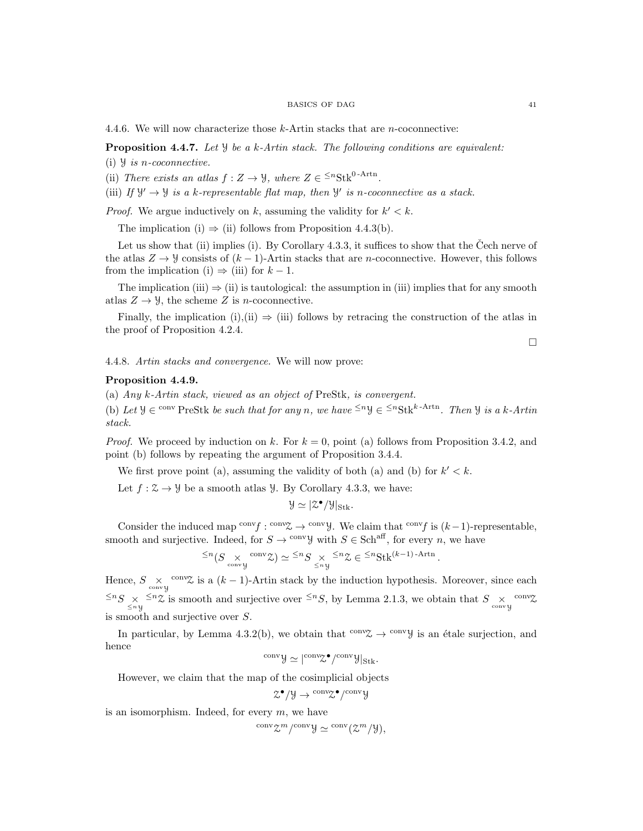#### BASICS OF DAG 41

4.4.6. We will now characterize those k-Artin stacks that are n-coconnective:

**Proposition 4.4.7.** Let  $\mathcal{Y}$  be a k-Artin stack. The following conditions are equivalent:

(i)  $\mathcal{Y}$  is *n*-coconnective.

(ii) There exists an atlas  $f: Z \to \mathcal{Y}$ , where  $Z \in \leq^n \text{Stk}^{0-Artn}$ .

(iii) If  $\mathcal{Y}' \to \mathcal{Y}$  is a k-representable flat map, then  $\mathcal{Y}'$  is n-coconnective as a stack.

*Proof.* We argue inductively on k, assuming the validity for  $k' < k$ .

The implication (i)  $\Rightarrow$  (ii) follows from Proposition 4.4.3(b).

Let us show that (ii) implies (i). By Corollary  $4.3.3$ , it suffices to show that the Cech nerve of the atlas  $Z \to \mathcal{Y}$  consists of  $(k-1)$ -Artin stacks that are *n*-coconnective. However, this follows from the implication (i)  $\Rightarrow$  (iii) for  $k-1$ .

The implication (iii)  $\Rightarrow$  (ii) is tautological: the assumption in (iii) implies that for any smooth atlas  $Z \to \mathcal{Y}$ , the scheme Z is *n*-coconnective.

Finally, the implication (i),(ii)  $\Rightarrow$  (iii) follows by retracing the construction of the atlas in the proof of Proposition 4.2.4.

4.4.8. Artin stacks and convergence. We will now prove:

# Proposition 4.4.9.

(a) Any k-Artin stack, viewed as an object of PreStk, is convergent.

(b) Let  $\mathcal{Y} \in \text{conv }\text{PreStk }$  be such that for any n, we have  $\leq^n \mathcal{Y} \in \leq^n \text{Stk}^{k-Artn}$ . Then  $\mathcal{Y}$  is a k-Artin stack.

*Proof.* We proceed by induction on k. For  $k = 0$ , point (a) follows from Proposition 3.4.2, and point (b) follows by repeating the argument of Proposition 3.4.4.

We first prove point (a), assuming the validity of both (a) and (b) for  $k' < k$ .

Let  $f : \mathcal{Z} \to \mathcal{Y}$  be a smooth atlas  $\mathcal{Y}$ . By Corollary 4.3.3, we have:

$$
\mathcal{Y} \simeq |\mathcal{Z}^{\bullet}/\mathcal{Y}|_{\mathrm{Stk}}.
$$

Consider the induced map <sup>conv</sup> $f: \text{conv}\mathfrak{X} \to \text{conv}\mathfrak{Y}$ . We claim that  $\text{conv}_f$  is  $(k-1)$ -representable, smooth and surjective. Indeed, for  $S \to \text{convy}$  with  $S \in \text{Sch}^{\text{aff}}$ , for every n, we have

$$
^{\leq n}(S\underset{\mathrm{conv}\, \mathcal{Y}}{\times}\,^{\mathrm{conv}}\mathcal{Z})\simeq {^{\leq n}S}\underset{\leq n\, \mathcal{Y}}{\times}\,^{\leq n}\mathcal{Z}\in {^{\leq n}\mathrm{Stk}^{(k-1)\operatorname{-Artn}}}.
$$

Hence,  $S \underset{\text{conv } y}{\times}$  <sup>conv</sup> $\chi$  is a  $(k-1)$ -Artin stack by the induction hypothesis. Moreover, since each  $\leq n_S \leq n_\chi \leq n_\chi$  is smooth and surjective over  $\leq^n S$ , by Lemma 2.1.3, we obtain that  $S \underset{\text{convy}}{\times}$   $\text{conv}$ is smooth and surjective over S.

In particular, by Lemma 4.3.2(b), we obtain that  $\text{conv}\mathcal{Z} \to \text{conv}\mathcal{Y}$  is an étale surjection, and hence

$$
^{\operatorname{conv}}\mathcal{Y}\simeq|^{\operatorname{conv}}\hspace{-0.5mm}\mathcal{Z}^{\bullet}/^{\operatorname{conv}}\mathcal{Y}|_{\operatorname{Stk}}.
$$

However, we claim that the map of the cosimplicial objects

$$
\mathcal{Z}^{\bullet}/\mathcal{Y}\rightarrow{^{\mathrm{conv}}\!}\mathcal{Z}^{\bullet}/^{\mathrm{conv}}\mathcal{Y}
$$

is an isomorphism. Indeed, for every  $m$ , we have

$$
{}^{\text{conv}}\mathcal{Z}^m/{}^{\text{conv}}\mathcal{Y}\simeq{}^{\text{conv}}(\mathcal{Z}^m/\mathcal{Y}),
$$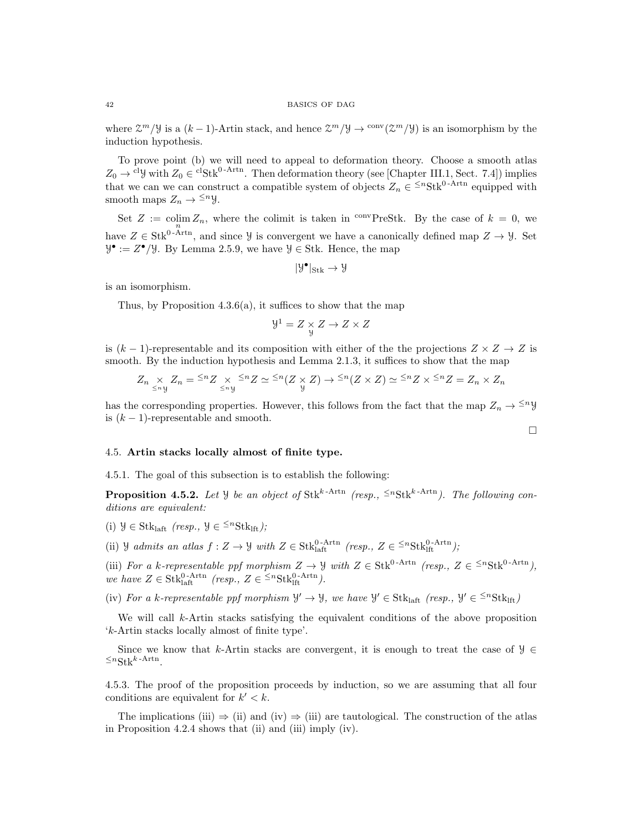where  $\mathcal{Z}^m/\mathcal{Y}$  is a  $(k-1)$ -Artin stack, and hence  $\mathcal{Z}^m/\mathcal{Y} \to \frac{\text{conv}}{\mathcal{Z}^m/\mathcal{Y}}$  is an isomorphism by the induction hypothesis.

To prove point (b) we will need to appeal to deformation theory. Choose a smooth atlas  $Z_0 \to c^1 \mathcal{Y}$  with  $Z_0 \in c^1 \text{Stk}^{0-Artn}$ . Then deformation theory (see [Chapter III.1, Sect. 7.4]) implies that we can we can construct a compatible system of objects  $Z_n \in \frac{1}{n}S$ tk<sup>0-Artn</sup> equipped with smooth maps  $Z_n \to \leq^n y$ .

Set  $Z := \operatorname{colim}_n Z_n$ , where the colimit is taken in <sup>conv</sup>PreStk. By the case of  $k = 0$ , we have  $Z \in Stk^{0-Arrn}$ , and since  $\mathcal{Y}$  is convergent we have a canonically defined map  $Z \to \mathcal{Y}$ . Set  $\mathcal{Y}^{\bullet} := Z^{\bullet}/\mathcal{Y}$ . By Lemma 2.5.9, we have  $\mathcal{Y} \in \mathcal{Y}$ . Hence, the map

$$
|\mathcal{Y}^{\bullet}|_{\mathrm{Stk}} \to \mathcal{Y}
$$

is an isomorphism.

Thus, by Proposition 4.3.6(a), it suffices to show that the map

$$
Y^1 = Z \underset{y}{\times} Z \to Z \times Z
$$

is  $(k-1)$ -representable and its composition with either of the the projections  $Z \times Z \rightarrow Z$  is smooth. By the induction hypothesis and Lemma 2.1.3, it suffices to show that the map

$$
Z_n \underset{\leq n}{\times} Z_n = \frac{1}{2} Z \underset{\leq n}{\times} \frac{1}{2} Z \underset{\leq n}{\times} Z \simeq \frac{1}{2} Z(Z \underset{\mathcal{Y}}{\times} Z) \to \frac{1}{2} Z(Z \times Z) \simeq \frac{1}{2} Z Z \times \frac{1}{2} Z = Z_n \times Z_n
$$

has the corresponding properties. However, this follows from the fact that the map  $Z_n \to \leq^n y$ is  $(k-1)$ -representable and smooth.

 $\Box$ 

# 4.5. Artin stacks locally almost of finite type.

4.5.1. The goal of this subsection is to establish the following:

**Proposition 4.5.2.** Let Y be an object of Stk<sup>k-Artn</sup> (resp.,  $\leq^n$ Stk<sup>k-Artn</sup>). The following conditions are equivalent:

(i)  $\mathcal{Y} \in \text{Stk}_{\text{laff}}$  (resp.,  $\mathcal{Y} \in {}^{\leq n}\text{Stk}_{\text{lf}}$ );

(ii) *Y* admits an atlas  $f: Z \to Y$  with  $Z \in \text{Stk}_{\text{laft}}^{\text{0-Artn}}$  (resp.,  $Z \in {}^{\leq n}\text{Stk}_{\text{lft}}^{\text{0-Artn}}$ );

(iii) For a k-representable ppf morphism  $Z \to Y$  with  $Z \in Stk^{0-Artn}$  (resp.,  $Z \in \leq^n Stk^{0-Artn}$ ), we have  $Z \in \text{Stk}_{\text{laff}}^{0-\text{Artn}}$  (resp.,  $Z \in {}^{\leq n}\text{Stk}_{\text{lft}}^{0-\text{Artn}}$ ).

(iv) For a k-representable ppf morphism  $\mathcal{Y}' \to \mathcal{Y}$ , we have  $\mathcal{Y}' \in \text{Stk}_{\text{laff}}$  (resp.,  $\mathcal{Y}' \in {}^{\leq n}\text{Stk}_{\text{lft}}$ )

We will call k-Artin stacks satisfying the equivalent conditions of the above proposition 'k-Artin stacks locally almost of finite type'.

Since we know that k-Artin stacks are convergent, it is enough to treat the case of  $\mathcal{Y} \in$  $\leq^n \text{Stk}^{k-\text{Artn}}$ .

4.5.3. The proof of the proposition proceeds by induction, so we are assuming that all four conditions are equivalent for  $k' < k$ .

The implications (iii)  $\Rightarrow$  (ii) and (iv)  $\Rightarrow$  (iii) are tautological. The construction of the atlas in Proposition 4.2.4 shows that (ii) and (iii) imply (iv).